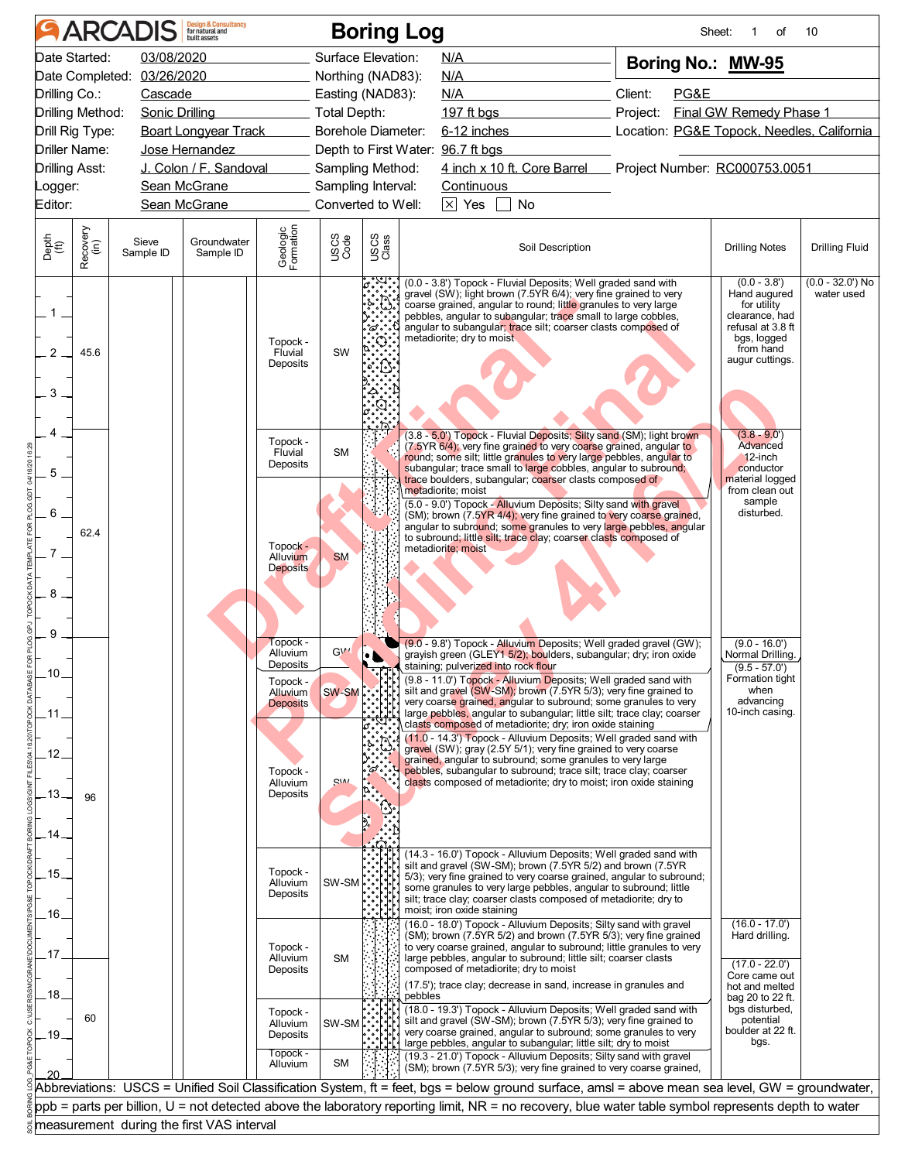|                                  | <b>ARCADIS</b>                                              |                                     | Design & Consultancy<br>for natural and                                                                          |                                                                                                               |                                                                                     |               | <b>Boring Log</b>                                                                                                                                                                                                                                                                                                                                                                                                                                                                                                                                                                                                                                                                                                                                                                                                                                                         |                                                        | Sheet:<br>of                                                                                                                        | 10                              |
|----------------------------------|-------------------------------------------------------------|-------------------------------------|------------------------------------------------------------------------------------------------------------------|---------------------------------------------------------------------------------------------------------------|-------------------------------------------------------------------------------------|---------------|---------------------------------------------------------------------------------------------------------------------------------------------------------------------------------------------------------------------------------------------------------------------------------------------------------------------------------------------------------------------------------------------------------------------------------------------------------------------------------------------------------------------------------------------------------------------------------------------------------------------------------------------------------------------------------------------------------------------------------------------------------------------------------------------------------------------------------------------------------------------------|--------------------------------------------------------|-------------------------------------------------------------------------------------------------------------------------------------|---------------------------------|
| Drilling Co.:                    | Date Started:<br>Date Completed:                            | 03/08/2020<br>03/26/2020<br>Cascade |                                                                                                                  |                                                                                                               | Surface Elevation:<br>Northing (NAD83):<br>Easting (NAD83):                         |               | N/A<br>N/A<br>N/A                                                                                                                                                                                                                                                                                                                                                                                                                                                                                                                                                                                                                                                                                                                                                                                                                                                         | Boring No.: MW-95<br>Client:<br>PG&E                   |                                                                                                                                     |                                 |
| <b>Drilling Asst:</b><br>Logger: | Drilling Method:<br>Drill Rig Type:<br><b>Driller Name:</b> |                                     | <b>Sonic Drilling</b><br><b>Boart Longyear Track</b><br>Jose Hernandez<br>J. Colon / F. Sandoval<br>Sean McGrane |                                                                                                               | <b>Total Depth:</b><br>Borehole Diameter:<br>Sampling Method:<br>Sampling Interval: |               | 197 ft bgs<br>6-12 inches<br>Depth to First Water: 96.7 ft bgs<br>4 inch x 10 ft. Core Barrel Project Number: RC000753.0051<br><b>Continuous</b>                                                                                                                                                                                                                                                                                                                                                                                                                                                                                                                                                                                                                                                                                                                          | Project:<br>Location: PG&E Topock, Needles, California | <b>Final GW Remedy Phase 1</b>                                                                                                      |                                 |
| Editor:                          |                                                             |                                     | Sean McGrane                                                                                                     |                                                                                                               | Converted to Well:                                                                  |               | $\times$ Yes<br>$\Box$ No                                                                                                                                                                                                                                                                                                                                                                                                                                                                                                                                                                                                                                                                                                                                                                                                                                                 |                                                        |                                                                                                                                     |                                 |
| Depth<br>$\widetilde{f(t)}$      | Recovery<br>(in)                                            | Sieve<br>Sample ID                  | Groundwater<br>Sample ID                                                                                         | Geologic<br>Formation                                                                                         | USCS<br>Code                                                                        | USCS<br>Class | Soil Description                                                                                                                                                                                                                                                                                                                                                                                                                                                                                                                                                                                                                                                                                                                                                                                                                                                          |                                                        | <b>Drilling Notes</b>                                                                                                               | <b>Drilling Fluid</b>           |
| 2<br>3                           | 45.6                                                        |                                     |                                                                                                                  | Topock -<br>Fluvial<br>Deposits                                                                               | SW                                                                                  |               | (0.0 - 3.8') Topock - Fluvial Deposits; Well graded sand with<br>gravel (SW); light brown (7.5YR 6/4); very fine grained to very<br>coarse grained, angular to round; little granules to very large<br>pebbles, angular to subangular; trace small to large cobbles,<br>angular to subangular; trace silt; coarser clasts composed of<br>metadiorite; dry to moist                                                                                                                                                                                                                                                                                                                                                                                                                                                                                                        |                                                        | $(0.0 - 3.8')$<br>Hand augured<br>for utility<br>clearance, had<br>refusal at 3.8 ft<br>bgs, logged<br>from hand<br>augur cuttings. | $(0.0 - 32.0)$ No<br>water used |
|                                  |                                                             |                                     |                                                                                                                  | Topock -<br>Fluvial<br>Deposits                                                                               | <b>SM</b>                                                                           |               | (3.8 - 5.0') Topock - Fluvial Deposits; Silty sand (SM); light brown<br>(7.5YR 6/4), very fine grained to very coarse grained, angular to<br>round; some silt; little granules to very large pebbles, angular to<br>subangular; trace small to large cobbles, angular to subround;                                                                                                                                                                                                                                                                                                                                                                                                                                                                                                                                                                                        |                                                        | $(3.8 - 9.0)$<br>Advanced<br>$12$ -inch<br>conductor                                                                                |                                 |
|                                  | 62.4                                                        |                                     |                                                                                                                  | Topock -<br>Alluvium<br><b>Deposits</b>                                                                       | <b>SM</b>                                                                           |               | trace boulders, subangular; coarser clasts composed of<br>metadiorite; moist<br>(5.0 - 9.0') Topock - Alluvium Deposits; Silty sand with gravel<br>(SM); brown (7.5YR 4/4); very fine grained to very coarse grained,<br>angular to subround; some granules to very large pebbles, angular<br>to subround; little silt; trace clay; coarser clasts composed of<br>metadiorite; moist                                                                                                                                                                                                                                                                                                                                                                                                                                                                                      |                                                        | material logged<br>from clean out<br>sample<br>disturbed.                                                                           |                                 |
| 9<br>.10.<br>.13.                | 96                                                          |                                     |                                                                                                                  | Topock<br>Alluvium<br>Deposits<br>Topock -<br>Alluvium<br><b>Deposits</b><br>Topock -<br>Alluvium<br>Deposits | GV'<br>SW-SM<br>S <sub>IM</sub>                                                     | °¢°.          | (9.0 - 9.8') Topock - Alluvium Deposits; Well graded gravel (GW);<br>grayish green (GLEY1 5/2); boulders, subangular; dry; iron oxide<br>staining; pulverized into rock flour<br>(9.8 - 11.0') Topock - Alluvium Deposits; Well graded sand with<br>silt and gravel (SW-SM); brown (7.5YR 5/3); very fine grained to<br>very coarse grained, angular to subround; some granules to very<br>large pebbles, angular to subangular; little silt; trace clay; coarser<br>clasts composed of metadiorite; dry; iron oxide staining<br>(11.0 - 14.3') Topock - Alluvium Deposits; Well graded sand with<br>gravel (SW); gray (2.5Y 5/1); very fine grained to very coarse<br>grained, angular to subround; some granules to very large<br>pebbles, subangular to subround; trace silt; trace clay; coarser<br>clasts composed of metadiorite; dry to moist; iron oxide staining |                                                        | $(9.0 - 16.0')$<br>Normal Drilling.<br>$(9.5 - 57.0')$<br>Formation tight<br>when<br>advancing<br>10-inch casing.                   |                                 |
| .15.<br>.16.                     |                                                             |                                     |                                                                                                                  | Topock -<br>Alluvium<br>Deposits                                                                              | SW-SM                                                                               |               | (14.3 - 16.0') Topock - Alluvium Deposits; Well graded sand with<br>silt and gravel (SW-SM); brown (7.5YR 5/2) and brown (7.5YR<br>5/3); very fine grained to very coarse grained, angular to subround;<br>some granules to very large pebbles, angular to subround; little<br>silt; trace clay; coarser clasts composed of metadiorite; dry to<br>moist; iron oxide staining<br>(16.0 - 18.0') Topock - Alluvium Deposits; Silty sand with gravel<br>(SM); brown (7.5YR 5/2) and brown (7.5YR 5/3); very fine grained                                                                                                                                                                                                                                                                                                                                                    |                                                        | $(16.0 - 17.0')$<br>Hard drilling.                                                                                                  |                                 |
| .17<br>18                        |                                                             |                                     |                                                                                                                  | Topock -<br>Alluvium<br>Deposits<br>Topock -                                                                  | <b>SM</b>                                                                           |               | to very coarse grained, angular to subround; little granules to very<br>large pebbles, angular to subround; little silt; coarser clasts<br>composed of metadiorite; dry to moist<br>(17.5'); trace clay; decrease in sand, increase in granules and<br>pebbles<br>(18.0 - 19.3') Topock - Alluvium Deposits; Well graded sand with                                                                                                                                                                                                                                                                                                                                                                                                                                                                                                                                        |                                                        | $(17.0 - 22.0')$<br>Core came out<br>hot and melted<br>bag 20 to 22 ft.<br>bgs disturbed,                                           |                                 |
| 19.                              | 60                                                          |                                     |                                                                                                                  | Alluvium<br>Deposits<br>Topock -<br>Alluvium                                                                  | SW-SM<br><b>SM</b>                                                                  |               | silt and gravel (SW-SM); brown (7.5YR 5/3); very fine grained to<br>very coarse grained, angular to subround; some granules to very<br>large pebbles, angular to subangular; little silt; dry to moist<br>(19.3 - 21.0') Topock - Alluvium Deposits; Silty sand with gravel<br>(SM); brown (7.5YR 5/3); very fine grained to very coarse grained,                                                                                                                                                                                                                                                                                                                                                                                                                                                                                                                         |                                                        | potential<br>boulder at 22 ft.<br>bgs.                                                                                              |                                 |
|                                  |                                                             |                                     |                                                                                                                  |                                                                                                               |                                                                                     |               | Abbreviations: USCS = Unified Soil Classification System, ft = feet, bgs = below ground surface, amsl = above mean sea level, GW = groundwater,                                                                                                                                                                                                                                                                                                                                                                                                                                                                                                                                                                                                                                                                                                                           |                                                        |                                                                                                                                     |                                 |
|                                  |                                                             |                                     | measurement during the first VAS interval                                                                        |                                                                                                               |                                                                                     |               | $ppb$ = parts per billion, U = not detected above the laboratory reporting limit, NR = no recovery, blue water table symbol represents depth to water                                                                                                                                                                                                                                                                                                                                                                                                                                                                                                                                                                                                                                                                                                                     |                                                        |                                                                                                                                     |                                 |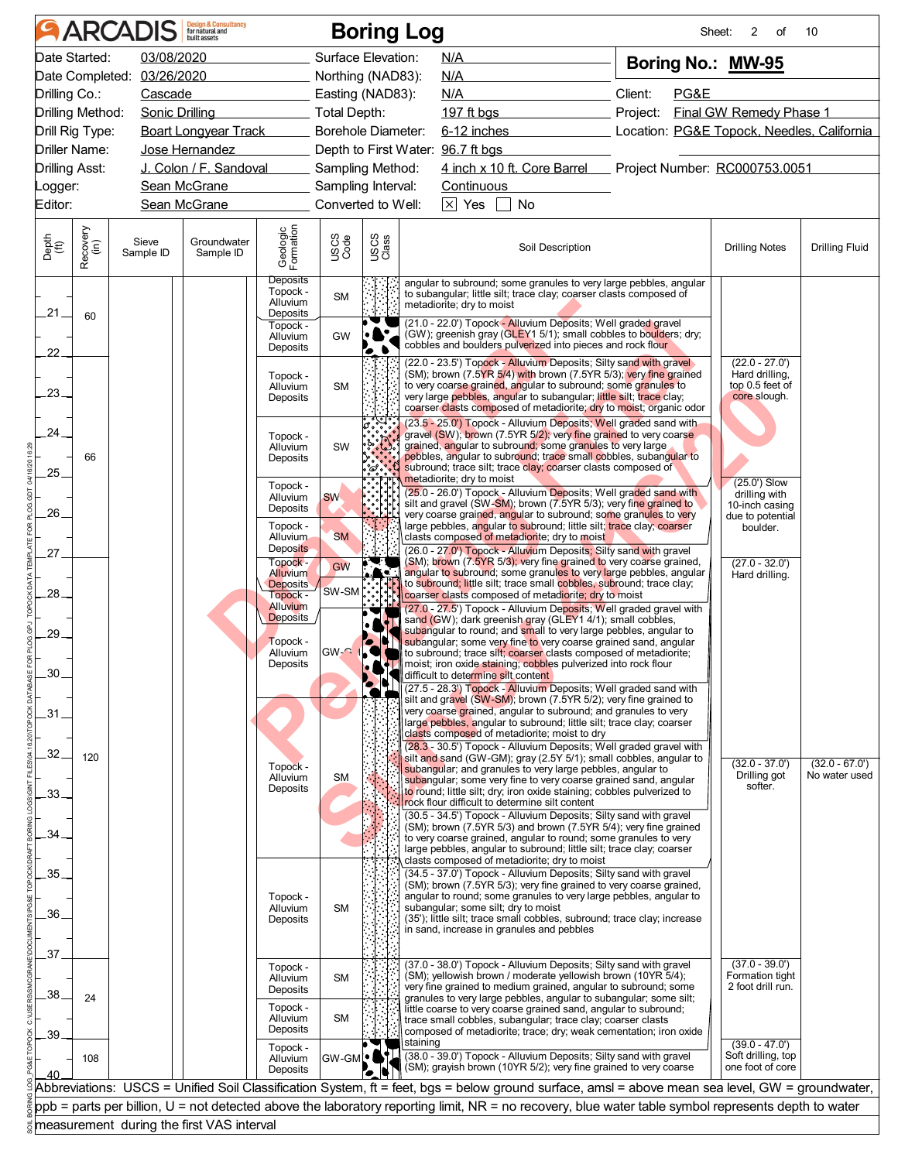| Date Started:<br>03/08/2020<br>Surface Elevation:<br>N/A<br>Boring No.: MW-95<br>Date Completed: 03/26/2020<br>Northing (NAD83):<br>N/A<br>Client:<br>Drilling Co.:<br>PG&E<br>Cascade<br>Easting (NAD83):<br>N/A<br>Drilling Method:<br><b>Final GW Remedy Phase 1</b><br>Sonic Drilling<br>Total Depth:<br>197 ft bgs <b>197 ft bgs</b><br>Project:<br>Drill Rig Type:<br><b>Boart Longyear Track</b><br><b>Borehole Diameter:</b><br>6-12 inches<br>Location: PG&E Topock, Needles, California<br>Driller Name:<br>Depth to First Water: 96.7 ft bgs<br>Jose Hernandez<br>4 inch x 10 ft. Core Barrel Project Number: RC000753.0051<br>J. Colon / F. Sandoval<br><b>Drilling Asst:</b><br>Sampling Method:<br>Sean McGrane<br>Sampling Interval:<br><b>Continuous</b><br>Converted to Well:<br>$\boxtimes$ Yes<br>Sean McGrane<br>No<br>Geologic<br>Formation<br>Recovery<br>(in)<br>USCS<br>Class<br>Depth<br>(ft)<br>USCS<br>Code<br>Groundwater<br>Sieve<br>Soil Description<br><b>Drilling Notes</b><br>Sample ID<br>Sample ID<br>Deposits<br>angular to subround; some granules to very large pebbles, angular<br>Topock -<br>to subangular; little silt; trace clay; coarser clasts composed of<br><b>SM</b><br>Alluvium<br>metadiorite; dry to moist<br>$-21.$<br>Deposits<br>60<br>(21.0 - 22.0') Topock - Alluvium Deposits; Well graded gravel<br>Topock -<br>(GW); greenish gray (GLEY1 5/1); small cobbles to boulders; dry;<br>GW<br>Alluvium<br>cobbles and boulders pulverized into pieces and rock flour<br>Deposits<br>l. L<br>22.<br>(22.0 - 23.5') Topock - Alluvium Deposits; Silty sand with gravel<br>$(22.0 - 27.0')$<br>(SM); brown (7.5YR 5/4) with brown (7.5YR 5/3); very fine grained<br>Hard drilling,<br>Topock -<br>top 0.5 feet of<br>to very coarse grained, angular to subround; some granules to<br><b>SM</b><br>Alluvium<br>$-23-$<br>very large pebbles, angular to subangular; little silt; trace clay;<br>core slough.<br>Deposits<br>coarser clasts composed of metadiorite; dry to moist; organic odor<br>(23.5 - 25.0') Topock - Alluvium Deposits; Well graded sand with<br>ໍາໍ່<br>.24.<br>gravel (SW); brown (7.5YR 5/2); very fine grained to very coarse<br>Topock -<br>grained, angular to subround; some granules to very large<br>SW<br>Alluvium<br>pebbles, angular to subround; trace small cobbles, subangular to<br>66<br>Deposits<br>subround; trace silt; trace clay; coarser clasts composed of<br>.25.<br>metadiorite; dry to moist<br>(25.0') Slow<br>Topock -<br>(25.0 - 26.0') Topock - Alluvium Deposits; Well graded sand with<br>drilling with<br>Alluvium<br>SW.<br>silt and gravel (SW-SM); brown (7.5YR 5/3); very fine grained to<br>10-inch casing<br>Deposits<br>.26.<br>very coarse grained, angular to subround; some granules to very<br>due to potential<br>large pebbles, angular to subround; little silt; trace clay; coarser<br>Topock -<br>boulder.<br><b>SM</b><br>clasts composed of metadiorite; dry to moist<br><b>Alluvium</b><br><b>Deposits</b><br>(26.0 - 27.0') Topock - Alluvium Deposits; Silty sand with gravel<br>27<br>(SM); brown (7.5YR 5/3); very fine grained to very coarse grained,<br>Topock -<br>$\mathbf{F}$<br>$(27.0 - 32.0')$<br>GW<br><b>Alluvium</b><br>$\cdot$ . $\cdot$<br>angular to subround; some granules to very large pebbles, angular<br>Hard drilling.<br>to subround; little silt; trace small cobbles, subround; trace clay;<br><b>Deposits</b><br>SW-SM<br>28.<br>coarser clasts composed of metadiorite; dry to moist<br>Topock -<br>Alluvium<br>(27.0 - 27.5') Topock - Alluvium Deposits; Well graded gravel with<br>Deposits<br>sand (GW); dark greenish gray (GLEY1 4/1); small cobbles,<br>subangular to round; and small to very large pebbles, angular to<br>.29.<br>subangular; some very fine to very coarse grained sand, angular<br>Topock -<br>$GW-$<br>to subround; trace silt; coarser clasts composed of metadiorite;<br>Alluvium<br>Deposits<br><b>AT</b> moist; iron oxide staining; cobbles pulverized into rock flour<br>.30<br>difficult to determine silt content<br>(27.5 - 28.3') Topock - Alluvium Deposits; Well graded sand with<br>silt and gravel (SW-SM); brown (7.5YR 5/2); very fine grained to<br>very coarse grained, angular to subround; and granules to very<br>$-31$<br>large pebbles, angular to subround; little silt; trace clay; coarser<br>clasts composed of metadiorite; moist to dry<br>(28.3 - 30.5') Topock - Alluvium Deposits; Well graded gravel with<br>32.<br>silt and sand (GW-GM); gray (2.5Y 5/1); small cobbles, angular to<br>120<br>$(32.0 - 37.0')$<br>Topock -<br>subangular; and granules to very large pebbles, angular to<br>Drilling got<br>Alluvium<br><b>SM</b><br>subangular; some very fine to very coarse grained sand, angular<br>softer.<br>Deposits<br>to round; little silt; dry; iron oxide staining; cobbles pulverized to<br>.33.<br>rock flour difficult to determine silt content<br>(30.5 - 34.5') Topock - Alluvium Deposits; Silty sand with gravel<br>(SM); brown (7.5YR 5/3) and brown (7.5YR 5/4); very fine grained<br>34.<br>to very coarse grained, angular to round; some granules to very<br>large pebbles, angular to subround; little silt; trace clay; coarser<br>clasts composed of metadiorite; dry to moist<br>.35.<br>(34.5 - 37.0') Topock - Alluvium Deposits; Silty sand with gravel<br>(SM); brown (7.5YR 5/3); very fine grained to very coarse grained,<br>angular to round; some granules to very large pebbles, angular to<br>Topock -<br>subangular; some silt; dry to moist<br><b>SM</b><br>Alluvium<br>.36.<br>(35'); little silt; trace small cobbles, subround; trace clay; increase<br>Deposits<br>in sand, increase in granules and pebbles<br>.37<br>$(37.0 - 39.0')$<br>(37.0 - 38.0') Topock - Alluvium Deposits; Silty sand with gravel<br>Topock -<br>(SM); yellowish brown / moderate yellowish brown (10YR 5/4);<br>Formation tight<br><b>SM</b><br>Alluvium<br>very fine grained to medium grained, angular to subround; some<br>2 foot drill run.<br>Deposits<br>.38.<br>24<br>granules to very large pebbles, angular to subangular; some silt;<br>Topock -<br>little coarse to very coarse grained sand, angular to subround;<br><b>SM</b><br>Alluvium<br>trace small cobbles, subangular; trace clay; coarser clasts<br>Deposits<br>composed of metadiorite; trace; dry; weak cementation; iron oxide<br>.39.<br>staining<br>$(39.0 - 47.0')$<br>Topock -<br>(38.0 - 39.0') Topock - Alluvium Deposits; Silty sand with gravel<br>Soft drilling, top<br>GW-GML <sup>O</sup><br>Alluvium<br>108<br>(SM); grayish brown (10YR 5/2); very fine grained to very coarse<br>one foot of core<br>Ł<br>Deposits<br>40<br>Abbreviations: USCS = Unified Soil Classification System, ft = feet, bgs = below ground surface, amsl = above mean sea level, GW = groundwater,<br>ppb = parts per billion, U = not detected above the laboratory reporting limit, NR = no recovery, blue water table symbol represents depth to water |         | <b>ARCADIS</b> | <b>Design &amp; Consultancy</b><br>for natural and |  | <b>Boring Log</b> | Sheet: | 2<br>of | 10                                |
|--------------------------------------------------------------------------------------------------------------------------------------------------------------------------------------------------------------------------------------------------------------------------------------------------------------------------------------------------------------------------------------------------------------------------------------------------------------------------------------------------------------------------------------------------------------------------------------------------------------------------------------------------------------------------------------------------------------------------------------------------------------------------------------------------------------------------------------------------------------------------------------------------------------------------------------------------------------------------------------------------------------------------------------------------------------------------------------------------------------------------------------------------------------------------------------------------------------------------------------------------------------------------------------------------------------------------------------------------------------------------------------------------------------------------------------------------------------------------------------------------------------------------------------------------------------------------------------------------------------------------------------------------------------------------------------------------------------------------------------------------------------------------------------------------------------------------------------------------------------------------------------------------------------------------------------------------------------------------------------------------------------------------------------------------------------------------------------------------------------------------------------------------------------------------------------------------------------------------------------------------------------------------------------------------------------------------------------------------------------------------------------------------------------------------------------------------------------------------------------------------------------------------------------------------------------------------------------------------------------------------------------------------------------------------------------------------------------------------------------------------------------------------------------------------------------------------------------------------------------------------------------------------------------------------------------------------------------------------------------------------------------------------------------------------------------------------------------------------------------------------------------------------------------------------------------------------------------------------------------------------------------------------------------------------------------------------------------------------------------------------------------------------------------------------------------------------------------------------------------------------------------------------------------------------------------------------------------------------------------------------------------------------------------------------------------------------------------------------------------------------------------------------------------------------------------------------------------------------------------------------------------------------------------------------------------------------------------------------------------------------------------------------------------------------------------------------------------------------------------------------------------------------------------------------------------------------------------------------------------------------------------------------------------------------------------------------------------------------------------------------------------------------------------------------------------------------------------------------------------------------------------------------------------------------------------------------------------------------------------------------------------------------------------------------------------------------------------------------------------------------------------------------------------------------------------------------------------------------------------------------------------------------------------------------------------------------------------------------------------------------------------------------------------------------------------------------------------------------------------------------------------------------------------------------------------------------------------------------------------------------------------------------------------------------------------------------------------------------------------------------------------------------------------------------------------------------------------------------------------------------------------------------------------------------------------------------------------------------------------------------------------------------------------------------------------------------------------------------------------------------------------------------------------------------------------------------------------------------------------------------------------------------------------------------------------------------------------------------------------------------------------------------------------------------------------------------------------------------------------------------------------------------------------------------------------------------------------------------------------------------------------------------------------------------------------------------------------------------------------------------------------------------------------------------------------------------------------------------------------------------------------------------------------------------------------------------------------------------------------------------------------------------------------------------------------------------------------------------------------------------------------------------------------------------------------------------------------------------------------------------------------------------------------------------------------------------------------------------------------------------------------------------------------------------------------------------------|---------|----------------|----------------------------------------------------|--|-------------------|--------|---------|-----------------------------------|
|                                                                                                                                                                                                                                                                                                                                                                                                                                                                                                                                                                                                                                                                                                                                                                                                                                                                                                                                                                                                                                                                                                                                                                                                                                                                                                                                                                                                                                                                                                                                                                                                                                                                                                                                                                                                                                                                                                                                                                                                                                                                                                                                                                                                                                                                                                                                                                                                                                                                                                                                                                                                                                                                                                                                                                                                                                                                                                                                                                                                                                                                                                                                                                                                                                                                                                                                                                                                                                                                                                                                                                                                                                                                                                                                                                                                                                                                                                                                                                                                                                                                                                                                                                                                                                                                                                                                                                                                                                                                                                                                                                                                                                                                                                                                                                                                                                                                                                                                                                                                                                                                                                                                                                                                                                                                                                                                                                                                                                                                                                                                                                                                                                                                                                                                                                                                                                                                                                                                                                                                                                                                                                                                                                                                                                                                                                                                                                                                                                                                                                                                                                                                                                                                                                                                                                                                                                                                                                                                                                                                                                                                                |         |                |                                                    |  |                   |        |         |                                   |
|                                                                                                                                                                                                                                                                                                                                                                                                                                                                                                                                                                                                                                                                                                                                                                                                                                                                                                                                                                                                                                                                                                                                                                                                                                                                                                                                                                                                                                                                                                                                                                                                                                                                                                                                                                                                                                                                                                                                                                                                                                                                                                                                                                                                                                                                                                                                                                                                                                                                                                                                                                                                                                                                                                                                                                                                                                                                                                                                                                                                                                                                                                                                                                                                                                                                                                                                                                                                                                                                                                                                                                                                                                                                                                                                                                                                                                                                                                                                                                                                                                                                                                                                                                                                                                                                                                                                                                                                                                                                                                                                                                                                                                                                                                                                                                                                                                                                                                                                                                                                                                                                                                                                                                                                                                                                                                                                                                                                                                                                                                                                                                                                                                                                                                                                                                                                                                                                                                                                                                                                                                                                                                                                                                                                                                                                                                                                                                                                                                                                                                                                                                                                                                                                                                                                                                                                                                                                                                                                                                                                                                                                                |         |                |                                                    |  |                   |        |         |                                   |
|                                                                                                                                                                                                                                                                                                                                                                                                                                                                                                                                                                                                                                                                                                                                                                                                                                                                                                                                                                                                                                                                                                                                                                                                                                                                                                                                                                                                                                                                                                                                                                                                                                                                                                                                                                                                                                                                                                                                                                                                                                                                                                                                                                                                                                                                                                                                                                                                                                                                                                                                                                                                                                                                                                                                                                                                                                                                                                                                                                                                                                                                                                                                                                                                                                                                                                                                                                                                                                                                                                                                                                                                                                                                                                                                                                                                                                                                                                                                                                                                                                                                                                                                                                                                                                                                                                                                                                                                                                                                                                                                                                                                                                                                                                                                                                                                                                                                                                                                                                                                                                                                                                                                                                                                                                                                                                                                                                                                                                                                                                                                                                                                                                                                                                                                                                                                                                                                                                                                                                                                                                                                                                                                                                                                                                                                                                                                                                                                                                                                                                                                                                                                                                                                                                                                                                                                                                                                                                                                                                                                                                                                                |         |                |                                                    |  |                   |        |         |                                   |
|                                                                                                                                                                                                                                                                                                                                                                                                                                                                                                                                                                                                                                                                                                                                                                                                                                                                                                                                                                                                                                                                                                                                                                                                                                                                                                                                                                                                                                                                                                                                                                                                                                                                                                                                                                                                                                                                                                                                                                                                                                                                                                                                                                                                                                                                                                                                                                                                                                                                                                                                                                                                                                                                                                                                                                                                                                                                                                                                                                                                                                                                                                                                                                                                                                                                                                                                                                                                                                                                                                                                                                                                                                                                                                                                                                                                                                                                                                                                                                                                                                                                                                                                                                                                                                                                                                                                                                                                                                                                                                                                                                                                                                                                                                                                                                                                                                                                                                                                                                                                                                                                                                                                                                                                                                                                                                                                                                                                                                                                                                                                                                                                                                                                                                                                                                                                                                                                                                                                                                                                                                                                                                                                                                                                                                                                                                                                                                                                                                                                                                                                                                                                                                                                                                                                                                                                                                                                                                                                                                                                                                                                                |         |                |                                                    |  |                   |        |         |                                   |
|                                                                                                                                                                                                                                                                                                                                                                                                                                                                                                                                                                                                                                                                                                                                                                                                                                                                                                                                                                                                                                                                                                                                                                                                                                                                                                                                                                                                                                                                                                                                                                                                                                                                                                                                                                                                                                                                                                                                                                                                                                                                                                                                                                                                                                                                                                                                                                                                                                                                                                                                                                                                                                                                                                                                                                                                                                                                                                                                                                                                                                                                                                                                                                                                                                                                                                                                                                                                                                                                                                                                                                                                                                                                                                                                                                                                                                                                                                                                                                                                                                                                                                                                                                                                                                                                                                                                                                                                                                                                                                                                                                                                                                                                                                                                                                                                                                                                                                                                                                                                                                                                                                                                                                                                                                                                                                                                                                                                                                                                                                                                                                                                                                                                                                                                                                                                                                                                                                                                                                                                                                                                                                                                                                                                                                                                                                                                                                                                                                                                                                                                                                                                                                                                                                                                                                                                                                                                                                                                                                                                                                                                                |         |                |                                                    |  |                   |        |         |                                   |
|                                                                                                                                                                                                                                                                                                                                                                                                                                                                                                                                                                                                                                                                                                                                                                                                                                                                                                                                                                                                                                                                                                                                                                                                                                                                                                                                                                                                                                                                                                                                                                                                                                                                                                                                                                                                                                                                                                                                                                                                                                                                                                                                                                                                                                                                                                                                                                                                                                                                                                                                                                                                                                                                                                                                                                                                                                                                                                                                                                                                                                                                                                                                                                                                                                                                                                                                                                                                                                                                                                                                                                                                                                                                                                                                                                                                                                                                                                                                                                                                                                                                                                                                                                                                                                                                                                                                                                                                                                                                                                                                                                                                                                                                                                                                                                                                                                                                                                                                                                                                                                                                                                                                                                                                                                                                                                                                                                                                                                                                                                                                                                                                                                                                                                                                                                                                                                                                                                                                                                                                                                                                                                                                                                                                                                                                                                                                                                                                                                                                                                                                                                                                                                                                                                                                                                                                                                                                                                                                                                                                                                                                                |         |                |                                                    |  |                   |        |         |                                   |
|                                                                                                                                                                                                                                                                                                                                                                                                                                                                                                                                                                                                                                                                                                                                                                                                                                                                                                                                                                                                                                                                                                                                                                                                                                                                                                                                                                                                                                                                                                                                                                                                                                                                                                                                                                                                                                                                                                                                                                                                                                                                                                                                                                                                                                                                                                                                                                                                                                                                                                                                                                                                                                                                                                                                                                                                                                                                                                                                                                                                                                                                                                                                                                                                                                                                                                                                                                                                                                                                                                                                                                                                                                                                                                                                                                                                                                                                                                                                                                                                                                                                                                                                                                                                                                                                                                                                                                                                                                                                                                                                                                                                                                                                                                                                                                                                                                                                                                                                                                                                                                                                                                                                                                                                                                                                                                                                                                                                                                                                                                                                                                                                                                                                                                                                                                                                                                                                                                                                                                                                                                                                                                                                                                                                                                                                                                                                                                                                                                                                                                                                                                                                                                                                                                                                                                                                                                                                                                                                                                                                                                                                                | Logger: |                |                                                    |  |                   |        |         |                                   |
|                                                                                                                                                                                                                                                                                                                                                                                                                                                                                                                                                                                                                                                                                                                                                                                                                                                                                                                                                                                                                                                                                                                                                                                                                                                                                                                                                                                                                                                                                                                                                                                                                                                                                                                                                                                                                                                                                                                                                                                                                                                                                                                                                                                                                                                                                                                                                                                                                                                                                                                                                                                                                                                                                                                                                                                                                                                                                                                                                                                                                                                                                                                                                                                                                                                                                                                                                                                                                                                                                                                                                                                                                                                                                                                                                                                                                                                                                                                                                                                                                                                                                                                                                                                                                                                                                                                                                                                                                                                                                                                                                                                                                                                                                                                                                                                                                                                                                                                                                                                                                                                                                                                                                                                                                                                                                                                                                                                                                                                                                                                                                                                                                                                                                                                                                                                                                                                                                                                                                                                                                                                                                                                                                                                                                                                                                                                                                                                                                                                                                                                                                                                                                                                                                                                                                                                                                                                                                                                                                                                                                                                                                | Editor: |                |                                                    |  |                   |        |         |                                   |
|                                                                                                                                                                                                                                                                                                                                                                                                                                                                                                                                                                                                                                                                                                                                                                                                                                                                                                                                                                                                                                                                                                                                                                                                                                                                                                                                                                                                                                                                                                                                                                                                                                                                                                                                                                                                                                                                                                                                                                                                                                                                                                                                                                                                                                                                                                                                                                                                                                                                                                                                                                                                                                                                                                                                                                                                                                                                                                                                                                                                                                                                                                                                                                                                                                                                                                                                                                                                                                                                                                                                                                                                                                                                                                                                                                                                                                                                                                                                                                                                                                                                                                                                                                                                                                                                                                                                                                                                                                                                                                                                                                                                                                                                                                                                                                                                                                                                                                                                                                                                                                                                                                                                                                                                                                                                                                                                                                                                                                                                                                                                                                                                                                                                                                                                                                                                                                                                                                                                                                                                                                                                                                                                                                                                                                                                                                                                                                                                                                                                                                                                                                                                                                                                                                                                                                                                                                                                                                                                                                                                                                                                                |         |                |                                                    |  |                   |        |         | <b>Drilling Fluid</b>             |
|                                                                                                                                                                                                                                                                                                                                                                                                                                                                                                                                                                                                                                                                                                                                                                                                                                                                                                                                                                                                                                                                                                                                                                                                                                                                                                                                                                                                                                                                                                                                                                                                                                                                                                                                                                                                                                                                                                                                                                                                                                                                                                                                                                                                                                                                                                                                                                                                                                                                                                                                                                                                                                                                                                                                                                                                                                                                                                                                                                                                                                                                                                                                                                                                                                                                                                                                                                                                                                                                                                                                                                                                                                                                                                                                                                                                                                                                                                                                                                                                                                                                                                                                                                                                                                                                                                                                                                                                                                                                                                                                                                                                                                                                                                                                                                                                                                                                                                                                                                                                                                                                                                                                                                                                                                                                                                                                                                                                                                                                                                                                                                                                                                                                                                                                                                                                                                                                                                                                                                                                                                                                                                                                                                                                                                                                                                                                                                                                                                                                                                                                                                                                                                                                                                                                                                                                                                                                                                                                                                                                                                                                                |         |                |                                                    |  |                   |        |         |                                   |
|                                                                                                                                                                                                                                                                                                                                                                                                                                                                                                                                                                                                                                                                                                                                                                                                                                                                                                                                                                                                                                                                                                                                                                                                                                                                                                                                                                                                                                                                                                                                                                                                                                                                                                                                                                                                                                                                                                                                                                                                                                                                                                                                                                                                                                                                                                                                                                                                                                                                                                                                                                                                                                                                                                                                                                                                                                                                                                                                                                                                                                                                                                                                                                                                                                                                                                                                                                                                                                                                                                                                                                                                                                                                                                                                                                                                                                                                                                                                                                                                                                                                                                                                                                                                                                                                                                                                                                                                                                                                                                                                                                                                                                                                                                                                                                                                                                                                                                                                                                                                                                                                                                                                                                                                                                                                                                                                                                                                                                                                                                                                                                                                                                                                                                                                                                                                                                                                                                                                                                                                                                                                                                                                                                                                                                                                                                                                                                                                                                                                                                                                                                                                                                                                                                                                                                                                                                                                                                                                                                                                                                                                                |         |                |                                                    |  |                   |        |         |                                   |
|                                                                                                                                                                                                                                                                                                                                                                                                                                                                                                                                                                                                                                                                                                                                                                                                                                                                                                                                                                                                                                                                                                                                                                                                                                                                                                                                                                                                                                                                                                                                                                                                                                                                                                                                                                                                                                                                                                                                                                                                                                                                                                                                                                                                                                                                                                                                                                                                                                                                                                                                                                                                                                                                                                                                                                                                                                                                                                                                                                                                                                                                                                                                                                                                                                                                                                                                                                                                                                                                                                                                                                                                                                                                                                                                                                                                                                                                                                                                                                                                                                                                                                                                                                                                                                                                                                                                                                                                                                                                                                                                                                                                                                                                                                                                                                                                                                                                                                                                                                                                                                                                                                                                                                                                                                                                                                                                                                                                                                                                                                                                                                                                                                                                                                                                                                                                                                                                                                                                                                                                                                                                                                                                                                                                                                                                                                                                                                                                                                                                                                                                                                                                                                                                                                                                                                                                                                                                                                                                                                                                                                                                                |         |                |                                                    |  |                   |        |         |                                   |
|                                                                                                                                                                                                                                                                                                                                                                                                                                                                                                                                                                                                                                                                                                                                                                                                                                                                                                                                                                                                                                                                                                                                                                                                                                                                                                                                                                                                                                                                                                                                                                                                                                                                                                                                                                                                                                                                                                                                                                                                                                                                                                                                                                                                                                                                                                                                                                                                                                                                                                                                                                                                                                                                                                                                                                                                                                                                                                                                                                                                                                                                                                                                                                                                                                                                                                                                                                                                                                                                                                                                                                                                                                                                                                                                                                                                                                                                                                                                                                                                                                                                                                                                                                                                                                                                                                                                                                                                                                                                                                                                                                                                                                                                                                                                                                                                                                                                                                                                                                                                                                                                                                                                                                                                                                                                                                                                                                                                                                                                                                                                                                                                                                                                                                                                                                                                                                                                                                                                                                                                                                                                                                                                                                                                                                                                                                                                                                                                                                                                                                                                                                                                                                                                                                                                                                                                                                                                                                                                                                                                                                                                                |         |                |                                                    |  |                   |        |         |                                   |
|                                                                                                                                                                                                                                                                                                                                                                                                                                                                                                                                                                                                                                                                                                                                                                                                                                                                                                                                                                                                                                                                                                                                                                                                                                                                                                                                                                                                                                                                                                                                                                                                                                                                                                                                                                                                                                                                                                                                                                                                                                                                                                                                                                                                                                                                                                                                                                                                                                                                                                                                                                                                                                                                                                                                                                                                                                                                                                                                                                                                                                                                                                                                                                                                                                                                                                                                                                                                                                                                                                                                                                                                                                                                                                                                                                                                                                                                                                                                                                                                                                                                                                                                                                                                                                                                                                                                                                                                                                                                                                                                                                                                                                                                                                                                                                                                                                                                                                                                                                                                                                                                                                                                                                                                                                                                                                                                                                                                                                                                                                                                                                                                                                                                                                                                                                                                                                                                                                                                                                                                                                                                                                                                                                                                                                                                                                                                                                                                                                                                                                                                                                                                                                                                                                                                                                                                                                                                                                                                                                                                                                                                                |         |                |                                                    |  |                   |        |         |                                   |
|                                                                                                                                                                                                                                                                                                                                                                                                                                                                                                                                                                                                                                                                                                                                                                                                                                                                                                                                                                                                                                                                                                                                                                                                                                                                                                                                                                                                                                                                                                                                                                                                                                                                                                                                                                                                                                                                                                                                                                                                                                                                                                                                                                                                                                                                                                                                                                                                                                                                                                                                                                                                                                                                                                                                                                                                                                                                                                                                                                                                                                                                                                                                                                                                                                                                                                                                                                                                                                                                                                                                                                                                                                                                                                                                                                                                                                                                                                                                                                                                                                                                                                                                                                                                                                                                                                                                                                                                                                                                                                                                                                                                                                                                                                                                                                                                                                                                                                                                                                                                                                                                                                                                                                                                                                                                                                                                                                                                                                                                                                                                                                                                                                                                                                                                                                                                                                                                                                                                                                                                                                                                                                                                                                                                                                                                                                                                                                                                                                                                                                                                                                                                                                                                                                                                                                                                                                                                                                                                                                                                                                                                                |         |                |                                                    |  |                   |        |         |                                   |
|                                                                                                                                                                                                                                                                                                                                                                                                                                                                                                                                                                                                                                                                                                                                                                                                                                                                                                                                                                                                                                                                                                                                                                                                                                                                                                                                                                                                                                                                                                                                                                                                                                                                                                                                                                                                                                                                                                                                                                                                                                                                                                                                                                                                                                                                                                                                                                                                                                                                                                                                                                                                                                                                                                                                                                                                                                                                                                                                                                                                                                                                                                                                                                                                                                                                                                                                                                                                                                                                                                                                                                                                                                                                                                                                                                                                                                                                                                                                                                                                                                                                                                                                                                                                                                                                                                                                                                                                                                                                                                                                                                                                                                                                                                                                                                                                                                                                                                                                                                                                                                                                                                                                                                                                                                                                                                                                                                                                                                                                                                                                                                                                                                                                                                                                                                                                                                                                                                                                                                                                                                                                                                                                                                                                                                                                                                                                                                                                                                                                                                                                                                                                                                                                                                                                                                                                                                                                                                                                                                                                                                                                                |         |                |                                                    |  |                   |        |         |                                   |
|                                                                                                                                                                                                                                                                                                                                                                                                                                                                                                                                                                                                                                                                                                                                                                                                                                                                                                                                                                                                                                                                                                                                                                                                                                                                                                                                                                                                                                                                                                                                                                                                                                                                                                                                                                                                                                                                                                                                                                                                                                                                                                                                                                                                                                                                                                                                                                                                                                                                                                                                                                                                                                                                                                                                                                                                                                                                                                                                                                                                                                                                                                                                                                                                                                                                                                                                                                                                                                                                                                                                                                                                                                                                                                                                                                                                                                                                                                                                                                                                                                                                                                                                                                                                                                                                                                                                                                                                                                                                                                                                                                                                                                                                                                                                                                                                                                                                                                                                                                                                                                                                                                                                                                                                                                                                                                                                                                                                                                                                                                                                                                                                                                                                                                                                                                                                                                                                                                                                                                                                                                                                                                                                                                                                                                                                                                                                                                                                                                                                                                                                                                                                                                                                                                                                                                                                                                                                                                                                                                                                                                                                                |         |                |                                                    |  |                   |        |         |                                   |
|                                                                                                                                                                                                                                                                                                                                                                                                                                                                                                                                                                                                                                                                                                                                                                                                                                                                                                                                                                                                                                                                                                                                                                                                                                                                                                                                                                                                                                                                                                                                                                                                                                                                                                                                                                                                                                                                                                                                                                                                                                                                                                                                                                                                                                                                                                                                                                                                                                                                                                                                                                                                                                                                                                                                                                                                                                                                                                                                                                                                                                                                                                                                                                                                                                                                                                                                                                                                                                                                                                                                                                                                                                                                                                                                                                                                                                                                                                                                                                                                                                                                                                                                                                                                                                                                                                                                                                                                                                                                                                                                                                                                                                                                                                                                                                                                                                                                                                                                                                                                                                                                                                                                                                                                                                                                                                                                                                                                                                                                                                                                                                                                                                                                                                                                                                                                                                                                                                                                                                                                                                                                                                                                                                                                                                                                                                                                                                                                                                                                                                                                                                                                                                                                                                                                                                                                                                                                                                                                                                                                                                                                                |         |                |                                                    |  |                   |        |         |                                   |
|                                                                                                                                                                                                                                                                                                                                                                                                                                                                                                                                                                                                                                                                                                                                                                                                                                                                                                                                                                                                                                                                                                                                                                                                                                                                                                                                                                                                                                                                                                                                                                                                                                                                                                                                                                                                                                                                                                                                                                                                                                                                                                                                                                                                                                                                                                                                                                                                                                                                                                                                                                                                                                                                                                                                                                                                                                                                                                                                                                                                                                                                                                                                                                                                                                                                                                                                                                                                                                                                                                                                                                                                                                                                                                                                                                                                                                                                                                                                                                                                                                                                                                                                                                                                                                                                                                                                                                                                                                                                                                                                                                                                                                                                                                                                                                                                                                                                                                                                                                                                                                                                                                                                                                                                                                                                                                                                                                                                                                                                                                                                                                                                                                                                                                                                                                                                                                                                                                                                                                                                                                                                                                                                                                                                                                                                                                                                                                                                                                                                                                                                                                                                                                                                                                                                                                                                                                                                                                                                                                                                                                                                                |         |                |                                                    |  |                   |        |         |                                   |
|                                                                                                                                                                                                                                                                                                                                                                                                                                                                                                                                                                                                                                                                                                                                                                                                                                                                                                                                                                                                                                                                                                                                                                                                                                                                                                                                                                                                                                                                                                                                                                                                                                                                                                                                                                                                                                                                                                                                                                                                                                                                                                                                                                                                                                                                                                                                                                                                                                                                                                                                                                                                                                                                                                                                                                                                                                                                                                                                                                                                                                                                                                                                                                                                                                                                                                                                                                                                                                                                                                                                                                                                                                                                                                                                                                                                                                                                                                                                                                                                                                                                                                                                                                                                                                                                                                                                                                                                                                                                                                                                                                                                                                                                                                                                                                                                                                                                                                                                                                                                                                                                                                                                                                                                                                                                                                                                                                                                                                                                                                                                                                                                                                                                                                                                                                                                                                                                                                                                                                                                                                                                                                                                                                                                                                                                                                                                                                                                                                                                                                                                                                                                                                                                                                                                                                                                                                                                                                                                                                                                                                                                                |         |                |                                                    |  |                   |        |         | $(32.0 - 67.0')$<br>No water used |
|                                                                                                                                                                                                                                                                                                                                                                                                                                                                                                                                                                                                                                                                                                                                                                                                                                                                                                                                                                                                                                                                                                                                                                                                                                                                                                                                                                                                                                                                                                                                                                                                                                                                                                                                                                                                                                                                                                                                                                                                                                                                                                                                                                                                                                                                                                                                                                                                                                                                                                                                                                                                                                                                                                                                                                                                                                                                                                                                                                                                                                                                                                                                                                                                                                                                                                                                                                                                                                                                                                                                                                                                                                                                                                                                                                                                                                                                                                                                                                                                                                                                                                                                                                                                                                                                                                                                                                                                                                                                                                                                                                                                                                                                                                                                                                                                                                                                                                                                                                                                                                                                                                                                                                                                                                                                                                                                                                                                                                                                                                                                                                                                                                                                                                                                                                                                                                                                                                                                                                                                                                                                                                                                                                                                                                                                                                                                                                                                                                                                                                                                                                                                                                                                                                                                                                                                                                                                                                                                                                                                                                                                                |         |                |                                                    |  |                   |        |         |                                   |
|                                                                                                                                                                                                                                                                                                                                                                                                                                                                                                                                                                                                                                                                                                                                                                                                                                                                                                                                                                                                                                                                                                                                                                                                                                                                                                                                                                                                                                                                                                                                                                                                                                                                                                                                                                                                                                                                                                                                                                                                                                                                                                                                                                                                                                                                                                                                                                                                                                                                                                                                                                                                                                                                                                                                                                                                                                                                                                                                                                                                                                                                                                                                                                                                                                                                                                                                                                                                                                                                                                                                                                                                                                                                                                                                                                                                                                                                                                                                                                                                                                                                                                                                                                                                                                                                                                                                                                                                                                                                                                                                                                                                                                                                                                                                                                                                                                                                                                                                                                                                                                                                                                                                                                                                                                                                                                                                                                                                                                                                                                                                                                                                                                                                                                                                                                                                                                                                                                                                                                                                                                                                                                                                                                                                                                                                                                                                                                                                                                                                                                                                                                                                                                                                                                                                                                                                                                                                                                                                                                                                                                                                                |         |                |                                                    |  |                   |        |         |                                   |
|                                                                                                                                                                                                                                                                                                                                                                                                                                                                                                                                                                                                                                                                                                                                                                                                                                                                                                                                                                                                                                                                                                                                                                                                                                                                                                                                                                                                                                                                                                                                                                                                                                                                                                                                                                                                                                                                                                                                                                                                                                                                                                                                                                                                                                                                                                                                                                                                                                                                                                                                                                                                                                                                                                                                                                                                                                                                                                                                                                                                                                                                                                                                                                                                                                                                                                                                                                                                                                                                                                                                                                                                                                                                                                                                                                                                                                                                                                                                                                                                                                                                                                                                                                                                                                                                                                                                                                                                                                                                                                                                                                                                                                                                                                                                                                                                                                                                                                                                                                                                                                                                                                                                                                                                                                                                                                                                                                                                                                                                                                                                                                                                                                                                                                                                                                                                                                                                                                                                                                                                                                                                                                                                                                                                                                                                                                                                                                                                                                                                                                                                                                                                                                                                                                                                                                                                                                                                                                                                                                                                                                                                                |         |                |                                                    |  |                   |        |         |                                   |
|                                                                                                                                                                                                                                                                                                                                                                                                                                                                                                                                                                                                                                                                                                                                                                                                                                                                                                                                                                                                                                                                                                                                                                                                                                                                                                                                                                                                                                                                                                                                                                                                                                                                                                                                                                                                                                                                                                                                                                                                                                                                                                                                                                                                                                                                                                                                                                                                                                                                                                                                                                                                                                                                                                                                                                                                                                                                                                                                                                                                                                                                                                                                                                                                                                                                                                                                                                                                                                                                                                                                                                                                                                                                                                                                                                                                                                                                                                                                                                                                                                                                                                                                                                                                                                                                                                                                                                                                                                                                                                                                                                                                                                                                                                                                                                                                                                                                                                                                                                                                                                                                                                                                                                                                                                                                                                                                                                                                                                                                                                                                                                                                                                                                                                                                                                                                                                                                                                                                                                                                                                                                                                                                                                                                                                                                                                                                                                                                                                                                                                                                                                                                                                                                                                                                                                                                                                                                                                                                                                                                                                                                                |         |                |                                                    |  |                   |        |         |                                   |
|                                                                                                                                                                                                                                                                                                                                                                                                                                                                                                                                                                                                                                                                                                                                                                                                                                                                                                                                                                                                                                                                                                                                                                                                                                                                                                                                                                                                                                                                                                                                                                                                                                                                                                                                                                                                                                                                                                                                                                                                                                                                                                                                                                                                                                                                                                                                                                                                                                                                                                                                                                                                                                                                                                                                                                                                                                                                                                                                                                                                                                                                                                                                                                                                                                                                                                                                                                                                                                                                                                                                                                                                                                                                                                                                                                                                                                                                                                                                                                                                                                                                                                                                                                                                                                                                                                                                                                                                                                                                                                                                                                                                                                                                                                                                                                                                                                                                                                                                                                                                                                                                                                                                                                                                                                                                                                                                                                                                                                                                                                                                                                                                                                                                                                                                                                                                                                                                                                                                                                                                                                                                                                                                                                                                                                                                                                                                                                                                                                                                                                                                                                                                                                                                                                                                                                                                                                                                                                                                                                                                                                                                                |         |                |                                                    |  |                   |        |         |                                   |
|                                                                                                                                                                                                                                                                                                                                                                                                                                                                                                                                                                                                                                                                                                                                                                                                                                                                                                                                                                                                                                                                                                                                                                                                                                                                                                                                                                                                                                                                                                                                                                                                                                                                                                                                                                                                                                                                                                                                                                                                                                                                                                                                                                                                                                                                                                                                                                                                                                                                                                                                                                                                                                                                                                                                                                                                                                                                                                                                                                                                                                                                                                                                                                                                                                                                                                                                                                                                                                                                                                                                                                                                                                                                                                                                                                                                                                                                                                                                                                                                                                                                                                                                                                                                                                                                                                                                                                                                                                                                                                                                                                                                                                                                                                                                                                                                                                                                                                                                                                                                                                                                                                                                                                                                                                                                                                                                                                                                                                                                                                                                                                                                                                                                                                                                                                                                                                                                                                                                                                                                                                                                                                                                                                                                                                                                                                                                                                                                                                                                                                                                                                                                                                                                                                                                                                                                                                                                                                                                                                                                                                                                                |         |                |                                                    |  |                   |        |         |                                   |
|                                                                                                                                                                                                                                                                                                                                                                                                                                                                                                                                                                                                                                                                                                                                                                                                                                                                                                                                                                                                                                                                                                                                                                                                                                                                                                                                                                                                                                                                                                                                                                                                                                                                                                                                                                                                                                                                                                                                                                                                                                                                                                                                                                                                                                                                                                                                                                                                                                                                                                                                                                                                                                                                                                                                                                                                                                                                                                                                                                                                                                                                                                                                                                                                                                                                                                                                                                                                                                                                                                                                                                                                                                                                                                                                                                                                                                                                                                                                                                                                                                                                                                                                                                                                                                                                                                                                                                                                                                                                                                                                                                                                                                                                                                                                                                                                                                                                                                                                                                                                                                                                                                                                                                                                                                                                                                                                                                                                                                                                                                                                                                                                                                                                                                                                                                                                                                                                                                                                                                                                                                                                                                                                                                                                                                                                                                                                                                                                                                                                                                                                                                                                                                                                                                                                                                                                                                                                                                                                                                                                                                                                                |         |                |                                                    |  |                   |        |         |                                   |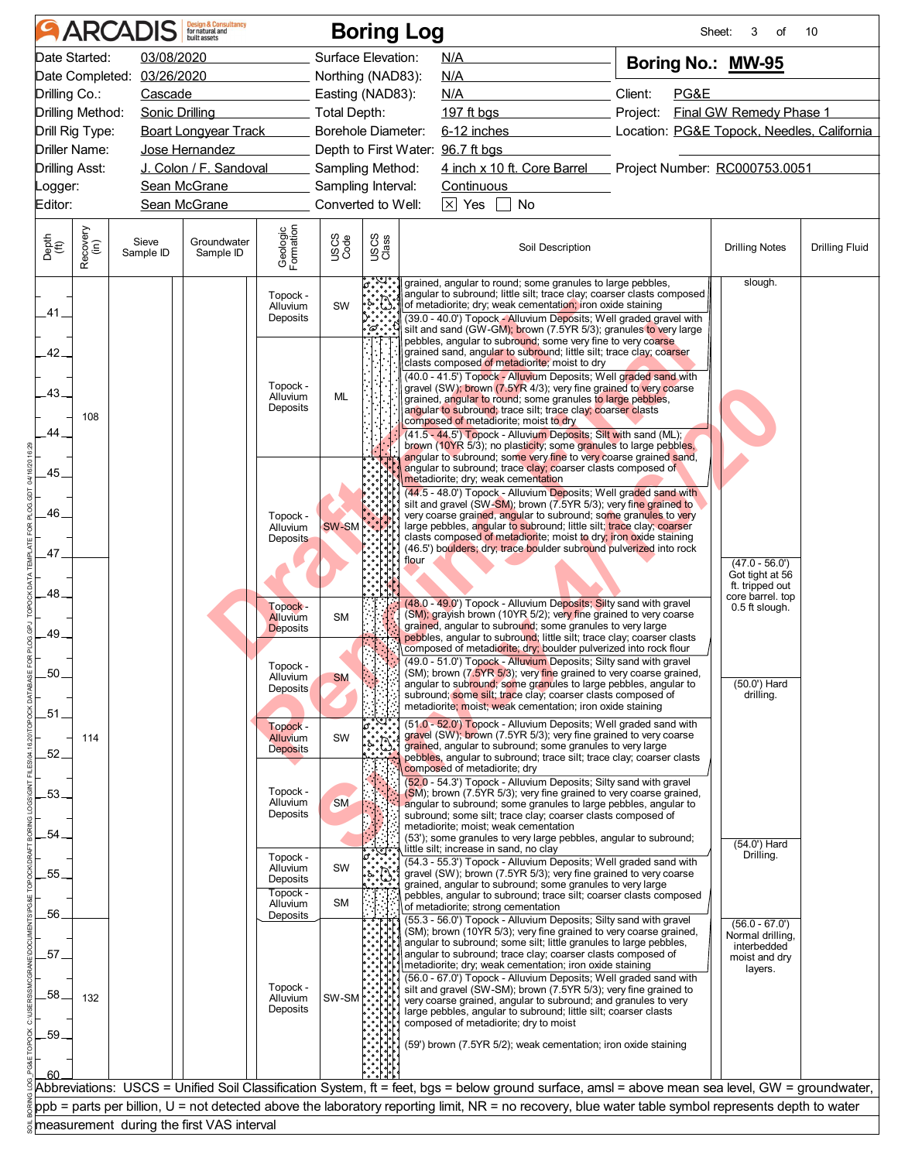|               |                  | <b>ARCADIS</b>             | <b>Design &amp; Consultancy</b><br>for natural and |                       |                | <b>Boring Log</b>         |                                                                                                                                                                                                   |          |      | 3<br>Sheet:<br>of                          | 10                    |
|---------------|------------------|----------------------------|----------------------------------------------------|-----------------------|----------------|---------------------------|---------------------------------------------------------------------------------------------------------------------------------------------------------------------------------------------------|----------|------|--------------------------------------------|-----------------------|
|               | Date Started:    | 03/08/2020                 |                                                    |                       |                | Surface Elevation:        | N/A                                                                                                                                                                                               |          |      | Boring No.: MW-95                          |                       |
|               |                  | Date Completed: 03/26/2020 |                                                    |                       |                | Northing (NAD83):         | <b>N/A</b>                                                                                                                                                                                        |          |      |                                            |                       |
|               | Drilling Co.:    | Cascade                    |                                                    |                       |                | Easting (NAD83):          | N/A                                                                                                                                                                                               | Client:  | PG&E |                                            |                       |
|               | Drilling Method: | Sonic Drilling             |                                                    |                       | Total Depth:   |                           | 197 ft bgs                                                                                                                                                                                        | Project: |      | Final GW Remedy Phase 1                    |                       |
|               | Drill Rig Type:  |                            | <b>Boart Longyear Track</b>                        |                       |                | <b>Borehole Diameter:</b> | 6-12 inches                                                                                                                                                                                       |          |      | Location: PG&E Topock, Needles, California |                       |
|               | Driller Name:    |                            | Jose Hernandez                                     |                       |                |                           | Depth to First Water: 96.7 ft bgs                                                                                                                                                                 |          |      |                                            |                       |
|               | Drilling Asst:   |                            | J. Colon / F. Sandoval                             |                       |                | Sampling Method:          | 4 inch x 10 ft. Core Barrel Project Number: RC000753.0051                                                                                                                                         |          |      |                                            |                       |
| _ogger:       |                  |                            | Sean McGrane                                       |                       |                | Sampling Interval:        | Continuous                                                                                                                                                                                        |          |      |                                            |                       |
| Editor:       |                  |                            | Sean McGrane                                       |                       |                | Converted to Well:        | $\overline{\times}$ Yes<br>No                                                                                                                                                                     |          |      |                                            |                       |
| Depth<br>(ft) | Recovery<br>(in) | Sieve<br>Sample ID         | Groundwater<br>Sample ID                           | Geologic<br>Formation | USCS<br>Code   | USCS<br>Class             | Soil Description                                                                                                                                                                                  |          |      | <b>Drilling Notes</b>                      | <b>Drilling Fluid</b> |
| .41.          |                  |                            |                                                    | Topock -<br>Alluvium  | SW             |                           | grained, angular to round; some granules to large pebbles,<br>angular to subround; little silt; trace clay; coarser clasts composed<br>of metadiorite; dry; weak cementation; iron oxide staining |          |      | slough.                                    |                       |
|               |                  |                            |                                                    | Deposits              |                | $\cdot \sigma \cdot$      | (39.0 - 40.0') Topock - Alluvium Deposits; Well graded gravel with<br>silt and sand (GW-GM); brown (7.5YR 5/3); granules to very large                                                            |          |      |                                            |                       |
|               |                  |                            |                                                    |                       |                |                           | pebbles, angular to subround; some very fine to very coarse                                                                                                                                       |          |      |                                            |                       |
| $-42-$        |                  |                            |                                                    |                       |                |                           | grained sand, angular to subround; little silt; trace clay; coarser<br>clasts composed of metadiorite; moist to dry                                                                               |          |      |                                            |                       |
|               |                  |                            |                                                    | Topock -              |                |                           | (40.0 - 41.5') Topock - Alluvium Deposits; Well graded sand with<br>gravel (SW); brown (7.5YR 4/3); very fine grained to very coarse                                                              |          |      |                                            |                       |
| $-43-$        |                  |                            |                                                    | Alluvium<br>Deposits  | <b>ML</b>      |                           | grained, angular to round; some granules to large pebbles,<br>angular to subround; trace silt; trace clay; coarser clasts                                                                         |          |      |                                            |                       |
|               | 108              |                            |                                                    |                       |                |                           | composed of metadiorite; moist to dry                                                                                                                                                             |          |      |                                            |                       |
| 44_           |                  |                            |                                                    |                       |                |                           | (41.5 - 44.5') Topock - Alluvium Deposits; Silt with sand (ML);<br>brown (10YR 5/3); no plasticity; some granules to large pebbles,                                                               |          |      |                                            |                       |
|               |                  |                            |                                                    |                       |                |                           | angular to subround; some very fine to very coarse grained sand,<br>angular to subround; trace clay; coarser clasts composed of                                                                   |          |      |                                            |                       |
| .45.          |                  |                            |                                                    |                       |                |                           | metadiorite; dry; weak cementation                                                                                                                                                                |          |      |                                            |                       |
|               |                  |                            |                                                    |                       |                |                           | (44.5 - 48.0') Topock - Alluvium Deposits; Well graded sand with<br>silt and gravel (SW-SM); brown (7.5YR 5/3); very fine grained to                                                              |          |      |                                            |                       |
| .46.          |                  |                            |                                                    | Topock -<br>Alluvium  | SW-SM          |                           | very coarse grained, angular to subround; some granules to very<br>large pebbles, angular to subround; little silt; trace clay; coarser                                                           |          |      |                                            |                       |
|               |                  |                            |                                                    | <b>Deposits</b>       |                |                           | clasts composed of metadiorite; moist to dry; iron oxide staining                                                                                                                                 |          |      |                                            |                       |
| 47            |                  |                            |                                                    |                       |                |                           | (46.5') boulders; dry; trace boulder subround pulverized into rock<br>flour                                                                                                                       |          |      | $(47.0 - 56.0')$                           |                       |
|               |                  |                            |                                                    |                       |                |                           |                                                                                                                                                                                                   |          |      | Got tight at 56<br>ft. tripped out         |                       |
| .48.          |                  |                            |                                                    |                       |                |                           | (48.0 - 49.0') Topock - Alluvium Deposits; Silty sand with gravel                                                                                                                                 |          |      | core barrel. top                           |                       |
|               |                  |                            |                                                    | Topock -<br>Alluvium  | <b>SM</b>      |                           | (SM); grayish brown (10YR 5/2); very fine grained to very coarse                                                                                                                                  |          |      | 0.5 ft slough.                             |                       |
| .49.          |                  |                            |                                                    | <b>Deposits</b>       |                |                           | grained, angular to subround; some granules to very large<br>pebbles, angular to subround; little silt; trace clay; coarser clasts                                                                |          |      |                                            |                       |
|               |                  |                            |                                                    |                       |                |                           | composed of metadiorite; dry; boulder pulverized into rock flour<br>(49.0 - 51.0') Topock - Alluvium Deposits; Silty sand with gravel                                                             |          |      |                                            |                       |
| 50            |                  |                            |                                                    | Topock -<br>Alluvium  | <b>SM</b>      |                           | (SM); brown (7.5YR 5/3); very fine grained to very coarse grained,                                                                                                                                |          |      | $(50.0')$ Hard                             |                       |
|               |                  |                            |                                                    | <b>Deposits</b>       |                |                           | angular to subround; some granules to large pebbles, angular to<br>subround; some silt; trace clay; coarser clasts composed of                                                                    |          |      | drilling.                                  |                       |
| .51.          |                  |                            |                                                    |                       |                |                           | metadiorite; moist; weak cementation; iron oxide staining                                                                                                                                         |          |      |                                            |                       |
|               | 114              |                            |                                                    | Topock -<br>Alluvium  | SW             | $\boldsymbol{c}$ .        | (51.0 - 52.0') Topock - Alluvium Deposits; Well graded sand with<br>gravel (SW); brown (7.5YR 5/3); very fine grained to very coarse                                                              |          |      |                                            |                       |
| .52.          |                  |                            |                                                    | Deposits              |                |                           | grained, angular to subround; some granules to very large<br>pebbles, angular to subround; trace silt; trace clay; coarser clasts                                                                 |          |      |                                            |                       |
|               |                  |                            |                                                    |                       |                |                           | composed of metadiorite; dry                                                                                                                                                                      |          |      |                                            |                       |
| .53.          |                  |                            |                                                    | Topock -              |                |                           | (52.0 - 54.3') Topock - Alluvium Deposits; Silty sand with gravel<br>(SM); brown (7.5YR 5/3); very fine grained to very coarse grained,                                                           |          |      |                                            |                       |
|               |                  |                            |                                                    | Alluvium<br>Deposits  | <b>SM</b>      |                           | angular to subround; some granules to large pebbles, angular to<br>subround; some silt; trace clay; coarser clasts composed of                                                                    |          |      |                                            |                       |
| .54.          |                  |                            |                                                    |                       |                |                           | metadiorite; moist; weak cementation<br>(53'); some granules to very large pebbles, angular to subround;                                                                                          |          |      |                                            |                       |
|               |                  |                            |                                                    | Topock -              |                |                           | little silt; increase in sand, no clay                                                                                                                                                            |          |      | $(54.0')$ Hard<br>Drilling.                |                       |
| .55.          |                  |                            |                                                    | Alluvium              | SW             |                           | (54.3 - 55.3') Topock - Alluvium Deposits; Well graded sand with<br>gravel (SW); brown (7.5YR 5/3); very fine grained to very coarse                                                              |          |      |                                            |                       |
|               |                  |                            |                                                    | Deposits<br>Topock -  |                |                           | grained, angular to subround; some granules to very large<br>pebbles, angular to subround; trace silt; coarser clasts composed                                                                    |          |      |                                            |                       |
| .56.          |                  |                            |                                                    | Alluvium<br>Deposits  | SM             |                           | of metadiorite; strong cementation                                                                                                                                                                |          |      |                                            |                       |
|               |                  |                            |                                                    |                       |                |                           | (55.3 - 56.0') Topock - Alluvium Deposits; Silty sand with gravel<br>(SM); brown (10YR 5/3); very fine grained to very coarse grained,                                                            |          |      | $(56.0 - 67.0')$<br>Normal drilling,       |                       |
| .57           |                  |                            |                                                    |                       |                |                           | angular to subround; some silt; little granules to large pebbles,<br>angular to subround; trace clay; coarser clasts composed of                                                                  |          |      | interbedded                                |                       |
|               |                  |                            |                                                    |                       |                |                           | metadiorite; dry; weak cementation; iron oxide staining                                                                                                                                           |          |      | moist and dry<br>layers.                   |                       |
| .58.          |                  |                            |                                                    | Topock -              |                |                           | (56.0 - 67.0') Topock - Alluvium Deposits; Well graded sand with<br>silt and gravel (SW-SM); brown (7.5YR 5/3); very fine grained to                                                              |          |      |                                            |                       |
|               | 132              |                            |                                                    | Alluvium<br>Deposits  | $SW-SM$ $\sim$ |                           | very coarse grained, angular to subround; and granules to very<br>large pebbles, angular to subround; little silt; coarser clasts                                                                 |          |      |                                            |                       |
|               |                  |                            |                                                    |                       |                |                           | composed of metadiorite; dry to moist                                                                                                                                                             |          |      |                                            |                       |
| .59.          |                  |                            |                                                    |                       |                |                           | (59') brown (7.5YR 5/2); weak cementation; iron oxide staining                                                                                                                                    |          |      |                                            |                       |
|               |                  |                            |                                                    |                       |                |                           |                                                                                                                                                                                                   |          |      |                                            |                       |
|               |                  |                            |                                                    |                       |                |                           | Abbreviations: USCS = Unified Soil Classification System, ft = feet, bgs = below ground surface, amsl = above mean sea level, GW = groundwater,                                                   |          |      |                                            |                       |
|               |                  |                            |                                                    |                       |                |                           | ppb = parts per billion, U = not detected above the laboratory reporting limit, NR = no recovery, blue water table symbol represents depth to water                                               |          |      |                                            |                       |
|               |                  |                            |                                                    |                       |                |                           |                                                                                                                                                                                                   |          |      |                                            |                       |
|               |                  |                            | measurement during the first VAS interval          |                       |                |                           |                                                                                                                                                                                                   |          |      |                                            |                       |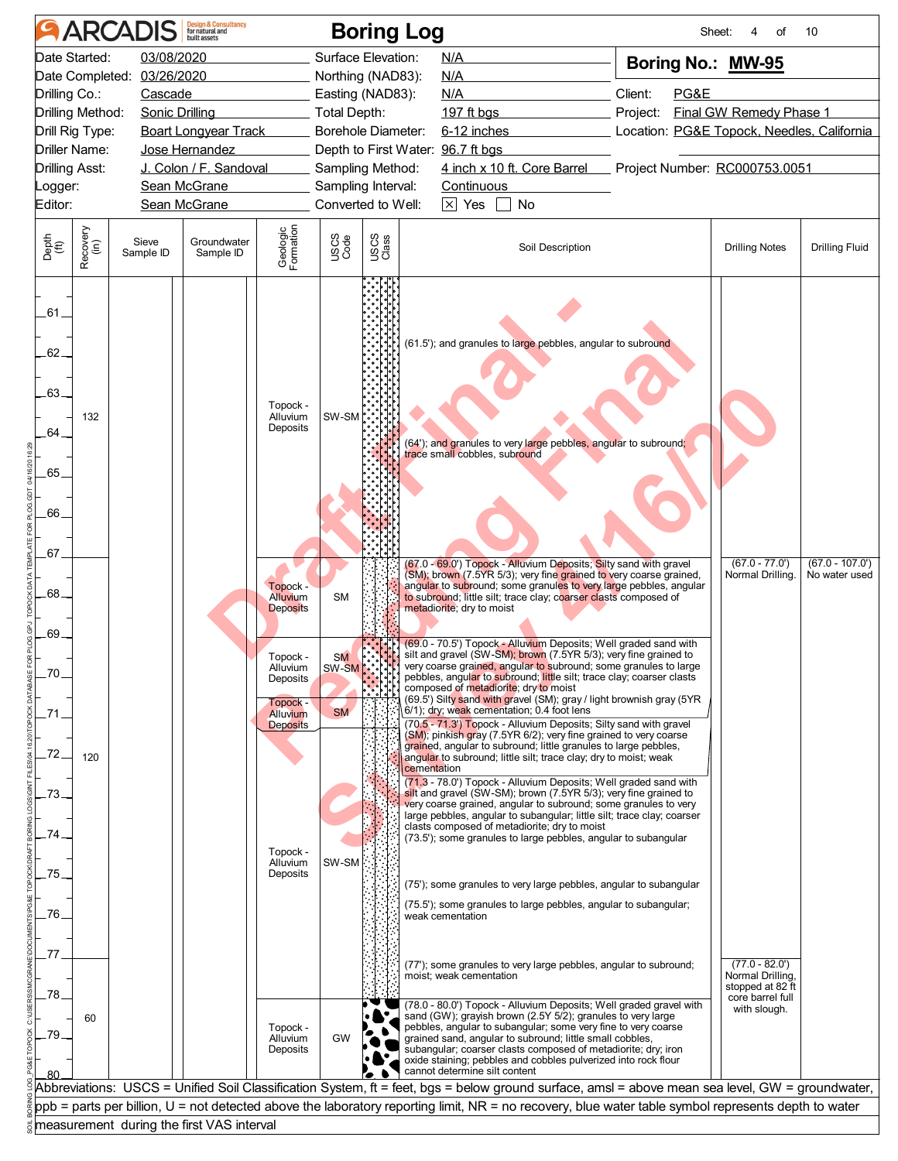| Date Started:<br>03/08/2020<br>Surface Elevation:<br>N/A<br>Boring No.: MW-95<br>Date Completed: 03/26/2020<br>Northing (NAD83):<br>N/A<br>Client:<br>Drilling Co.:<br>PG&E<br>Cascade<br>Easting (NAD83):<br>N/A<br>Drilling Method:<br><b>Final GW Remedy Phase 1</b><br>Sonic Drilling<br>Total Depth:<br>197 ft bgs<br>Project:<br><b>Boart Longyear Track</b><br>Borehole Diameter:<br>6-12 inches<br>Drill Rig Type:<br>Depth to First Water: 96.7 ft bgs<br>Driller Name:<br>Jose Hernandez<br>4 inch x 10 ft. Core Barrel Project Number: RC000753.0051<br>J. Colon / F. Sandoval<br>Sampling Method:<br>Sampling Interval:<br>Sean McGrane<br><b>Continuous</b><br>Converted to Well:<br>$\times$ Yes<br>Sean McGrane<br><b>No</b><br>Geologic<br>Formation<br>Recovery<br>(in)<br>USCS<br>Code<br>USCS<br>Class<br>Groundwater<br>Sieve<br><b>Drilling Fluid</b><br>Soil Description<br><b>Drilling Notes</b><br>Sample ID<br>Sample ID<br>(61.5'); and granules to large pebbles, angular to subround<br>Topock -<br>SW-SM<br>132<br>Alluvium<br>Deposits<br>64.<br>(64'); and granules to very large pebbles, angular to subround;<br>trace small cobbles, subround<br>66.<br>(67.0 - 69.0') Topock - Alluvium Deposits; Silty sand with gravel<br>$(67.0 - 77.0')$<br>$(67.0 - 107.0')$<br>(SM); brown (7.5YR 5/3); very fine grained to very coarse grained,<br>Normal Drilling.<br>No water used<br>angular to subround; some granules to very large pebbles, angular<br>Topock -<br>68.<br>Alluvium<br><b>SM</b><br>to subround; little silt; trace clay; coarser clasts composed of<br>metadiorite; dry to moist<br><b>Deposits</b><br>(69.0 - 70.5') Topock - Alluvium Deposits; Well graded sand with<br>silt and gravel (SW-SM); brown (7.5YR 5/3); very fine grained to<br>Topock -<br><b>SM</b><br>very coarse grained, angular to subround; some granules to large<br>Alluvium<br>SW-SM<br>70<br>pebbles, angular to subround; little silt; trace clay; coarser clasts<br>Deposits<br>composed of metadiorite; dry to moist<br>(69.5') Silty sand with gravel (SM); gray / light brownish gray (5YR<br>Topock -<br>6/1); dry; weak cementation; 0.4 foot lens<br><b>SM</b><br>Alluvium<br>(70.5 - 71.3') Topock - Alluvium Deposits; Silty sand with gravel<br><b>Deposits</b><br>(SM); pinkish gray (7.5YR 6/2); very fine grained to very coarse<br>grained, angular to subround; little granules to large pebbles,<br>72.<br>120<br>angular to subround; little silt; trace clay; dry to moist; weak<br>cementation<br>(71.3 - 78.0') Topock - Alluvium Deposits; Well graded sand with<br>silt and gravel (SW-SM); brown (7.5YR 5/3); very fine grained to<br>73<br>very coarse grained, angular to subround; some granules to very<br>large pebbles, angular to subangular; little silt; trace clay; coarser<br>clasts composed of metadiorite; dry to moist<br>74<br>(73.5'); some granules to large pebbles, angular to subangular<br>Topock -<br>SW-SM<br>Alluvium<br>75.<br>Deposits<br>(75'); some granules to very large pebbles, angular to subangular<br>(75.5'); some granules to large pebbles, angular to subangular;<br>.76.<br>weak cementation<br>.77<br>$(77.0 - 82.0')$<br>(77'); some granules to very large pebbles, angular to subround;<br>Normal Drilling,<br>moist; weak cementation<br>stopped at 82 ft<br>78.<br>core barrel full<br>(78.0 - 80.0') Topock - Alluvium Deposits; Well graded gravel with<br>with slough.<br>sand (GW); grayish brown (2.5Y 5/2); granules to very large<br>60<br>pebbles, angular to subangular; some very fine to very coarse<br>Topock -<br>79<br><b>GW</b><br>grained sand, angular to subround; little small cobbles,<br>Alluvium<br>subangular; coarser clasts composed of metadiorite; dry; iron<br>Deposits<br>oxide staining; pebbles and cobbles pulverized into rock flour<br>cannot determine silt content<br>ppb = parts per billion, U = not detected above the laboratory reporting limit, NR = no recovery, blue water table symbol represents depth to water<br>measurement during the first VAS interval |                                  | <b>ARCADIS</b> | <b>Design &amp; Consultancy</b><br>for natural and |  | <b>Boring Log</b> |  | Sheet: | οf | 10 |
|--------------------------------------------------------------------------------------------------------------------------------------------------------------------------------------------------------------------------------------------------------------------------------------------------------------------------------------------------------------------------------------------------------------------------------------------------------------------------------------------------------------------------------------------------------------------------------------------------------------------------------------------------------------------------------------------------------------------------------------------------------------------------------------------------------------------------------------------------------------------------------------------------------------------------------------------------------------------------------------------------------------------------------------------------------------------------------------------------------------------------------------------------------------------------------------------------------------------------------------------------------------------------------------------------------------------------------------------------------------------------------------------------------------------------------------------------------------------------------------------------------------------------------------------------------------------------------------------------------------------------------------------------------------------------------------------------------------------------------------------------------------------------------------------------------------------------------------------------------------------------------------------------------------------------------------------------------------------------------------------------------------------------------------------------------------------------------------------------------------------------------------------------------------------------------------------------------------------------------------------------------------------------------------------------------------------------------------------------------------------------------------------------------------------------------------------------------------------------------------------------------------------------------------------------------------------------------------------------------------------------------------------------------------------------------------------------------------------------------------------------------------------------------------------------------------------------------------------------------------------------------------------------------------------------------------------------------------------------------------------------------------------------------------------------------------------------------------------------------------------------------------------------------------------------------------------------------------------------------------------------------------------------------------------------------------------------------------------------------------------------------------------------------------------------------------------------------------------------------------------------------------------------------------------------------------------------------------------------------------------------------------------------------------------------------------------------------------------------------------------------------------------------------------------------------------------------------------------------------------------------------------------------------------------------------------------------------------------------------------------------------------------------------------------------------------------------------------------------------------|----------------------------------|----------------|----------------------------------------------------|--|-------------------|--|--------|----|----|
| Location: PG&E Topock, Needles, California<br>Abbreviations: USCS = Unified Soil Classification System, ft = feet, bgs = below ground surface, amsl = above mean sea level, GW = groundwater,                                                                                                                                                                                                                                                                                                                                                                                                                                                                                                                                                                                                                                                                                                                                                                                                                                                                                                                                                                                                                                                                                                                                                                                                                                                                                                                                                                                                                                                                                                                                                                                                                                                                                                                                                                                                                                                                                                                                                                                                                                                                                                                                                                                                                                                                                                                                                                                                                                                                                                                                                                                                                                                                                                                                                                                                                                                                                                                                                                                                                                                                                                                                                                                                                                                                                                                                                                                                                                                                                                                                                                                                                                                                                                                                                                                                                                                                                                                |                                  |                |                                                    |  |                   |  |        |    |    |
|                                                                                                                                                                                                                                                                                                                                                                                                                                                                                                                                                                                                                                                                                                                                                                                                                                                                                                                                                                                                                                                                                                                                                                                                                                                                                                                                                                                                                                                                                                                                                                                                                                                                                                                                                                                                                                                                                                                                                                                                                                                                                                                                                                                                                                                                                                                                                                                                                                                                                                                                                                                                                                                                                                                                                                                                                                                                                                                                                                                                                                                                                                                                                                                                                                                                                                                                                                                                                                                                                                                                                                                                                                                                                                                                                                                                                                                                                                                                                                                                                                                                                                              |                                  |                |                                                    |  |                   |  |        |    |    |
|                                                                                                                                                                                                                                                                                                                                                                                                                                                                                                                                                                                                                                                                                                                                                                                                                                                                                                                                                                                                                                                                                                                                                                                                                                                                                                                                                                                                                                                                                                                                                                                                                                                                                                                                                                                                                                                                                                                                                                                                                                                                                                                                                                                                                                                                                                                                                                                                                                                                                                                                                                                                                                                                                                                                                                                                                                                                                                                                                                                                                                                                                                                                                                                                                                                                                                                                                                                                                                                                                                                                                                                                                                                                                                                                                                                                                                                                                                                                                                                                                                                                                                              |                                  |                |                                                    |  |                   |  |        |    |    |
|                                                                                                                                                                                                                                                                                                                                                                                                                                                                                                                                                                                                                                                                                                                                                                                                                                                                                                                                                                                                                                                                                                                                                                                                                                                                                                                                                                                                                                                                                                                                                                                                                                                                                                                                                                                                                                                                                                                                                                                                                                                                                                                                                                                                                                                                                                                                                                                                                                                                                                                                                                                                                                                                                                                                                                                                                                                                                                                                                                                                                                                                                                                                                                                                                                                                                                                                                                                                                                                                                                                                                                                                                                                                                                                                                                                                                                                                                                                                                                                                                                                                                                              |                                  |                |                                                    |  |                   |  |        |    |    |
|                                                                                                                                                                                                                                                                                                                                                                                                                                                                                                                                                                                                                                                                                                                                                                                                                                                                                                                                                                                                                                                                                                                                                                                                                                                                                                                                                                                                                                                                                                                                                                                                                                                                                                                                                                                                                                                                                                                                                                                                                                                                                                                                                                                                                                                                                                                                                                                                                                                                                                                                                                                                                                                                                                                                                                                                                                                                                                                                                                                                                                                                                                                                                                                                                                                                                                                                                                                                                                                                                                                                                                                                                                                                                                                                                                                                                                                                                                                                                                                                                                                                                                              |                                  |                |                                                    |  |                   |  |        |    |    |
|                                                                                                                                                                                                                                                                                                                                                                                                                                                                                                                                                                                                                                                                                                                                                                                                                                                                                                                                                                                                                                                                                                                                                                                                                                                                                                                                                                                                                                                                                                                                                                                                                                                                                                                                                                                                                                                                                                                                                                                                                                                                                                                                                                                                                                                                                                                                                                                                                                                                                                                                                                                                                                                                                                                                                                                                                                                                                                                                                                                                                                                                                                                                                                                                                                                                                                                                                                                                                                                                                                                                                                                                                                                                                                                                                                                                                                                                                                                                                                                                                                                                                                              |                                  |                |                                                    |  |                   |  |        |    |    |
|                                                                                                                                                                                                                                                                                                                                                                                                                                                                                                                                                                                                                                                                                                                                                                                                                                                                                                                                                                                                                                                                                                                                                                                                                                                                                                                                                                                                                                                                                                                                                                                                                                                                                                                                                                                                                                                                                                                                                                                                                                                                                                                                                                                                                                                                                                                                                                                                                                                                                                                                                                                                                                                                                                                                                                                                                                                                                                                                                                                                                                                                                                                                                                                                                                                                                                                                                                                                                                                                                                                                                                                                                                                                                                                                                                                                                                                                                                                                                                                                                                                                                                              | <b>Drilling Asst:</b>            |                |                                                    |  |                   |  |        |    |    |
|                                                                                                                                                                                                                                                                                                                                                                                                                                                                                                                                                                                                                                                                                                                                                                                                                                                                                                                                                                                                                                                                                                                                                                                                                                                                                                                                                                                                                                                                                                                                                                                                                                                                                                                                                                                                                                                                                                                                                                                                                                                                                                                                                                                                                                                                                                                                                                                                                                                                                                                                                                                                                                                                                                                                                                                                                                                                                                                                                                                                                                                                                                                                                                                                                                                                                                                                                                                                                                                                                                                                                                                                                                                                                                                                                                                                                                                                                                                                                                                                                                                                                                              | _ogger:                          |                |                                                    |  |                   |  |        |    |    |
|                                                                                                                                                                                                                                                                                                                                                                                                                                                                                                                                                                                                                                                                                                                                                                                                                                                                                                                                                                                                                                                                                                                                                                                                                                                                                                                                                                                                                                                                                                                                                                                                                                                                                                                                                                                                                                                                                                                                                                                                                                                                                                                                                                                                                                                                                                                                                                                                                                                                                                                                                                                                                                                                                                                                                                                                                                                                                                                                                                                                                                                                                                                                                                                                                                                                                                                                                                                                                                                                                                                                                                                                                                                                                                                                                                                                                                                                                                                                                                                                                                                                                                              | Editor:                          |                |                                                    |  |                   |  |        |    |    |
|                                                                                                                                                                                                                                                                                                                                                                                                                                                                                                                                                                                                                                                                                                                                                                                                                                                                                                                                                                                                                                                                                                                                                                                                                                                                                                                                                                                                                                                                                                                                                                                                                                                                                                                                                                                                                                                                                                                                                                                                                                                                                                                                                                                                                                                                                                                                                                                                                                                                                                                                                                                                                                                                                                                                                                                                                                                                                                                                                                                                                                                                                                                                                                                                                                                                                                                                                                                                                                                                                                                                                                                                                                                                                                                                                                                                                                                                                                                                                                                                                                                                                                              | Depth<br>(ft)                    |                |                                                    |  |                   |  |        |    |    |
|                                                                                                                                                                                                                                                                                                                                                                                                                                                                                                                                                                                                                                                                                                                                                                                                                                                                                                                                                                                                                                                                                                                                                                                                                                                                                                                                                                                                                                                                                                                                                                                                                                                                                                                                                                                                                                                                                                                                                                                                                                                                                                                                                                                                                                                                                                                                                                                                                                                                                                                                                                                                                                                                                                                                                                                                                                                                                                                                                                                                                                                                                                                                                                                                                                                                                                                                                                                                                                                                                                                                                                                                                                                                                                                                                                                                                                                                                                                                                                                                                                                                                                              | .61.<br>$.62-$<br>$-63-$<br>.65. |                |                                                    |  |                   |  |        |    |    |
|                                                                                                                                                                                                                                                                                                                                                                                                                                                                                                                                                                                                                                                                                                                                                                                                                                                                                                                                                                                                                                                                                                                                                                                                                                                                                                                                                                                                                                                                                                                                                                                                                                                                                                                                                                                                                                                                                                                                                                                                                                                                                                                                                                                                                                                                                                                                                                                                                                                                                                                                                                                                                                                                                                                                                                                                                                                                                                                                                                                                                                                                                                                                                                                                                                                                                                                                                                                                                                                                                                                                                                                                                                                                                                                                                                                                                                                                                                                                                                                                                                                                                                              | .67<br>.69.                      |                |                                                    |  |                   |  |        |    |    |
|                                                                                                                                                                                                                                                                                                                                                                                                                                                                                                                                                                                                                                                                                                                                                                                                                                                                                                                                                                                                                                                                                                                                                                                                                                                                                                                                                                                                                                                                                                                                                                                                                                                                                                                                                                                                                                                                                                                                                                                                                                                                                                                                                                                                                                                                                                                                                                                                                                                                                                                                                                                                                                                                                                                                                                                                                                                                                                                                                                                                                                                                                                                                                                                                                                                                                                                                                                                                                                                                                                                                                                                                                                                                                                                                                                                                                                                                                                                                                                                                                                                                                                              |                                  |                |                                                    |  |                   |  |        |    |    |
|                                                                                                                                                                                                                                                                                                                                                                                                                                                                                                                                                                                                                                                                                                                                                                                                                                                                                                                                                                                                                                                                                                                                                                                                                                                                                                                                                                                                                                                                                                                                                                                                                                                                                                                                                                                                                                                                                                                                                                                                                                                                                                                                                                                                                                                                                                                                                                                                                                                                                                                                                                                                                                                                                                                                                                                                                                                                                                                                                                                                                                                                                                                                                                                                                                                                                                                                                                                                                                                                                                                                                                                                                                                                                                                                                                                                                                                                                                                                                                                                                                                                                                              |                                  |                |                                                    |  |                   |  |        |    |    |
|                                                                                                                                                                                                                                                                                                                                                                                                                                                                                                                                                                                                                                                                                                                                                                                                                                                                                                                                                                                                                                                                                                                                                                                                                                                                                                                                                                                                                                                                                                                                                                                                                                                                                                                                                                                                                                                                                                                                                                                                                                                                                                                                                                                                                                                                                                                                                                                                                                                                                                                                                                                                                                                                                                                                                                                                                                                                                                                                                                                                                                                                                                                                                                                                                                                                                                                                                                                                                                                                                                                                                                                                                                                                                                                                                                                                                                                                                                                                                                                                                                                                                                              |                                  |                |                                                    |  |                   |  |        |    |    |
|                                                                                                                                                                                                                                                                                                                                                                                                                                                                                                                                                                                                                                                                                                                                                                                                                                                                                                                                                                                                                                                                                                                                                                                                                                                                                                                                                                                                                                                                                                                                                                                                                                                                                                                                                                                                                                                                                                                                                                                                                                                                                                                                                                                                                                                                                                                                                                                                                                                                                                                                                                                                                                                                                                                                                                                                                                                                                                                                                                                                                                                                                                                                                                                                                                                                                                                                                                                                                                                                                                                                                                                                                                                                                                                                                                                                                                                                                                                                                                                                                                                                                                              |                                  |                |                                                    |  |                   |  |        |    |    |
|                                                                                                                                                                                                                                                                                                                                                                                                                                                                                                                                                                                                                                                                                                                                                                                                                                                                                                                                                                                                                                                                                                                                                                                                                                                                                                                                                                                                                                                                                                                                                                                                                                                                                                                                                                                                                                                                                                                                                                                                                                                                                                                                                                                                                                                                                                                                                                                                                                                                                                                                                                                                                                                                                                                                                                                                                                                                                                                                                                                                                                                                                                                                                                                                                                                                                                                                                                                                                                                                                                                                                                                                                                                                                                                                                                                                                                                                                                                                                                                                                                                                                                              |                                  |                |                                                    |  |                   |  |        |    |    |
|                                                                                                                                                                                                                                                                                                                                                                                                                                                                                                                                                                                                                                                                                                                                                                                                                                                                                                                                                                                                                                                                                                                                                                                                                                                                                                                                                                                                                                                                                                                                                                                                                                                                                                                                                                                                                                                                                                                                                                                                                                                                                                                                                                                                                                                                                                                                                                                                                                                                                                                                                                                                                                                                                                                                                                                                                                                                                                                                                                                                                                                                                                                                                                                                                                                                                                                                                                                                                                                                                                                                                                                                                                                                                                                                                                                                                                                                                                                                                                                                                                                                                                              |                                  |                |                                                    |  |                   |  |        |    |    |
|                                                                                                                                                                                                                                                                                                                                                                                                                                                                                                                                                                                                                                                                                                                                                                                                                                                                                                                                                                                                                                                                                                                                                                                                                                                                                                                                                                                                                                                                                                                                                                                                                                                                                                                                                                                                                                                                                                                                                                                                                                                                                                                                                                                                                                                                                                                                                                                                                                                                                                                                                                                                                                                                                                                                                                                                                                                                                                                                                                                                                                                                                                                                                                                                                                                                                                                                                                                                                                                                                                                                                                                                                                                                                                                                                                                                                                                                                                                                                                                                                                                                                                              |                                  |                |                                                    |  |                   |  |        |    |    |
|                                                                                                                                                                                                                                                                                                                                                                                                                                                                                                                                                                                                                                                                                                                                                                                                                                                                                                                                                                                                                                                                                                                                                                                                                                                                                                                                                                                                                                                                                                                                                                                                                                                                                                                                                                                                                                                                                                                                                                                                                                                                                                                                                                                                                                                                                                                                                                                                                                                                                                                                                                                                                                                                                                                                                                                                                                                                                                                                                                                                                                                                                                                                                                                                                                                                                                                                                                                                                                                                                                                                                                                                                                                                                                                                                                                                                                                                                                                                                                                                                                                                                                              |                                  |                |                                                    |  |                   |  |        |    |    |
|                                                                                                                                                                                                                                                                                                                                                                                                                                                                                                                                                                                                                                                                                                                                                                                                                                                                                                                                                                                                                                                                                                                                                                                                                                                                                                                                                                                                                                                                                                                                                                                                                                                                                                                                                                                                                                                                                                                                                                                                                                                                                                                                                                                                                                                                                                                                                                                                                                                                                                                                                                                                                                                                                                                                                                                                                                                                                                                                                                                                                                                                                                                                                                                                                                                                                                                                                                                                                                                                                                                                                                                                                                                                                                                                                                                                                                                                                                                                                                                                                                                                                                              |                                  |                |                                                    |  |                   |  |        |    |    |
|                                                                                                                                                                                                                                                                                                                                                                                                                                                                                                                                                                                                                                                                                                                                                                                                                                                                                                                                                                                                                                                                                                                                                                                                                                                                                                                                                                                                                                                                                                                                                                                                                                                                                                                                                                                                                                                                                                                                                                                                                                                                                                                                                                                                                                                                                                                                                                                                                                                                                                                                                                                                                                                                                                                                                                                                                                                                                                                                                                                                                                                                                                                                                                                                                                                                                                                                                                                                                                                                                                                                                                                                                                                                                                                                                                                                                                                                                                                                                                                                                                                                                                              |                                  |                |                                                    |  |                   |  |        |    |    |
|                                                                                                                                                                                                                                                                                                                                                                                                                                                                                                                                                                                                                                                                                                                                                                                                                                                                                                                                                                                                                                                                                                                                                                                                                                                                                                                                                                                                                                                                                                                                                                                                                                                                                                                                                                                                                                                                                                                                                                                                                                                                                                                                                                                                                                                                                                                                                                                                                                                                                                                                                                                                                                                                                                                                                                                                                                                                                                                                                                                                                                                                                                                                                                                                                                                                                                                                                                                                                                                                                                                                                                                                                                                                                                                                                                                                                                                                                                                                                                                                                                                                                                              |                                  |                |                                                    |  |                   |  |        |    |    |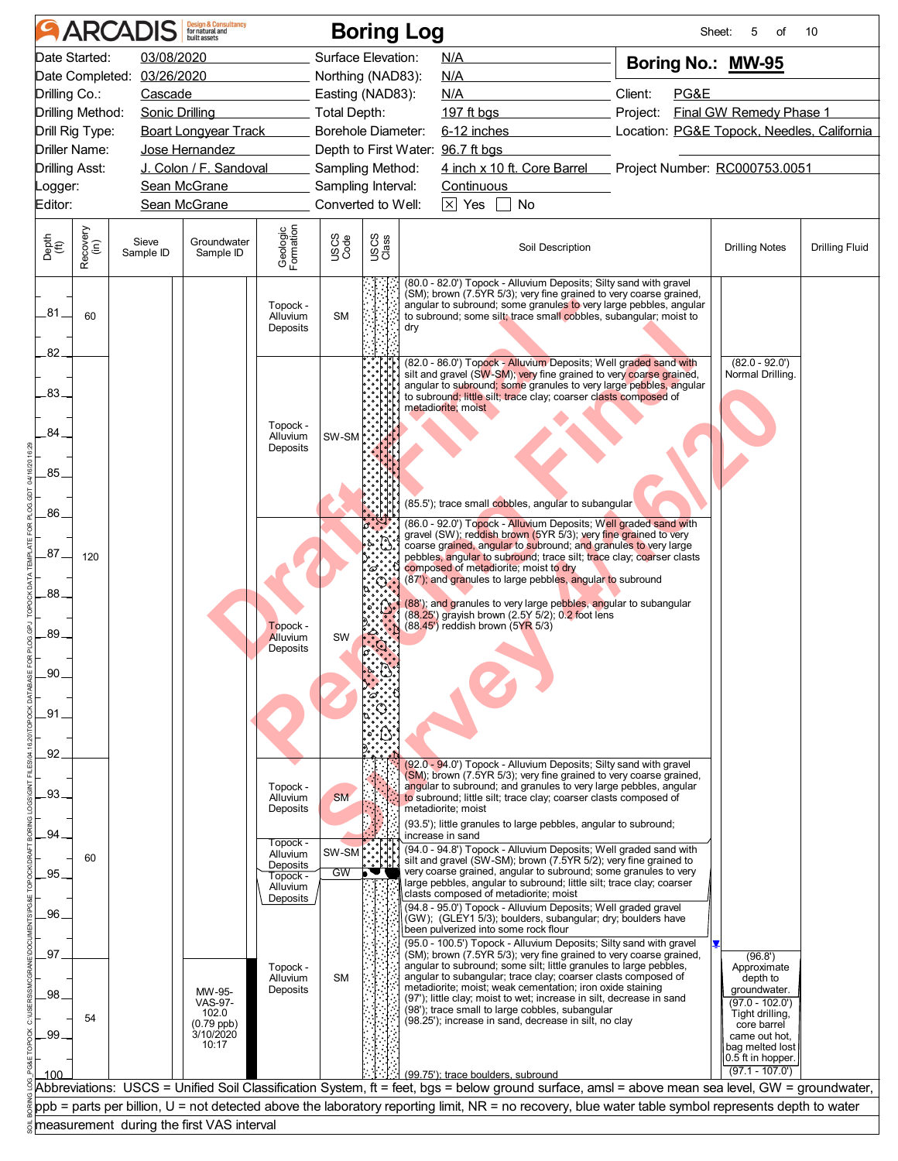|               |                       | <b>ARCADIS</b>             | <b>Design &amp; Consultancy</b><br>for natural and          |                                              |                    |                          | <b>Boring Log</b><br>Sheet:<br>10<br>5<br>of                                                                                                                                                                                                                                                                                                                                                        |
|---------------|-----------------------|----------------------------|-------------------------------------------------------------|----------------------------------------------|--------------------|--------------------------|-----------------------------------------------------------------------------------------------------------------------------------------------------------------------------------------------------------------------------------------------------------------------------------------------------------------------------------------------------------------------------------------------------|
|               | Date Started:         | 03/08/2020                 |                                                             |                                              | Surface Elevation: |                          | N/A<br>Boring No.: MW-95                                                                                                                                                                                                                                                                                                                                                                            |
|               |                       | Date Completed: 03/26/2020 |                                                             |                                              | Northing (NAD83):  |                          | N/A                                                                                                                                                                                                                                                                                                                                                                                                 |
| Drilling Co.: |                       | Cascade                    |                                                             |                                              | Easting (NAD83):   |                          | Client:<br>PG&E<br>N/A                                                                                                                                                                                                                                                                                                                                                                              |
|               | Drilling Method:      | Sonic Drilling             |                                                             |                                              | Total Depth:       |                          | Final GW Remedy Phase 1<br>197 ft bgs<br>Project:                                                                                                                                                                                                                                                                                                                                                   |
|               | Drill Rig Type:       |                            | <b>Boart Longyear Track</b>                                 |                                              | Borehole Diameter: |                          | 6-12 inches<br>Location: PG&E Topock, Needles, California                                                                                                                                                                                                                                                                                                                                           |
|               | Driller Name:         |                            | Jose Hernandez                                              |                                              |                    |                          | Depth to First Water: 96.7 ft bgs                                                                                                                                                                                                                                                                                                                                                                   |
|               | <b>Drilling Asst:</b> |                            | J. Colon / F. Sandoval                                      |                                              | Sampling Method:   |                          | 4 inch x 10 ft. Core Barrel Project Number: RC000753.0051                                                                                                                                                                                                                                                                                                                                           |
| Logger:       |                       |                            | Sean McGrane                                                |                                              | Sampling Interval: |                          | <b>Continuous</b>                                                                                                                                                                                                                                                                                                                                                                                   |
| Editor:       |                       |                            | Sean McGrane                                                |                                              | Converted to Well: |                          | $\boxed{\times}$ Yes $\boxed{\phantom{1}}$<br>No                                                                                                                                                                                                                                                                                                                                                    |
| Depth<br>(ft) | Recovery<br>(in)      | Sieve<br>Sample ID         | Groundwater<br>Sample ID                                    | Geologic<br>Formation                        | USCS<br>Code       | USCS<br>Class            | <b>Drilling Fluid</b><br>Soil Description<br><b>Drilling Notes</b>                                                                                                                                                                                                                                                                                                                                  |
| -81           | 60                    |                            |                                                             | Topock -<br>Alluvium<br>Deposits             | <b>SM</b>          |                          | (80.0 - 82.0') Topock - Alluvium Deposits; Silty sand with gravel<br>(SM); brown (7.5YR 5/3); very fine grained to very coarse grained,<br>angular to subround; some granules to very large pebbles, angular<br>to subround; some silt; trace small cobbles, subangular; moist to<br>dry                                                                                                            |
| 82            |                       |                            |                                                             |                                              |                    |                          |                                                                                                                                                                                                                                                                                                                                                                                                     |
| $-83-$        |                       |                            |                                                             | Topock -                                     |                    |                          | (82.0 - 86.0') Topock - Alluvium Deposits; Well graded sand with<br>$(82.0 - 92.0')$<br>silt and gravel (SW-SM); very fine grained to very coarse grained,<br>Normal Drilling.<br>angular to subround; some granules to very large pebbles, angular<br>to subround; little silt; trace clay; coarser clasts composed of<br>metadiorite; moist                                                       |
| 84.<br>.85    |                       |                            |                                                             | Alluvium<br>Deposits                         | SW-SM              |                          |                                                                                                                                                                                                                                                                                                                                                                                                     |
| .86           |                       |                            |                                                             |                                              |                    |                          | (85.5'); trace small cobbles, angular to subangular<br>(86.0 - 92.0') Topock - Alluvium Deposits; Well graded sand with                                                                                                                                                                                                                                                                             |
| $-87$         | 120                   |                            |                                                             |                                              |                    | °ది ఁ                    | gravel (SW); reddish brown (5YR 5/3); very fine grained to very<br>coarse grained, angular to subround; and granules to very large<br>pebbles, angular to subround; trace silt; trace clay; coarser clasts<br>composed of metadiorite; moist to dry<br>(87'); and granules to large pebbles, angular to subround                                                                                    |
| .88.          |                       |                            |                                                             | Topock -                                     |                    |                          | (88'); and granules to very large pebbles, angular to subangular<br>(88.25') grayish brown (2.5Y 5/2); 0.2 foot lens<br>(88.45') reddish brown (5YR 5/3)                                                                                                                                                                                                                                            |
| .89.<br>.90   |                       |                            |                                                             | Alluvium<br>Deposits                         | SW                 |                          |                                                                                                                                                                                                                                                                                                                                                                                                     |
| .91           |                       |                            |                                                             |                                              |                    |                          |                                                                                                                                                                                                                                                                                                                                                                                                     |
| .92.          |                       |                            |                                                             |                                              |                    |                          |                                                                                                                                                                                                                                                                                                                                                                                                     |
| .93.          |                       |                            |                                                             | Topock -<br>Alluvium<br>Deposits             | <b>SM</b>          |                          | (92.0 - 94.0') Topock - Alluvium Deposits; Silty sand with gravel<br>(SM); brown (7.5YR 5/3); very fine grained to very coarse grained,<br>angular to subround; and granules to very large pebbles, angular<br>to subround; little silt; trace clay; coarser clasts composed of<br>metadiorite; moist<br>(93.5'); little granules to large pebbles, angular to subround;                            |
| .94           |                       |                            |                                                             | Topock -                                     |                    |                          | increase in sand                                                                                                                                                                                                                                                                                                                                                                                    |
| 95.           | 60                    |                            |                                                             | Alluvium<br>Deposits<br>Topock -<br>Alluvium | SW-SM<br><b>GW</b> | $\overline{\phantom{a}}$ | (94.0 - 94.8') Topock - Alluvium Deposits; Well graded sand with<br>silt and gravel (SW-SM); brown (7.5YR 5/2); very fine grained to<br>very coarse grained, angular to subround; some granules to very<br>large pebbles, angular to subround; little silt; trace clay; coarser<br>clasts composed of metadiorite; moist                                                                            |
| .96.          |                       |                            |                                                             | Deposits                                     |                    |                          | (94.8 - 95.0') Topock - Alluvium Deposits; Well graded gravel<br>(GW); (GLEY1 5/3); boulders, subangular; dry; boulders have<br>been pulverized into some rock flour<br>(95.0 - 100.5') Topock - Alluvium Deposits; Silty sand with gravel                                                                                                                                                          |
| .97<br>.98.   |                       |                            | MW-95-                                                      | Topock -<br>Alluvium<br>Deposits             | <b>SM</b>          |                          | (SM); brown (7.5YR 5/3); very fine grained to very coarse grained,<br>(96.8')<br>angular to subround; some silt; little granules to large pebbles,<br>Approximate<br>angular to subangular; trace clay; coarser clasts composed of<br>depth to<br>metadiorite; moist; weak cementation; iron oxide staining<br>groundwater.<br>(97'); little clay; moist to wet; increase in silt, decrease in sand |
| .99.          | 54                    |                            | <b>VAS-97-</b><br>102.0<br>(0.79 ppb)<br>3/10/2020<br>10:17 |                                              |                    |                          | $(97.0 - 102.0')$<br>(98'); trace small to large cobbles, subangular<br>Tight drilling,<br>(98.25'); increase in sand, decrease in silt, no clay<br>core barrel<br>came out hot,<br>bag melted lost                                                                                                                                                                                                 |
| 100           |                       |                            |                                                             |                                              |                    |                          | 0.5 ft in hopper.<br>$(97.1 - 107.0)$                                                                                                                                                                                                                                                                                                                                                               |
|               |                       |                            |                                                             |                                              |                    |                          | (99.75'): trace boulders, subround<br>Abbreviations: USCS = Unified Soil Classification System, ft = feet, bgs = below ground surface, amsl = above mean sea level, GW = groundwater,                                                                                                                                                                                                               |
|               |                       |                            |                                                             |                                              |                    |                          | ppb = parts per billion, U = not detected above the laboratory reporting limit, NR = no recovery, blue water table symbol represents depth to water                                                                                                                                                                                                                                                 |
|               |                       |                            | measurement during the first VAS interval                   |                                              |                    |                          |                                                                                                                                                                                                                                                                                                                                                                                                     |
|               |                       |                            |                                                             |                                              |                    |                          |                                                                                                                                                                                                                                                                                                                                                                                                     |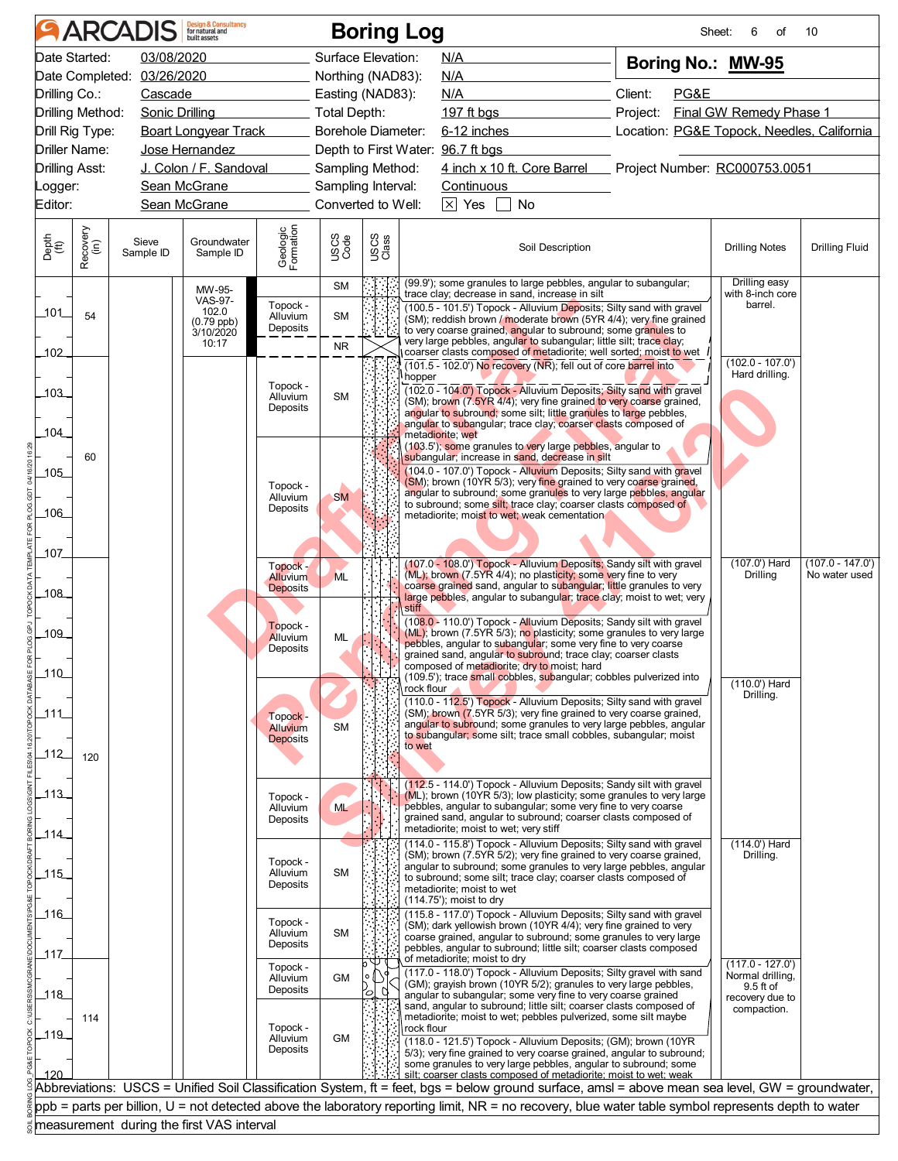| Date Started:<br>03/08/2020<br>Surface Elevation:<br>N/A<br>Boring No.: MW-95<br>Date Completed: 03/26/2020<br>Northing (NAD83):<br><b>N/A</b><br>Client:<br>Drilling Co.:<br>PG&E<br>Cascade<br>Easting (NAD83):<br>N/A<br>Drilling Method:<br>Project:<br>Final GW Remedy Phase 1<br>Sonic Drilling<br>Total Depth:<br>197 ft bgs<br><b>Boart Longyear Track</b><br>Borehole Diameter:<br>6-12 inches<br>Drill Rig Type:<br>Depth to First Water: 96.7 ft bgs<br>Driller Name:<br>Jose Hernandez<br>J. Colon / F. Sandoval<br>4 inch x 10 ft. Core Barrel Project Number: RC000753.0051<br>Drilling Asst:<br>Sampling Method:<br>Sean McGrane<br>Sampling Interval:<br>Continuous<br>_ogger:<br>$\times$ Yes<br>Editor:<br>Sean McGrane<br>Converted to Well:<br>No<br>Geologic<br>Formation<br>Recovery<br>(in)<br>USCS<br>Class<br>USCS<br>Code<br>Depth<br>(ft)<br>Groundwater<br>Sieve<br><b>Drilling Fluid</b><br>Soil Description<br><b>Drilling Notes</b><br>Sample ID<br>Sample ID<br>(99.9'); some granules to large pebbles, angular to subangular;<br>Drilling easy<br><b>SM</b><br>MW-95-<br>with 8-inch core<br>trace clay; decrease in sand, increase in silt<br><b>VAS-97-</b><br>barrel.<br>Topock -<br>(100.5 - 101.5') Topock - Alluvium Deposits; Silty sand with gravel<br>102.0<br>101<br>54<br>Alluvium<br><b>SM</b><br>(SM); reddish brown / moderate brown (5YR 4/4); very fine grained<br>$(0.79$ ppb)<br>Deposits<br>to very coarse grained, angular to subround; some granules to<br>3/10/2020<br>very large pebbles, angular to subangular; little silt; trace clay;<br>10:17<br><b>NR</b><br>coarser clasts composed of metadiorite; well sorted; moist to wet<br>102<br>$(102.0 - 107.0)$<br>(101.5 - 102.0') No recovery (NR): fell out of core barrel into<br>Hard drilling.<br>hopper<br>Topock -<br>(102.0 - 104.0') Topock - Alluvium Deposits; Silty sand with gravel<br>103<br>Alluvium<br><b>SM</b><br>(SM); brown (7.5YR 4/4); very fine grained to very coarse grained,<br>Deposits<br>angular to subround; some silt; little granules to large pebbles,<br>angular to subangular; trace clay; coarser clasts composed of<br>104<br>metadiorite; wet<br>(103.5'); some granules to very large pebbles, angular to<br>subangular; increase in sand, decrease in silt<br>60<br>(104.0 - 107.0') Topock - Alluvium Deposits; Silty sand with gravel<br>105<br>(SM); brown (10YR 5/3); very fine grained to very coarse grained,<br>Topock -<br>angular to subround; some granules to very large pebbles, angular<br><b>SM</b><br>Alluvium<br>to subround; some silt; trace clay; coarser clasts composed of<br>Deposits<br>106<br>metadiorite; moist to wet; weak cementation<br>107<br>(107.0 - 108.0') Topock - Alluvium Deposits; Sandy silt with gravel<br>(107.0') Hard<br>Topock -<br>(ML); brown (7.5YR 4/4); no plasticity; some very fine to very<br>Drilling<br><b>ML</b><br><b>Alluvium</b><br>coarse grained sand, angular to subangular; little granules to very<br><b>Deposits</b><br>108<br>large pebbles, angular to subangular; trace clay; moist to wet; very<br>stiff<br>(108.0 - 110.0') Topock - Alluvium Deposits; Sandy silt with gravel<br>Topock -<br>(ML); brown (7.5YR 5/3); no plasticity; some granules to very large<br>109<br>Alluvium<br>ML<br>pebbles, angular to subangular; some very fine to very coarse<br>Deposits<br>grained sand, angular to subround; trace clay; coarser clasts<br>composed of metadiorite; dry to moist; hard<br>110<br>(109.5'); trace small cobbles, subangular; cobbles pulverized into<br>(110.0') Hard<br>rock flour<br>Drilling.<br>(110.0 - 112.5') Topock - Alluvium Deposits; Silty sand with gravel<br>(SM); brown (7.5YR 5/3); very fine grained to very coarse grained,<br>111<br>Topock -<br>angular to subround; some granules to very large pebbles, angular<br><b>SM</b><br>Alluvium<br>to subangular; some silt; trace small cobbles, subangular; moist<br><b>Deposits</b><br>to wet<br>112<br>120<br>(112.5 - 114.0') Topock - Alluvium Deposits; Sandy silt with gravel<br>113<br>(ML); brown (10YR 5/3); low plasticity; some granules to very large<br>Topock -<br>ML<br>pebbles, angular to subangular; some very fine to very coarse<br>Alluvium<br>grained sand, angular to subround; coarser clasts composed of<br>Deposits<br>metadiorite; moist to wet; very stiff<br>114_<br>$(114.0')$ Hard<br>(114.0 - 115.8') Topock - Alluvium Deposits; Silty sand with gravel<br>(SM); brown (7.5YR 5/2); very fine grained to very coarse grained,<br>Drilling.<br>Topock -<br>angular to subround; some granules to very large pebbles, angular<br>SM<br>Alluvium<br>115<br>to subround; some silt; trace clay; coarser clasts composed of<br>Deposits<br>metadiorite; moist to wet<br>(114.75'); moist to dry<br>ـ116<br>(115.8 - 117.0') Topock - Alluvium Deposits; Silty sand with gravel<br>Topock -<br>(SM); dark yellowish brown (10YR 4/4); very fine grained to very<br><b>SM</b><br>Alluvium<br>coarse grained, angular to subround; some granules to very large<br>Deposits<br>pebbles, angular to subround; little silt; coarser clasts composed<br>117<br>of metadiorite; moist to dry<br>$(117.0 - 127.0')$<br>Topock -<br>(117.0 - 118.0') Topock - Alluvium Deposits; Silty gravel with sand<br>Normal drilling,<br><b>GM</b><br>Alluvium<br>(GM); grayish brown (10YR 5/2); granules to very large pebbles,<br>9.5 ft of<br>Deposits<br>Ø<br>rо<br>118<br>angular to subangular; some very fine to very coarse grained<br>recovery due to<br>sand, angular to subround; little silt; coarser clasts composed of<br>compaction.<br>metadiorite; moist to wet; pebbles pulverized, some silt maybe<br>114<br>Topock -<br>rock flour<br>$-119$<br>Alluvium<br><b>GM</b><br>(118.0 - 121.5') Topock - Alluvium Deposits; (GM); brown (10YR<br>Deposits<br>5/3); very fine grained to very coarse grained, angular to subround;<br>some granules to very large pebbles, angular to subround; some<br>silt; coarser clasts composed of metadiorite; moist to wet; weak<br>120<br>Abbreviations: USCS = Unified Soil Classification System, ft = feet, bgs = below ground surface, amsl = above mean sea level, GW = groundwater, | Location: PG&E Topock, Needles, California<br>ppb = parts per billion, U = not detected above the laboratory reporting limit, NR = no recovery, blue water table symbol represents depth to water<br>measurement during the first VAS interval |  | <b>ARCADIS</b> | <b>Design &amp; Consultancy</b><br>for natural and |  | <b>Boring Log</b> | Sheet: | 6<br>of | 10                                  |
|-------------------------------------------------------------------------------------------------------------------------------------------------------------------------------------------------------------------------------------------------------------------------------------------------------------------------------------------------------------------------------------------------------------------------------------------------------------------------------------------------------------------------------------------------------------------------------------------------------------------------------------------------------------------------------------------------------------------------------------------------------------------------------------------------------------------------------------------------------------------------------------------------------------------------------------------------------------------------------------------------------------------------------------------------------------------------------------------------------------------------------------------------------------------------------------------------------------------------------------------------------------------------------------------------------------------------------------------------------------------------------------------------------------------------------------------------------------------------------------------------------------------------------------------------------------------------------------------------------------------------------------------------------------------------------------------------------------------------------------------------------------------------------------------------------------------------------------------------------------------------------------------------------------------------------------------------------------------------------------------------------------------------------------------------------------------------------------------------------------------------------------------------------------------------------------------------------------------------------------------------------------------------------------------------------------------------------------------------------------------------------------------------------------------------------------------------------------------------------------------------------------------------------------------------------------------------------------------------------------------------------------------------------------------------------------------------------------------------------------------------------------------------------------------------------------------------------------------------------------------------------------------------------------------------------------------------------------------------------------------------------------------------------------------------------------------------------------------------------------------------------------------------------------------------------------------------------------------------------------------------------------------------------------------------------------------------------------------------------------------------------------------------------------------------------------------------------------------------------------------------------------------------------------------------------------------------------------------------------------------------------------------------------------------------------------------------------------------------------------------------------------------------------------------------------------------------------------------------------------------------------------------------------------------------------------------------------------------------------------------------------------------------------------------------------------------------------------------------------------------------------------------------------------------------------------------------------------------------------------------------------------------------------------------------------------------------------------------------------------------------------------------------------------------------------------------------------------------------------------------------------------------------------------------------------------------------------------------------------------------------------------------------------------------------------------------------------------------------------------------------------------------------------------------------------------------------------------------------------------------------------------------------------------------------------------------------------------------------------------------------------------------------------------------------------------------------------------------------------------------------------------------------------------------------------------------------------------------------------------------------------------------------------------------------------------------------------------------------------------------------------------------------------------------------------------------------------------------------------------------------------------------------------------------------------------------------------------------------------------------------------------------------------------------------------------------------------------------------------------------------------------------------------------------------------------------------------------------------------------------------------------------------------------------------------------------------------------------------------------------------------------------------------------------------------------------------------------------------------------------------------------------------------------------------------------------------------------------------------------------------------------------|------------------------------------------------------------------------------------------------------------------------------------------------------------------------------------------------------------------------------------------------|--|----------------|----------------------------------------------------|--|-------------------|--------|---------|-------------------------------------|
|                                                                                                                                                                                                                                                                                                                                                                                                                                                                                                                                                                                                                                                                                                                                                                                                                                                                                                                                                                                                                                                                                                                                                                                                                                                                                                                                                                                                                                                                                                                                                                                                                                                                                                                                                                                                                                                                                                                                                                                                                                                                                                                                                                                                                                                                                                                                                                                                                                                                                                                                                                                                                                                                                                                                                                                                                                                                                                                                                                                                                                                                                                                                                                                                                                                                                                                                                                                                                                                                                                                                                                                                                                                                                                                                                                                                                                                                                                                                                                                                                                                                                                                                                                                                                                                                                                                                                                                                                                                                                                                                                                                                                                                                                                                                                                                                                                                                                                                                                                                                                                                                                                                                                                                                                                                                                                                                                                                                                                                                                                                                                                                                                                                                                                                                                                                                                                                                                                                                                                                                                                                                                                                                                                                                                                                                   |                                                                                                                                                                                                                                                |  |                |                                                    |  |                   |        |         |                                     |
|                                                                                                                                                                                                                                                                                                                                                                                                                                                                                                                                                                                                                                                                                                                                                                                                                                                                                                                                                                                                                                                                                                                                                                                                                                                                                                                                                                                                                                                                                                                                                                                                                                                                                                                                                                                                                                                                                                                                                                                                                                                                                                                                                                                                                                                                                                                                                                                                                                                                                                                                                                                                                                                                                                                                                                                                                                                                                                                                                                                                                                                                                                                                                                                                                                                                                                                                                                                                                                                                                                                                                                                                                                                                                                                                                                                                                                                                                                                                                                                                                                                                                                                                                                                                                                                                                                                                                                                                                                                                                                                                                                                                                                                                                                                                                                                                                                                                                                                                                                                                                                                                                                                                                                                                                                                                                                                                                                                                                                                                                                                                                                                                                                                                                                                                                                                                                                                                                                                                                                                                                                                                                                                                                                                                                                                                   |                                                                                                                                                                                                                                                |  |                |                                                    |  |                   |        |         |                                     |
|                                                                                                                                                                                                                                                                                                                                                                                                                                                                                                                                                                                                                                                                                                                                                                                                                                                                                                                                                                                                                                                                                                                                                                                                                                                                                                                                                                                                                                                                                                                                                                                                                                                                                                                                                                                                                                                                                                                                                                                                                                                                                                                                                                                                                                                                                                                                                                                                                                                                                                                                                                                                                                                                                                                                                                                                                                                                                                                                                                                                                                                                                                                                                                                                                                                                                                                                                                                                                                                                                                                                                                                                                                                                                                                                                                                                                                                                                                                                                                                                                                                                                                                                                                                                                                                                                                                                                                                                                                                                                                                                                                                                                                                                                                                                                                                                                                                                                                                                                                                                                                                                                                                                                                                                                                                                                                                                                                                                                                                                                                                                                                                                                                                                                                                                                                                                                                                                                                                                                                                                                                                                                                                                                                                                                                                                   |                                                                                                                                                                                                                                                |  |                |                                                    |  |                   |        |         |                                     |
|                                                                                                                                                                                                                                                                                                                                                                                                                                                                                                                                                                                                                                                                                                                                                                                                                                                                                                                                                                                                                                                                                                                                                                                                                                                                                                                                                                                                                                                                                                                                                                                                                                                                                                                                                                                                                                                                                                                                                                                                                                                                                                                                                                                                                                                                                                                                                                                                                                                                                                                                                                                                                                                                                                                                                                                                                                                                                                                                                                                                                                                                                                                                                                                                                                                                                                                                                                                                                                                                                                                                                                                                                                                                                                                                                                                                                                                                                                                                                                                                                                                                                                                                                                                                                                                                                                                                                                                                                                                                                                                                                                                                                                                                                                                                                                                                                                                                                                                                                                                                                                                                                                                                                                                                                                                                                                                                                                                                                                                                                                                                                                                                                                                                                                                                                                                                                                                                                                                                                                                                                                                                                                                                                                                                                                                                   |                                                                                                                                                                                                                                                |  |                |                                                    |  |                   |        |         |                                     |
|                                                                                                                                                                                                                                                                                                                                                                                                                                                                                                                                                                                                                                                                                                                                                                                                                                                                                                                                                                                                                                                                                                                                                                                                                                                                                                                                                                                                                                                                                                                                                                                                                                                                                                                                                                                                                                                                                                                                                                                                                                                                                                                                                                                                                                                                                                                                                                                                                                                                                                                                                                                                                                                                                                                                                                                                                                                                                                                                                                                                                                                                                                                                                                                                                                                                                                                                                                                                                                                                                                                                                                                                                                                                                                                                                                                                                                                                                                                                                                                                                                                                                                                                                                                                                                                                                                                                                                                                                                                                                                                                                                                                                                                                                                                                                                                                                                                                                                                                                                                                                                                                                                                                                                                                                                                                                                                                                                                                                                                                                                                                                                                                                                                                                                                                                                                                                                                                                                                                                                                                                                                                                                                                                                                                                                                                   |                                                                                                                                                                                                                                                |  |                |                                                    |  |                   |        |         |                                     |
|                                                                                                                                                                                                                                                                                                                                                                                                                                                                                                                                                                                                                                                                                                                                                                                                                                                                                                                                                                                                                                                                                                                                                                                                                                                                                                                                                                                                                                                                                                                                                                                                                                                                                                                                                                                                                                                                                                                                                                                                                                                                                                                                                                                                                                                                                                                                                                                                                                                                                                                                                                                                                                                                                                                                                                                                                                                                                                                                                                                                                                                                                                                                                                                                                                                                                                                                                                                                                                                                                                                                                                                                                                                                                                                                                                                                                                                                                                                                                                                                                                                                                                                                                                                                                                                                                                                                                                                                                                                                                                                                                                                                                                                                                                                                                                                                                                                                                                                                                                                                                                                                                                                                                                                                                                                                                                                                                                                                                                                                                                                                                                                                                                                                                                                                                                                                                                                                                                                                                                                                                                                                                                                                                                                                                                                                   |                                                                                                                                                                                                                                                |  |                |                                                    |  |                   |        |         |                                     |
|                                                                                                                                                                                                                                                                                                                                                                                                                                                                                                                                                                                                                                                                                                                                                                                                                                                                                                                                                                                                                                                                                                                                                                                                                                                                                                                                                                                                                                                                                                                                                                                                                                                                                                                                                                                                                                                                                                                                                                                                                                                                                                                                                                                                                                                                                                                                                                                                                                                                                                                                                                                                                                                                                                                                                                                                                                                                                                                                                                                                                                                                                                                                                                                                                                                                                                                                                                                                                                                                                                                                                                                                                                                                                                                                                                                                                                                                                                                                                                                                                                                                                                                                                                                                                                                                                                                                                                                                                                                                                                                                                                                                                                                                                                                                                                                                                                                                                                                                                                                                                                                                                                                                                                                                                                                                                                                                                                                                                                                                                                                                                                                                                                                                                                                                                                                                                                                                                                                                                                                                                                                                                                                                                                                                                                                                   |                                                                                                                                                                                                                                                |  |                |                                                    |  |                   |        |         |                                     |
|                                                                                                                                                                                                                                                                                                                                                                                                                                                                                                                                                                                                                                                                                                                                                                                                                                                                                                                                                                                                                                                                                                                                                                                                                                                                                                                                                                                                                                                                                                                                                                                                                                                                                                                                                                                                                                                                                                                                                                                                                                                                                                                                                                                                                                                                                                                                                                                                                                                                                                                                                                                                                                                                                                                                                                                                                                                                                                                                                                                                                                                                                                                                                                                                                                                                                                                                                                                                                                                                                                                                                                                                                                                                                                                                                                                                                                                                                                                                                                                                                                                                                                                                                                                                                                                                                                                                                                                                                                                                                                                                                                                                                                                                                                                                                                                                                                                                                                                                                                                                                                                                                                                                                                                                                                                                                                                                                                                                                                                                                                                                                                                                                                                                                                                                                                                                                                                                                                                                                                                                                                                                                                                                                                                                                                                                   |                                                                                                                                                                                                                                                |  |                |                                                    |  |                   |        |         |                                     |
|                                                                                                                                                                                                                                                                                                                                                                                                                                                                                                                                                                                                                                                                                                                                                                                                                                                                                                                                                                                                                                                                                                                                                                                                                                                                                                                                                                                                                                                                                                                                                                                                                                                                                                                                                                                                                                                                                                                                                                                                                                                                                                                                                                                                                                                                                                                                                                                                                                                                                                                                                                                                                                                                                                                                                                                                                                                                                                                                                                                                                                                                                                                                                                                                                                                                                                                                                                                                                                                                                                                                                                                                                                                                                                                                                                                                                                                                                                                                                                                                                                                                                                                                                                                                                                                                                                                                                                                                                                                                                                                                                                                                                                                                                                                                                                                                                                                                                                                                                                                                                                                                                                                                                                                                                                                                                                                                                                                                                                                                                                                                                                                                                                                                                                                                                                                                                                                                                                                                                                                                                                                                                                                                                                                                                                                                   |                                                                                                                                                                                                                                                |  |                |                                                    |  |                   |        |         |                                     |
|                                                                                                                                                                                                                                                                                                                                                                                                                                                                                                                                                                                                                                                                                                                                                                                                                                                                                                                                                                                                                                                                                                                                                                                                                                                                                                                                                                                                                                                                                                                                                                                                                                                                                                                                                                                                                                                                                                                                                                                                                                                                                                                                                                                                                                                                                                                                                                                                                                                                                                                                                                                                                                                                                                                                                                                                                                                                                                                                                                                                                                                                                                                                                                                                                                                                                                                                                                                                                                                                                                                                                                                                                                                                                                                                                                                                                                                                                                                                                                                                                                                                                                                                                                                                                                                                                                                                                                                                                                                                                                                                                                                                                                                                                                                                                                                                                                                                                                                                                                                                                                                                                                                                                                                                                                                                                                                                                                                                                                                                                                                                                                                                                                                                                                                                                                                                                                                                                                                                                                                                                                                                                                                                                                                                                                                                   |                                                                                                                                                                                                                                                |  |                |                                                    |  |                   |        |         |                                     |
|                                                                                                                                                                                                                                                                                                                                                                                                                                                                                                                                                                                                                                                                                                                                                                                                                                                                                                                                                                                                                                                                                                                                                                                                                                                                                                                                                                                                                                                                                                                                                                                                                                                                                                                                                                                                                                                                                                                                                                                                                                                                                                                                                                                                                                                                                                                                                                                                                                                                                                                                                                                                                                                                                                                                                                                                                                                                                                                                                                                                                                                                                                                                                                                                                                                                                                                                                                                                                                                                                                                                                                                                                                                                                                                                                                                                                                                                                                                                                                                                                                                                                                                                                                                                                                                                                                                                                                                                                                                                                                                                                                                                                                                                                                                                                                                                                                                                                                                                                                                                                                                                                                                                                                                                                                                                                                                                                                                                                                                                                                                                                                                                                                                                                                                                                                                                                                                                                                                                                                                                                                                                                                                                                                                                                                                                   |                                                                                                                                                                                                                                                |  |                |                                                    |  |                   |        |         |                                     |
|                                                                                                                                                                                                                                                                                                                                                                                                                                                                                                                                                                                                                                                                                                                                                                                                                                                                                                                                                                                                                                                                                                                                                                                                                                                                                                                                                                                                                                                                                                                                                                                                                                                                                                                                                                                                                                                                                                                                                                                                                                                                                                                                                                                                                                                                                                                                                                                                                                                                                                                                                                                                                                                                                                                                                                                                                                                                                                                                                                                                                                                                                                                                                                                                                                                                                                                                                                                                                                                                                                                                                                                                                                                                                                                                                                                                                                                                                                                                                                                                                                                                                                                                                                                                                                                                                                                                                                                                                                                                                                                                                                                                                                                                                                                                                                                                                                                                                                                                                                                                                                                                                                                                                                                                                                                                                                                                                                                                                                                                                                                                                                                                                                                                                                                                                                                                                                                                                                                                                                                                                                                                                                                                                                                                                                                                   |                                                                                                                                                                                                                                                |  |                |                                                    |  |                   |        |         |                                     |
|                                                                                                                                                                                                                                                                                                                                                                                                                                                                                                                                                                                                                                                                                                                                                                                                                                                                                                                                                                                                                                                                                                                                                                                                                                                                                                                                                                                                                                                                                                                                                                                                                                                                                                                                                                                                                                                                                                                                                                                                                                                                                                                                                                                                                                                                                                                                                                                                                                                                                                                                                                                                                                                                                                                                                                                                                                                                                                                                                                                                                                                                                                                                                                                                                                                                                                                                                                                                                                                                                                                                                                                                                                                                                                                                                                                                                                                                                                                                                                                                                                                                                                                                                                                                                                                                                                                                                                                                                                                                                                                                                                                                                                                                                                                                                                                                                                                                                                                                                                                                                                                                                                                                                                                                                                                                                                                                                                                                                                                                                                                                                                                                                                                                                                                                                                                                                                                                                                                                                                                                                                                                                                                                                                                                                                                                   |                                                                                                                                                                                                                                                |  |                |                                                    |  |                   |        |         |                                     |
|                                                                                                                                                                                                                                                                                                                                                                                                                                                                                                                                                                                                                                                                                                                                                                                                                                                                                                                                                                                                                                                                                                                                                                                                                                                                                                                                                                                                                                                                                                                                                                                                                                                                                                                                                                                                                                                                                                                                                                                                                                                                                                                                                                                                                                                                                                                                                                                                                                                                                                                                                                                                                                                                                                                                                                                                                                                                                                                                                                                                                                                                                                                                                                                                                                                                                                                                                                                                                                                                                                                                                                                                                                                                                                                                                                                                                                                                                                                                                                                                                                                                                                                                                                                                                                                                                                                                                                                                                                                                                                                                                                                                                                                                                                                                                                                                                                                                                                                                                                                                                                                                                                                                                                                                                                                                                                                                                                                                                                                                                                                                                                                                                                                                                                                                                                                                                                                                                                                                                                                                                                                                                                                                                                                                                                                                   |                                                                                                                                                                                                                                                |  |                |                                                    |  |                   |        |         |                                     |
|                                                                                                                                                                                                                                                                                                                                                                                                                                                                                                                                                                                                                                                                                                                                                                                                                                                                                                                                                                                                                                                                                                                                                                                                                                                                                                                                                                                                                                                                                                                                                                                                                                                                                                                                                                                                                                                                                                                                                                                                                                                                                                                                                                                                                                                                                                                                                                                                                                                                                                                                                                                                                                                                                                                                                                                                                                                                                                                                                                                                                                                                                                                                                                                                                                                                                                                                                                                                                                                                                                                                                                                                                                                                                                                                                                                                                                                                                                                                                                                                                                                                                                                                                                                                                                                                                                                                                                                                                                                                                                                                                                                                                                                                                                                                                                                                                                                                                                                                                                                                                                                                                                                                                                                                                                                                                                                                                                                                                                                                                                                                                                                                                                                                                                                                                                                                                                                                                                                                                                                                                                                                                                                                                                                                                                                                   |                                                                                                                                                                                                                                                |  |                |                                                    |  |                   |        |         |                                     |
|                                                                                                                                                                                                                                                                                                                                                                                                                                                                                                                                                                                                                                                                                                                                                                                                                                                                                                                                                                                                                                                                                                                                                                                                                                                                                                                                                                                                                                                                                                                                                                                                                                                                                                                                                                                                                                                                                                                                                                                                                                                                                                                                                                                                                                                                                                                                                                                                                                                                                                                                                                                                                                                                                                                                                                                                                                                                                                                                                                                                                                                                                                                                                                                                                                                                                                                                                                                                                                                                                                                                                                                                                                                                                                                                                                                                                                                                                                                                                                                                                                                                                                                                                                                                                                                                                                                                                                                                                                                                                                                                                                                                                                                                                                                                                                                                                                                                                                                                                                                                                                                                                                                                                                                                                                                                                                                                                                                                                                                                                                                                                                                                                                                                                                                                                                                                                                                                                                                                                                                                                                                                                                                                                                                                                                                                   |                                                                                                                                                                                                                                                |  |                |                                                    |  |                   |        |         |                                     |
|                                                                                                                                                                                                                                                                                                                                                                                                                                                                                                                                                                                                                                                                                                                                                                                                                                                                                                                                                                                                                                                                                                                                                                                                                                                                                                                                                                                                                                                                                                                                                                                                                                                                                                                                                                                                                                                                                                                                                                                                                                                                                                                                                                                                                                                                                                                                                                                                                                                                                                                                                                                                                                                                                                                                                                                                                                                                                                                                                                                                                                                                                                                                                                                                                                                                                                                                                                                                                                                                                                                                                                                                                                                                                                                                                                                                                                                                                                                                                                                                                                                                                                                                                                                                                                                                                                                                                                                                                                                                                                                                                                                                                                                                                                                                                                                                                                                                                                                                                                                                                                                                                                                                                                                                                                                                                                                                                                                                                                                                                                                                                                                                                                                                                                                                                                                                                                                                                                                                                                                                                                                                                                                                                                                                                                                                   |                                                                                                                                                                                                                                                |  |                |                                                    |  |                   |        |         |                                     |
|                                                                                                                                                                                                                                                                                                                                                                                                                                                                                                                                                                                                                                                                                                                                                                                                                                                                                                                                                                                                                                                                                                                                                                                                                                                                                                                                                                                                                                                                                                                                                                                                                                                                                                                                                                                                                                                                                                                                                                                                                                                                                                                                                                                                                                                                                                                                                                                                                                                                                                                                                                                                                                                                                                                                                                                                                                                                                                                                                                                                                                                                                                                                                                                                                                                                                                                                                                                                                                                                                                                                                                                                                                                                                                                                                                                                                                                                                                                                                                                                                                                                                                                                                                                                                                                                                                                                                                                                                                                                                                                                                                                                                                                                                                                                                                                                                                                                                                                                                                                                                                                                                                                                                                                                                                                                                                                                                                                                                                                                                                                                                                                                                                                                                                                                                                                                                                                                                                                                                                                                                                                                                                                                                                                                                                                                   |                                                                                                                                                                                                                                                |  |                |                                                    |  |                   |        |         |                                     |
|                                                                                                                                                                                                                                                                                                                                                                                                                                                                                                                                                                                                                                                                                                                                                                                                                                                                                                                                                                                                                                                                                                                                                                                                                                                                                                                                                                                                                                                                                                                                                                                                                                                                                                                                                                                                                                                                                                                                                                                                                                                                                                                                                                                                                                                                                                                                                                                                                                                                                                                                                                                                                                                                                                                                                                                                                                                                                                                                                                                                                                                                                                                                                                                                                                                                                                                                                                                                                                                                                                                                                                                                                                                                                                                                                                                                                                                                                                                                                                                                                                                                                                                                                                                                                                                                                                                                                                                                                                                                                                                                                                                                                                                                                                                                                                                                                                                                                                                                                                                                                                                                                                                                                                                                                                                                                                                                                                                                                                                                                                                                                                                                                                                                                                                                                                                                                                                                                                                                                                                                                                                                                                                                                                                                                                                                   |                                                                                                                                                                                                                                                |  |                |                                                    |  |                   |        |         |                                     |
|                                                                                                                                                                                                                                                                                                                                                                                                                                                                                                                                                                                                                                                                                                                                                                                                                                                                                                                                                                                                                                                                                                                                                                                                                                                                                                                                                                                                                                                                                                                                                                                                                                                                                                                                                                                                                                                                                                                                                                                                                                                                                                                                                                                                                                                                                                                                                                                                                                                                                                                                                                                                                                                                                                                                                                                                                                                                                                                                                                                                                                                                                                                                                                                                                                                                                                                                                                                                                                                                                                                                                                                                                                                                                                                                                                                                                                                                                                                                                                                                                                                                                                                                                                                                                                                                                                                                                                                                                                                                                                                                                                                                                                                                                                                                                                                                                                                                                                                                                                                                                                                                                                                                                                                                                                                                                                                                                                                                                                                                                                                                                                                                                                                                                                                                                                                                                                                                                                                                                                                                                                                                                                                                                                                                                                                                   |                                                                                                                                                                                                                                                |  |                |                                                    |  |                   |        |         |                                     |
|                                                                                                                                                                                                                                                                                                                                                                                                                                                                                                                                                                                                                                                                                                                                                                                                                                                                                                                                                                                                                                                                                                                                                                                                                                                                                                                                                                                                                                                                                                                                                                                                                                                                                                                                                                                                                                                                                                                                                                                                                                                                                                                                                                                                                                                                                                                                                                                                                                                                                                                                                                                                                                                                                                                                                                                                                                                                                                                                                                                                                                                                                                                                                                                                                                                                                                                                                                                                                                                                                                                                                                                                                                                                                                                                                                                                                                                                                                                                                                                                                                                                                                                                                                                                                                                                                                                                                                                                                                                                                                                                                                                                                                                                                                                                                                                                                                                                                                                                                                                                                                                                                                                                                                                                                                                                                                                                                                                                                                                                                                                                                                                                                                                                                                                                                                                                                                                                                                                                                                                                                                                                                                                                                                                                                                                                   |                                                                                                                                                                                                                                                |  |                |                                                    |  |                   |        |         |                                     |
|                                                                                                                                                                                                                                                                                                                                                                                                                                                                                                                                                                                                                                                                                                                                                                                                                                                                                                                                                                                                                                                                                                                                                                                                                                                                                                                                                                                                                                                                                                                                                                                                                                                                                                                                                                                                                                                                                                                                                                                                                                                                                                                                                                                                                                                                                                                                                                                                                                                                                                                                                                                                                                                                                                                                                                                                                                                                                                                                                                                                                                                                                                                                                                                                                                                                                                                                                                                                                                                                                                                                                                                                                                                                                                                                                                                                                                                                                                                                                                                                                                                                                                                                                                                                                                                                                                                                                                                                                                                                                                                                                                                                                                                                                                                                                                                                                                                                                                                                                                                                                                                                                                                                                                                                                                                                                                                                                                                                                                                                                                                                                                                                                                                                                                                                                                                                                                                                                                                                                                                                                                                                                                                                                                                                                                                                   |                                                                                                                                                                                                                                                |  |                |                                                    |  |                   |        |         |                                     |
|                                                                                                                                                                                                                                                                                                                                                                                                                                                                                                                                                                                                                                                                                                                                                                                                                                                                                                                                                                                                                                                                                                                                                                                                                                                                                                                                                                                                                                                                                                                                                                                                                                                                                                                                                                                                                                                                                                                                                                                                                                                                                                                                                                                                                                                                                                                                                                                                                                                                                                                                                                                                                                                                                                                                                                                                                                                                                                                                                                                                                                                                                                                                                                                                                                                                                                                                                                                                                                                                                                                                                                                                                                                                                                                                                                                                                                                                                                                                                                                                                                                                                                                                                                                                                                                                                                                                                                                                                                                                                                                                                                                                                                                                                                                                                                                                                                                                                                                                                                                                                                                                                                                                                                                                                                                                                                                                                                                                                                                                                                                                                                                                                                                                                                                                                                                                                                                                                                                                                                                                                                                                                                                                                                                                                                                                   |                                                                                                                                                                                                                                                |  |                |                                                    |  |                   |        |         |                                     |
|                                                                                                                                                                                                                                                                                                                                                                                                                                                                                                                                                                                                                                                                                                                                                                                                                                                                                                                                                                                                                                                                                                                                                                                                                                                                                                                                                                                                                                                                                                                                                                                                                                                                                                                                                                                                                                                                                                                                                                                                                                                                                                                                                                                                                                                                                                                                                                                                                                                                                                                                                                                                                                                                                                                                                                                                                                                                                                                                                                                                                                                                                                                                                                                                                                                                                                                                                                                                                                                                                                                                                                                                                                                                                                                                                                                                                                                                                                                                                                                                                                                                                                                                                                                                                                                                                                                                                                                                                                                                                                                                                                                                                                                                                                                                                                                                                                                                                                                                                                                                                                                                                                                                                                                                                                                                                                                                                                                                                                                                                                                                                                                                                                                                                                                                                                                                                                                                                                                                                                                                                                                                                                                                                                                                                                                                   |                                                                                                                                                                                                                                                |  |                |                                                    |  |                   |        |         |                                     |
|                                                                                                                                                                                                                                                                                                                                                                                                                                                                                                                                                                                                                                                                                                                                                                                                                                                                                                                                                                                                                                                                                                                                                                                                                                                                                                                                                                                                                                                                                                                                                                                                                                                                                                                                                                                                                                                                                                                                                                                                                                                                                                                                                                                                                                                                                                                                                                                                                                                                                                                                                                                                                                                                                                                                                                                                                                                                                                                                                                                                                                                                                                                                                                                                                                                                                                                                                                                                                                                                                                                                                                                                                                                                                                                                                                                                                                                                                                                                                                                                                                                                                                                                                                                                                                                                                                                                                                                                                                                                                                                                                                                                                                                                                                                                                                                                                                                                                                                                                                                                                                                                                                                                                                                                                                                                                                                                                                                                                                                                                                                                                                                                                                                                                                                                                                                                                                                                                                                                                                                                                                                                                                                                                                                                                                                                   |                                                                                                                                                                                                                                                |  |                |                                                    |  |                   |        |         |                                     |
|                                                                                                                                                                                                                                                                                                                                                                                                                                                                                                                                                                                                                                                                                                                                                                                                                                                                                                                                                                                                                                                                                                                                                                                                                                                                                                                                                                                                                                                                                                                                                                                                                                                                                                                                                                                                                                                                                                                                                                                                                                                                                                                                                                                                                                                                                                                                                                                                                                                                                                                                                                                                                                                                                                                                                                                                                                                                                                                                                                                                                                                                                                                                                                                                                                                                                                                                                                                                                                                                                                                                                                                                                                                                                                                                                                                                                                                                                                                                                                                                                                                                                                                                                                                                                                                                                                                                                                                                                                                                                                                                                                                                                                                                                                                                                                                                                                                                                                                                                                                                                                                                                                                                                                                                                                                                                                                                                                                                                                                                                                                                                                                                                                                                                                                                                                                                                                                                                                                                                                                                                                                                                                                                                                                                                                                                   |                                                                                                                                                                                                                                                |  |                |                                                    |  |                   |        |         | $(107.0 - 147.0')$<br>No water used |
|                                                                                                                                                                                                                                                                                                                                                                                                                                                                                                                                                                                                                                                                                                                                                                                                                                                                                                                                                                                                                                                                                                                                                                                                                                                                                                                                                                                                                                                                                                                                                                                                                                                                                                                                                                                                                                                                                                                                                                                                                                                                                                                                                                                                                                                                                                                                                                                                                                                                                                                                                                                                                                                                                                                                                                                                                                                                                                                                                                                                                                                                                                                                                                                                                                                                                                                                                                                                                                                                                                                                                                                                                                                                                                                                                                                                                                                                                                                                                                                                                                                                                                                                                                                                                                                                                                                                                                                                                                                                                                                                                                                                                                                                                                                                                                                                                                                                                                                                                                                                                                                                                                                                                                                                                                                                                                                                                                                                                                                                                                                                                                                                                                                                                                                                                                                                                                                                                                                                                                                                                                                                                                                                                                                                                                                                   |                                                                                                                                                                                                                                                |  |                |                                                    |  |                   |        |         |                                     |
|                                                                                                                                                                                                                                                                                                                                                                                                                                                                                                                                                                                                                                                                                                                                                                                                                                                                                                                                                                                                                                                                                                                                                                                                                                                                                                                                                                                                                                                                                                                                                                                                                                                                                                                                                                                                                                                                                                                                                                                                                                                                                                                                                                                                                                                                                                                                                                                                                                                                                                                                                                                                                                                                                                                                                                                                                                                                                                                                                                                                                                                                                                                                                                                                                                                                                                                                                                                                                                                                                                                                                                                                                                                                                                                                                                                                                                                                                                                                                                                                                                                                                                                                                                                                                                                                                                                                                                                                                                                                                                                                                                                                                                                                                                                                                                                                                                                                                                                                                                                                                                                                                                                                                                                                                                                                                                                                                                                                                                                                                                                                                                                                                                                                                                                                                                                                                                                                                                                                                                                                                                                                                                                                                                                                                                                                   |                                                                                                                                                                                                                                                |  |                |                                                    |  |                   |        |         |                                     |
|                                                                                                                                                                                                                                                                                                                                                                                                                                                                                                                                                                                                                                                                                                                                                                                                                                                                                                                                                                                                                                                                                                                                                                                                                                                                                                                                                                                                                                                                                                                                                                                                                                                                                                                                                                                                                                                                                                                                                                                                                                                                                                                                                                                                                                                                                                                                                                                                                                                                                                                                                                                                                                                                                                                                                                                                                                                                                                                                                                                                                                                                                                                                                                                                                                                                                                                                                                                                                                                                                                                                                                                                                                                                                                                                                                                                                                                                                                                                                                                                                                                                                                                                                                                                                                                                                                                                                                                                                                                                                                                                                                                                                                                                                                                                                                                                                                                                                                                                                                                                                                                                                                                                                                                                                                                                                                                                                                                                                                                                                                                                                                                                                                                                                                                                                                                                                                                                                                                                                                                                                                                                                                                                                                                                                                                                   |                                                                                                                                                                                                                                                |  |                |                                                    |  |                   |        |         |                                     |
|                                                                                                                                                                                                                                                                                                                                                                                                                                                                                                                                                                                                                                                                                                                                                                                                                                                                                                                                                                                                                                                                                                                                                                                                                                                                                                                                                                                                                                                                                                                                                                                                                                                                                                                                                                                                                                                                                                                                                                                                                                                                                                                                                                                                                                                                                                                                                                                                                                                                                                                                                                                                                                                                                                                                                                                                                                                                                                                                                                                                                                                                                                                                                                                                                                                                                                                                                                                                                                                                                                                                                                                                                                                                                                                                                                                                                                                                                                                                                                                                                                                                                                                                                                                                                                                                                                                                                                                                                                                                                                                                                                                                                                                                                                                                                                                                                                                                                                                                                                                                                                                                                                                                                                                                                                                                                                                                                                                                                                                                                                                                                                                                                                                                                                                                                                                                                                                                                                                                                                                                                                                                                                                                                                                                                                                                   |                                                                                                                                                                                                                                                |  |                |                                                    |  |                   |        |         |                                     |
|                                                                                                                                                                                                                                                                                                                                                                                                                                                                                                                                                                                                                                                                                                                                                                                                                                                                                                                                                                                                                                                                                                                                                                                                                                                                                                                                                                                                                                                                                                                                                                                                                                                                                                                                                                                                                                                                                                                                                                                                                                                                                                                                                                                                                                                                                                                                                                                                                                                                                                                                                                                                                                                                                                                                                                                                                                                                                                                                                                                                                                                                                                                                                                                                                                                                                                                                                                                                                                                                                                                                                                                                                                                                                                                                                                                                                                                                                                                                                                                                                                                                                                                                                                                                                                                                                                                                                                                                                                                                                                                                                                                                                                                                                                                                                                                                                                                                                                                                                                                                                                                                                                                                                                                                                                                                                                                                                                                                                                                                                                                                                                                                                                                                                                                                                                                                                                                                                                                                                                                                                                                                                                                                                                                                                                                                   |                                                                                                                                                                                                                                                |  |                |                                                    |  |                   |        |         |                                     |
|                                                                                                                                                                                                                                                                                                                                                                                                                                                                                                                                                                                                                                                                                                                                                                                                                                                                                                                                                                                                                                                                                                                                                                                                                                                                                                                                                                                                                                                                                                                                                                                                                                                                                                                                                                                                                                                                                                                                                                                                                                                                                                                                                                                                                                                                                                                                                                                                                                                                                                                                                                                                                                                                                                                                                                                                                                                                                                                                                                                                                                                                                                                                                                                                                                                                                                                                                                                                                                                                                                                                                                                                                                                                                                                                                                                                                                                                                                                                                                                                                                                                                                                                                                                                                                                                                                                                                                                                                                                                                                                                                                                                                                                                                                                                                                                                                                                                                                                                                                                                                                                                                                                                                                                                                                                                                                                                                                                                                                                                                                                                                                                                                                                                                                                                                                                                                                                                                                                                                                                                                                                                                                                                                                                                                                                                   |                                                                                                                                                                                                                                                |  |                |                                                    |  |                   |        |         |                                     |
|                                                                                                                                                                                                                                                                                                                                                                                                                                                                                                                                                                                                                                                                                                                                                                                                                                                                                                                                                                                                                                                                                                                                                                                                                                                                                                                                                                                                                                                                                                                                                                                                                                                                                                                                                                                                                                                                                                                                                                                                                                                                                                                                                                                                                                                                                                                                                                                                                                                                                                                                                                                                                                                                                                                                                                                                                                                                                                                                                                                                                                                                                                                                                                                                                                                                                                                                                                                                                                                                                                                                                                                                                                                                                                                                                                                                                                                                                                                                                                                                                                                                                                                                                                                                                                                                                                                                                                                                                                                                                                                                                                                                                                                                                                                                                                                                                                                                                                                                                                                                                                                                                                                                                                                                                                                                                                                                                                                                                                                                                                                                                                                                                                                                                                                                                                                                                                                                                                                                                                                                                                                                                                                                                                                                                                                                   |                                                                                                                                                                                                                                                |  |                |                                                    |  |                   |        |         |                                     |
|                                                                                                                                                                                                                                                                                                                                                                                                                                                                                                                                                                                                                                                                                                                                                                                                                                                                                                                                                                                                                                                                                                                                                                                                                                                                                                                                                                                                                                                                                                                                                                                                                                                                                                                                                                                                                                                                                                                                                                                                                                                                                                                                                                                                                                                                                                                                                                                                                                                                                                                                                                                                                                                                                                                                                                                                                                                                                                                                                                                                                                                                                                                                                                                                                                                                                                                                                                                                                                                                                                                                                                                                                                                                                                                                                                                                                                                                                                                                                                                                                                                                                                                                                                                                                                                                                                                                                                                                                                                                                                                                                                                                                                                                                                                                                                                                                                                                                                                                                                                                                                                                                                                                                                                                                                                                                                                                                                                                                                                                                                                                                                                                                                                                                                                                                                                                                                                                                                                                                                                                                                                                                                                                                                                                                                                                   |                                                                                                                                                                                                                                                |  |                |                                                    |  |                   |        |         |                                     |
|                                                                                                                                                                                                                                                                                                                                                                                                                                                                                                                                                                                                                                                                                                                                                                                                                                                                                                                                                                                                                                                                                                                                                                                                                                                                                                                                                                                                                                                                                                                                                                                                                                                                                                                                                                                                                                                                                                                                                                                                                                                                                                                                                                                                                                                                                                                                                                                                                                                                                                                                                                                                                                                                                                                                                                                                                                                                                                                                                                                                                                                                                                                                                                                                                                                                                                                                                                                                                                                                                                                                                                                                                                                                                                                                                                                                                                                                                                                                                                                                                                                                                                                                                                                                                                                                                                                                                                                                                                                                                                                                                                                                                                                                                                                                                                                                                                                                                                                                                                                                                                                                                                                                                                                                                                                                                                                                                                                                                                                                                                                                                                                                                                                                                                                                                                                                                                                                                                                                                                                                                                                                                                                                                                                                                                                                   |                                                                                                                                                                                                                                                |  |                |                                                    |  |                   |        |         |                                     |
|                                                                                                                                                                                                                                                                                                                                                                                                                                                                                                                                                                                                                                                                                                                                                                                                                                                                                                                                                                                                                                                                                                                                                                                                                                                                                                                                                                                                                                                                                                                                                                                                                                                                                                                                                                                                                                                                                                                                                                                                                                                                                                                                                                                                                                                                                                                                                                                                                                                                                                                                                                                                                                                                                                                                                                                                                                                                                                                                                                                                                                                                                                                                                                                                                                                                                                                                                                                                                                                                                                                                                                                                                                                                                                                                                                                                                                                                                                                                                                                                                                                                                                                                                                                                                                                                                                                                                                                                                                                                                                                                                                                                                                                                                                                                                                                                                                                                                                                                                                                                                                                                                                                                                                                                                                                                                                                                                                                                                                                                                                                                                                                                                                                                                                                                                                                                                                                                                                                                                                                                                                                                                                                                                                                                                                                                   |                                                                                                                                                                                                                                                |  |                |                                                    |  |                   |        |         |                                     |
|                                                                                                                                                                                                                                                                                                                                                                                                                                                                                                                                                                                                                                                                                                                                                                                                                                                                                                                                                                                                                                                                                                                                                                                                                                                                                                                                                                                                                                                                                                                                                                                                                                                                                                                                                                                                                                                                                                                                                                                                                                                                                                                                                                                                                                                                                                                                                                                                                                                                                                                                                                                                                                                                                                                                                                                                                                                                                                                                                                                                                                                                                                                                                                                                                                                                                                                                                                                                                                                                                                                                                                                                                                                                                                                                                                                                                                                                                                                                                                                                                                                                                                                                                                                                                                                                                                                                                                                                                                                                                                                                                                                                                                                                                                                                                                                                                                                                                                                                                                                                                                                                                                                                                                                                                                                                                                                                                                                                                                                                                                                                                                                                                                                                                                                                                                                                                                                                                                                                                                                                                                                                                                                                                                                                                                                                   |                                                                                                                                                                                                                                                |  |                |                                                    |  |                   |        |         |                                     |
|                                                                                                                                                                                                                                                                                                                                                                                                                                                                                                                                                                                                                                                                                                                                                                                                                                                                                                                                                                                                                                                                                                                                                                                                                                                                                                                                                                                                                                                                                                                                                                                                                                                                                                                                                                                                                                                                                                                                                                                                                                                                                                                                                                                                                                                                                                                                                                                                                                                                                                                                                                                                                                                                                                                                                                                                                                                                                                                                                                                                                                                                                                                                                                                                                                                                                                                                                                                                                                                                                                                                                                                                                                                                                                                                                                                                                                                                                                                                                                                                                                                                                                                                                                                                                                                                                                                                                                                                                                                                                                                                                                                                                                                                                                                                                                                                                                                                                                                                                                                                                                                                                                                                                                                                                                                                                                                                                                                                                                                                                                                                                                                                                                                                                                                                                                                                                                                                                                                                                                                                                                                                                                                                                                                                                                                                   |                                                                                                                                                                                                                                                |  |                |                                                    |  |                   |        |         |                                     |
|                                                                                                                                                                                                                                                                                                                                                                                                                                                                                                                                                                                                                                                                                                                                                                                                                                                                                                                                                                                                                                                                                                                                                                                                                                                                                                                                                                                                                                                                                                                                                                                                                                                                                                                                                                                                                                                                                                                                                                                                                                                                                                                                                                                                                                                                                                                                                                                                                                                                                                                                                                                                                                                                                                                                                                                                                                                                                                                                                                                                                                                                                                                                                                                                                                                                                                                                                                                                                                                                                                                                                                                                                                                                                                                                                                                                                                                                                                                                                                                                                                                                                                                                                                                                                                                                                                                                                                                                                                                                                                                                                                                                                                                                                                                                                                                                                                                                                                                                                                                                                                                                                                                                                                                                                                                                                                                                                                                                                                                                                                                                                                                                                                                                                                                                                                                                                                                                                                                                                                                                                                                                                                                                                                                                                                                                   |                                                                                                                                                                                                                                                |  |                |                                                    |  |                   |        |         |                                     |
|                                                                                                                                                                                                                                                                                                                                                                                                                                                                                                                                                                                                                                                                                                                                                                                                                                                                                                                                                                                                                                                                                                                                                                                                                                                                                                                                                                                                                                                                                                                                                                                                                                                                                                                                                                                                                                                                                                                                                                                                                                                                                                                                                                                                                                                                                                                                                                                                                                                                                                                                                                                                                                                                                                                                                                                                                                                                                                                                                                                                                                                                                                                                                                                                                                                                                                                                                                                                                                                                                                                                                                                                                                                                                                                                                                                                                                                                                                                                                                                                                                                                                                                                                                                                                                                                                                                                                                                                                                                                                                                                                                                                                                                                                                                                                                                                                                                                                                                                                                                                                                                                                                                                                                                                                                                                                                                                                                                                                                                                                                                                                                                                                                                                                                                                                                                                                                                                                                                                                                                                                                                                                                                                                                                                                                                                   |                                                                                                                                                                                                                                                |  |                |                                                    |  |                   |        |         |                                     |
|                                                                                                                                                                                                                                                                                                                                                                                                                                                                                                                                                                                                                                                                                                                                                                                                                                                                                                                                                                                                                                                                                                                                                                                                                                                                                                                                                                                                                                                                                                                                                                                                                                                                                                                                                                                                                                                                                                                                                                                                                                                                                                                                                                                                                                                                                                                                                                                                                                                                                                                                                                                                                                                                                                                                                                                                                                                                                                                                                                                                                                                                                                                                                                                                                                                                                                                                                                                                                                                                                                                                                                                                                                                                                                                                                                                                                                                                                                                                                                                                                                                                                                                                                                                                                                                                                                                                                                                                                                                                                                                                                                                                                                                                                                                                                                                                                                                                                                                                                                                                                                                                                                                                                                                                                                                                                                                                                                                                                                                                                                                                                                                                                                                                                                                                                                                                                                                                                                                                                                                                                                                                                                                                                                                                                                                                   |                                                                                                                                                                                                                                                |  |                |                                                    |  |                   |        |         |                                     |
|                                                                                                                                                                                                                                                                                                                                                                                                                                                                                                                                                                                                                                                                                                                                                                                                                                                                                                                                                                                                                                                                                                                                                                                                                                                                                                                                                                                                                                                                                                                                                                                                                                                                                                                                                                                                                                                                                                                                                                                                                                                                                                                                                                                                                                                                                                                                                                                                                                                                                                                                                                                                                                                                                                                                                                                                                                                                                                                                                                                                                                                                                                                                                                                                                                                                                                                                                                                                                                                                                                                                                                                                                                                                                                                                                                                                                                                                                                                                                                                                                                                                                                                                                                                                                                                                                                                                                                                                                                                                                                                                                                                                                                                                                                                                                                                                                                                                                                                                                                                                                                                                                                                                                                                                                                                                                                                                                                                                                                                                                                                                                                                                                                                                                                                                                                                                                                                                                                                                                                                                                                                                                                                                                                                                                                                                   |                                                                                                                                                                                                                                                |  |                |                                                    |  |                   |        |         |                                     |
|                                                                                                                                                                                                                                                                                                                                                                                                                                                                                                                                                                                                                                                                                                                                                                                                                                                                                                                                                                                                                                                                                                                                                                                                                                                                                                                                                                                                                                                                                                                                                                                                                                                                                                                                                                                                                                                                                                                                                                                                                                                                                                                                                                                                                                                                                                                                                                                                                                                                                                                                                                                                                                                                                                                                                                                                                                                                                                                                                                                                                                                                                                                                                                                                                                                                                                                                                                                                                                                                                                                                                                                                                                                                                                                                                                                                                                                                                                                                                                                                                                                                                                                                                                                                                                                                                                                                                                                                                                                                                                                                                                                                                                                                                                                                                                                                                                                                                                                                                                                                                                                                                                                                                                                                                                                                                                                                                                                                                                                                                                                                                                                                                                                                                                                                                                                                                                                                                                                                                                                                                                                                                                                                                                                                                                                                   |                                                                                                                                                                                                                                                |  |                |                                                    |  |                   |        |         |                                     |
|                                                                                                                                                                                                                                                                                                                                                                                                                                                                                                                                                                                                                                                                                                                                                                                                                                                                                                                                                                                                                                                                                                                                                                                                                                                                                                                                                                                                                                                                                                                                                                                                                                                                                                                                                                                                                                                                                                                                                                                                                                                                                                                                                                                                                                                                                                                                                                                                                                                                                                                                                                                                                                                                                                                                                                                                                                                                                                                                                                                                                                                                                                                                                                                                                                                                                                                                                                                                                                                                                                                                                                                                                                                                                                                                                                                                                                                                                                                                                                                                                                                                                                                                                                                                                                                                                                                                                                                                                                                                                                                                                                                                                                                                                                                                                                                                                                                                                                                                                                                                                                                                                                                                                                                                                                                                                                                                                                                                                                                                                                                                                                                                                                                                                                                                                                                                                                                                                                                                                                                                                                                                                                                                                                                                                                                                   |                                                                                                                                                                                                                                                |  |                |                                                    |  |                   |        |         |                                     |
|                                                                                                                                                                                                                                                                                                                                                                                                                                                                                                                                                                                                                                                                                                                                                                                                                                                                                                                                                                                                                                                                                                                                                                                                                                                                                                                                                                                                                                                                                                                                                                                                                                                                                                                                                                                                                                                                                                                                                                                                                                                                                                                                                                                                                                                                                                                                                                                                                                                                                                                                                                                                                                                                                                                                                                                                                                                                                                                                                                                                                                                                                                                                                                                                                                                                                                                                                                                                                                                                                                                                                                                                                                                                                                                                                                                                                                                                                                                                                                                                                                                                                                                                                                                                                                                                                                                                                                                                                                                                                                                                                                                                                                                                                                                                                                                                                                                                                                                                                                                                                                                                                                                                                                                                                                                                                                                                                                                                                                                                                                                                                                                                                                                                                                                                                                                                                                                                                                                                                                                                                                                                                                                                                                                                                                                                   |                                                                                                                                                                                                                                                |  |                |                                                    |  |                   |        |         |                                     |
|                                                                                                                                                                                                                                                                                                                                                                                                                                                                                                                                                                                                                                                                                                                                                                                                                                                                                                                                                                                                                                                                                                                                                                                                                                                                                                                                                                                                                                                                                                                                                                                                                                                                                                                                                                                                                                                                                                                                                                                                                                                                                                                                                                                                                                                                                                                                                                                                                                                                                                                                                                                                                                                                                                                                                                                                                                                                                                                                                                                                                                                                                                                                                                                                                                                                                                                                                                                                                                                                                                                                                                                                                                                                                                                                                                                                                                                                                                                                                                                                                                                                                                                                                                                                                                                                                                                                                                                                                                                                                                                                                                                                                                                                                                                                                                                                                                                                                                                                                                                                                                                                                                                                                                                                                                                                                                                                                                                                                                                                                                                                                                                                                                                                                                                                                                                                                                                                                                                                                                                                                                                                                                                                                                                                                                                                   |                                                                                                                                                                                                                                                |  |                |                                                    |  |                   |        |         |                                     |
|                                                                                                                                                                                                                                                                                                                                                                                                                                                                                                                                                                                                                                                                                                                                                                                                                                                                                                                                                                                                                                                                                                                                                                                                                                                                                                                                                                                                                                                                                                                                                                                                                                                                                                                                                                                                                                                                                                                                                                                                                                                                                                                                                                                                                                                                                                                                                                                                                                                                                                                                                                                                                                                                                                                                                                                                                                                                                                                                                                                                                                                                                                                                                                                                                                                                                                                                                                                                                                                                                                                                                                                                                                                                                                                                                                                                                                                                                                                                                                                                                                                                                                                                                                                                                                                                                                                                                                                                                                                                                                                                                                                                                                                                                                                                                                                                                                                                                                                                                                                                                                                                                                                                                                                                                                                                                                                                                                                                                                                                                                                                                                                                                                                                                                                                                                                                                                                                                                                                                                                                                                                                                                                                                                                                                                                                   |                                                                                                                                                                                                                                                |  |                |                                                    |  |                   |        |         |                                     |
|                                                                                                                                                                                                                                                                                                                                                                                                                                                                                                                                                                                                                                                                                                                                                                                                                                                                                                                                                                                                                                                                                                                                                                                                                                                                                                                                                                                                                                                                                                                                                                                                                                                                                                                                                                                                                                                                                                                                                                                                                                                                                                                                                                                                                                                                                                                                                                                                                                                                                                                                                                                                                                                                                                                                                                                                                                                                                                                                                                                                                                                                                                                                                                                                                                                                                                                                                                                                                                                                                                                                                                                                                                                                                                                                                                                                                                                                                                                                                                                                                                                                                                                                                                                                                                                                                                                                                                                                                                                                                                                                                                                                                                                                                                                                                                                                                                                                                                                                                                                                                                                                                                                                                                                                                                                                                                                                                                                                                                                                                                                                                                                                                                                                                                                                                                                                                                                                                                                                                                                                                                                                                                                                                                                                                                                                   |                                                                                                                                                                                                                                                |  |                |                                                    |  |                   |        |         |                                     |
|                                                                                                                                                                                                                                                                                                                                                                                                                                                                                                                                                                                                                                                                                                                                                                                                                                                                                                                                                                                                                                                                                                                                                                                                                                                                                                                                                                                                                                                                                                                                                                                                                                                                                                                                                                                                                                                                                                                                                                                                                                                                                                                                                                                                                                                                                                                                                                                                                                                                                                                                                                                                                                                                                                                                                                                                                                                                                                                                                                                                                                                                                                                                                                                                                                                                                                                                                                                                                                                                                                                                                                                                                                                                                                                                                                                                                                                                                                                                                                                                                                                                                                                                                                                                                                                                                                                                                                                                                                                                                                                                                                                                                                                                                                                                                                                                                                                                                                                                                                                                                                                                                                                                                                                                                                                                                                                                                                                                                                                                                                                                                                                                                                                                                                                                                                                                                                                                                                                                                                                                                                                                                                                                                                                                                                                                   |                                                                                                                                                                                                                                                |  |                |                                                    |  |                   |        |         |                                     |
|                                                                                                                                                                                                                                                                                                                                                                                                                                                                                                                                                                                                                                                                                                                                                                                                                                                                                                                                                                                                                                                                                                                                                                                                                                                                                                                                                                                                                                                                                                                                                                                                                                                                                                                                                                                                                                                                                                                                                                                                                                                                                                                                                                                                                                                                                                                                                                                                                                                                                                                                                                                                                                                                                                                                                                                                                                                                                                                                                                                                                                                                                                                                                                                                                                                                                                                                                                                                                                                                                                                                                                                                                                                                                                                                                                                                                                                                                                                                                                                                                                                                                                                                                                                                                                                                                                                                                                                                                                                                                                                                                                                                                                                                                                                                                                                                                                                                                                                                                                                                                                                                                                                                                                                                                                                                                                                                                                                                                                                                                                                                                                                                                                                                                                                                                                                                                                                                                                                                                                                                                                                                                                                                                                                                                                                                   |                                                                                                                                                                                                                                                |  |                |                                                    |  |                   |        |         |                                     |
|                                                                                                                                                                                                                                                                                                                                                                                                                                                                                                                                                                                                                                                                                                                                                                                                                                                                                                                                                                                                                                                                                                                                                                                                                                                                                                                                                                                                                                                                                                                                                                                                                                                                                                                                                                                                                                                                                                                                                                                                                                                                                                                                                                                                                                                                                                                                                                                                                                                                                                                                                                                                                                                                                                                                                                                                                                                                                                                                                                                                                                                                                                                                                                                                                                                                                                                                                                                                                                                                                                                                                                                                                                                                                                                                                                                                                                                                                                                                                                                                                                                                                                                                                                                                                                                                                                                                                                                                                                                                                                                                                                                                                                                                                                                                                                                                                                                                                                                                                                                                                                                                                                                                                                                                                                                                                                                                                                                                                                                                                                                                                                                                                                                                                                                                                                                                                                                                                                                                                                                                                                                                                                                                                                                                                                                                   |                                                                                                                                                                                                                                                |  |                |                                                    |  |                   |        |         |                                     |
|                                                                                                                                                                                                                                                                                                                                                                                                                                                                                                                                                                                                                                                                                                                                                                                                                                                                                                                                                                                                                                                                                                                                                                                                                                                                                                                                                                                                                                                                                                                                                                                                                                                                                                                                                                                                                                                                                                                                                                                                                                                                                                                                                                                                                                                                                                                                                                                                                                                                                                                                                                                                                                                                                                                                                                                                                                                                                                                                                                                                                                                                                                                                                                                                                                                                                                                                                                                                                                                                                                                                                                                                                                                                                                                                                                                                                                                                                                                                                                                                                                                                                                                                                                                                                                                                                                                                                                                                                                                                                                                                                                                                                                                                                                                                                                                                                                                                                                                                                                                                                                                                                                                                                                                                                                                                                                                                                                                                                                                                                                                                                                                                                                                                                                                                                                                                                                                                                                                                                                                                                                                                                                                                                                                                                                                                   |                                                                                                                                                                                                                                                |  |                |                                                    |  |                   |        |         |                                     |
|                                                                                                                                                                                                                                                                                                                                                                                                                                                                                                                                                                                                                                                                                                                                                                                                                                                                                                                                                                                                                                                                                                                                                                                                                                                                                                                                                                                                                                                                                                                                                                                                                                                                                                                                                                                                                                                                                                                                                                                                                                                                                                                                                                                                                                                                                                                                                                                                                                                                                                                                                                                                                                                                                                                                                                                                                                                                                                                                                                                                                                                                                                                                                                                                                                                                                                                                                                                                                                                                                                                                                                                                                                                                                                                                                                                                                                                                                                                                                                                                                                                                                                                                                                                                                                                                                                                                                                                                                                                                                                                                                                                                                                                                                                                                                                                                                                                                                                                                                                                                                                                                                                                                                                                                                                                                                                                                                                                                                                                                                                                                                                                                                                                                                                                                                                                                                                                                                                                                                                                                                                                                                                                                                                                                                                                                   |                                                                                                                                                                                                                                                |  |                |                                                    |  |                   |        |         |                                     |
|                                                                                                                                                                                                                                                                                                                                                                                                                                                                                                                                                                                                                                                                                                                                                                                                                                                                                                                                                                                                                                                                                                                                                                                                                                                                                                                                                                                                                                                                                                                                                                                                                                                                                                                                                                                                                                                                                                                                                                                                                                                                                                                                                                                                                                                                                                                                                                                                                                                                                                                                                                                                                                                                                                                                                                                                                                                                                                                                                                                                                                                                                                                                                                                                                                                                                                                                                                                                                                                                                                                                                                                                                                                                                                                                                                                                                                                                                                                                                                                                                                                                                                                                                                                                                                                                                                                                                                                                                                                                                                                                                                                                                                                                                                                                                                                                                                                                                                                                                                                                                                                                                                                                                                                                                                                                                                                                                                                                                                                                                                                                                                                                                                                                                                                                                                                                                                                                                                                                                                                                                                                                                                                                                                                                                                                                   |                                                                                                                                                                                                                                                |  |                |                                                    |  |                   |        |         |                                     |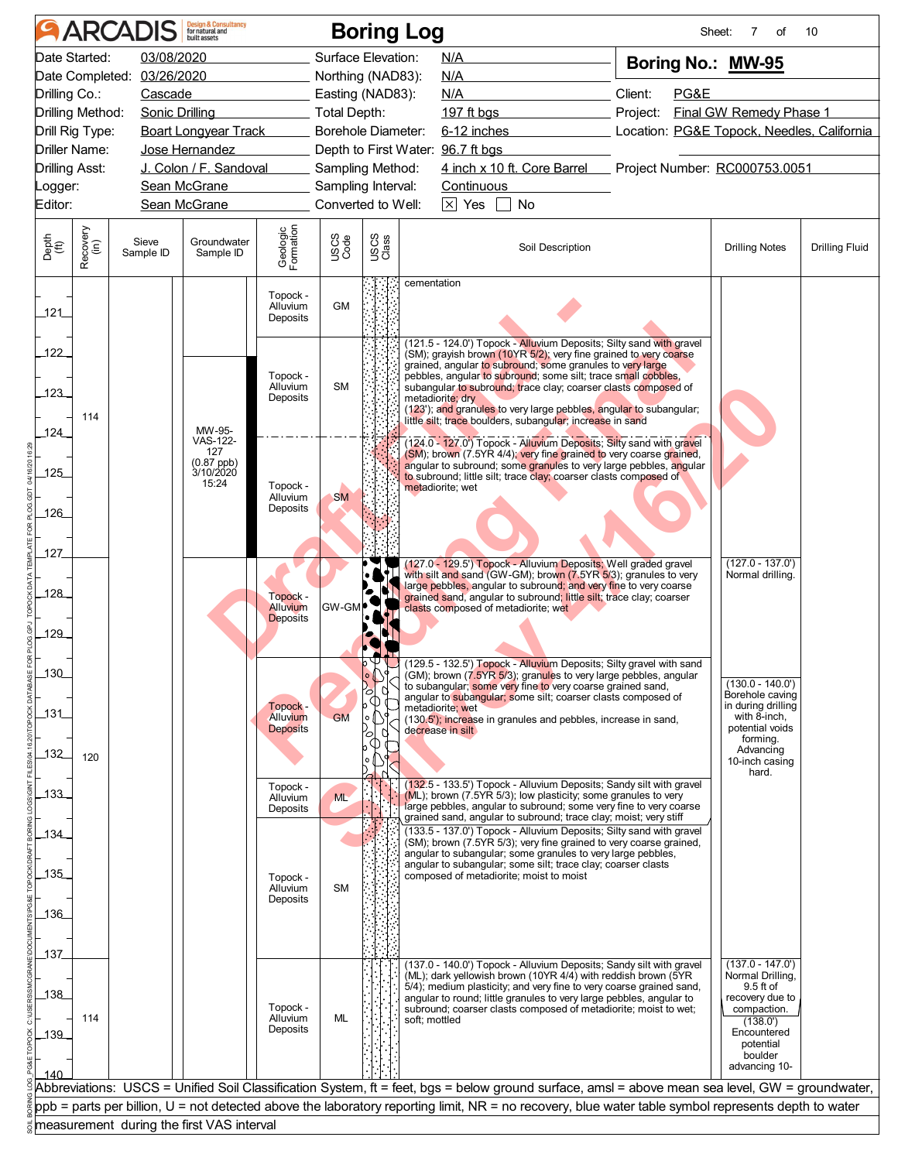|               |                                  | <b>ARCADIS</b>             | <b>Design &amp; Consultancy</b><br>for natural and |                                  |                           |               | <b>Boring Log</b>                                                                                                                                                |          | Sheet: | 7<br>οf                                    | 10                    |
|---------------|----------------------------------|----------------------------|----------------------------------------------------|----------------------------------|---------------------------|---------------|------------------------------------------------------------------------------------------------------------------------------------------------------------------|----------|--------|--------------------------------------------|-----------------------|
|               | Date Started:                    | 03/08/2020                 |                                                    |                                  | Surface Elevation:        |               | N/A                                                                                                                                                              |          |        | Boring No.: MW-95                          |                       |
|               |                                  | Date Completed: 03/26/2020 |                                                    |                                  | Northing (NAD83):         |               | <b>N/A</b>                                                                                                                                                       |          |        |                                            |                       |
|               | Drilling Co.:                    | Cascade                    |                                                    |                                  | Easting (NAD83):          |               | N/A                                                                                                                                                              | Client:  | PG&E   |                                            |                       |
|               | Drilling Method:                 | Sonic Drilling             |                                                    |                                  | Total Depth:              |               | 197 $ft$ bgs                                                                                                                                                     | Project: |        | Final GW Remedy Phase 1                    |                       |
|               | Drill Rig Type:<br>Driller Name: |                            | <b>Boart Longyear Track</b><br>Jose Hernandez      |                                  | <b>Borehole Diameter:</b> |               | 6-12 inches<br>Depth to First Water: 96.7 ft bgs                                                                                                                 |          |        | Location: PG&E Topock, Needles, California |                       |
|               | Drilling Asst:                   |                            | J. Colon / F. Sandoval                             |                                  | Sampling Method:          |               | 4 inch x 10 ft. Core Barrel Project Number: RC000753.0051                                                                                                        |          |        |                                            |                       |
| _ogger:       |                                  |                            | Sean McGrane                                       |                                  | Sampling Interval:        |               | Continuous                                                                                                                                                       |          |        |                                            |                       |
| Editor:       |                                  |                            | Sean McGrane                                       |                                  | Converted to Well:        |               | $\times$ Yes<br>No                                                                                                                                               |          |        |                                            |                       |
|               |                                  |                            |                                                    |                                  |                           |               |                                                                                                                                                                  |          |        |                                            |                       |
| Depth<br>(ft) | Recovery<br>(in)                 | Sieve<br>Sample ID         | Groundwater<br>Sample ID                           | Geologic<br>Formation            | USCS<br>Code              | USCS<br>Class | Soil Description                                                                                                                                                 |          |        | <b>Drilling Notes</b>                      | <b>Drilling Fluid</b> |
| 121           |                                  |                            |                                                    | Topock -<br>Alluvium<br>Deposits | <b>GM</b>                 |               | cementation                                                                                                                                                      |          |        |                                            |                       |
|               |                                  |                            |                                                    |                                  |                           |               | (121.5 - 124.0') Topock - Alluvium Deposits; Silty sand with gravel                                                                                              |          |        |                                            |                       |
| 122           |                                  |                            |                                                    |                                  |                           |               | (SM); grayish brown (10YR 5/2); very fine grained to very coarse<br>grained, angular to subround; some granules to very large                                    |          |        |                                            |                       |
| $123 -$       |                                  |                            |                                                    | Topock -<br>Alluvium             | <b>SM</b>                 |               | pebbles, angular to subround; some silt; trace small cobbles,<br>subangular to subround; trace clay; coarser clasts composed of                                  |          |        |                                            |                       |
|               |                                  |                            |                                                    | Deposits                         |                           |               | metadiorite; dry<br>(123'); and granules to very large pebbles, angular to subangular;                                                                           |          |        |                                            |                       |
| 124           | 114                              |                            | MW-95-                                             |                                  |                           |               | little silt; trace boulders, subangular; increase in sand                                                                                                        |          |        |                                            |                       |
|               |                                  |                            | VAS-122-<br>127                                    |                                  |                           |               | (124.0 - 127.0') Topock - Alluvium Deposits; Silty sand with gravel<br>(SM); brown (7.5YR 4/4); very fine grained to very coarse grained,                        |          |        |                                            |                       |
| .125          |                                  |                            | (0.87 ppb)<br>3/10/2020                            |                                  |                           |               | angular to subround; some granules to very large pebbles, angular<br>to subround; little silt; trace clay; coarser clasts composed of                            |          |        |                                            |                       |
|               |                                  |                            | 15:24                                              | Topock -<br>Alluvium             | <b>SM</b>                 |               | metadiorite; wet                                                                                                                                                 |          |        |                                            |                       |
| 126           |                                  |                            |                                                    | Deposits                         |                           |               |                                                                                                                                                                  |          |        |                                            |                       |
|               |                                  |                            |                                                    |                                  |                           |               |                                                                                                                                                                  |          |        |                                            |                       |
| 127           |                                  |                            |                                                    |                                  |                           |               |                                                                                                                                                                  |          |        |                                            |                       |
|               |                                  |                            |                                                    |                                  |                           |               | (127.0 - 129.5') Topock - Alluvium Deposits; Well graded gravel<br>with silt and sand (GW-GM); brown (7.5YR 5/3); granules to very                               |          |        | $(127.0 - 137.0')$<br>Normal drilling.     |                       |
| 128           |                                  |                            |                                                    | Topock -                         |                           |               | large pebbles, angular to subround; and very fine to very coarse<br>grained sand, angular to subround; little silt; trace clay; coarser                          |          |        |                                            |                       |
|               |                                  |                            |                                                    | Alluvium<br><b>Deposits</b>      | <b>GW-GN</b>              |               | clasts composed of metadiorite; wet                                                                                                                              |          |        |                                            |                       |
| 129           |                                  |                            |                                                    |                                  |                           |               |                                                                                                                                                                  |          |        |                                            |                       |
|               |                                  |                            |                                                    |                                  |                           |               |                                                                                                                                                                  |          |        |                                            |                       |
| 130           |                                  |                            |                                                    |                                  |                           | $\circ$ LSI   | $\triangleright \bigvee$ (129.5 - 132.5') Topock - Alluvium Deposits; Silty gravel with sand<br>(GM); brown (7.5YR 5/3); granules to very large pebbles, angular |          |        | $(130.0 - 140.0')$                         |                       |
|               |                                  |                            |                                                    |                                  |                           | o             | to subangular; some very fine to very coarse grained sand,<br>angular to subangular; some silt; coarser clasts composed of                                       |          |        | Borehole caving                            |                       |
| _131_         |                                  |                            |                                                    | Topock -<br>Alluvium             | <b>GM</b>                 |               | metadiorite; wet<br>(130.5'); increase in granules and pebbles, increase in sand,                                                                                |          |        | in during drilling<br>with 8-inch,         |                       |
|               |                                  |                            |                                                    | <b>Deposits</b>                  |                           | O             | decrease in silt                                                                                                                                                 |          |        | potential voids<br>forming.                |                       |
| 132           | 120                              |                            |                                                    |                                  |                           |               |                                                                                                                                                                  |          |        | Advancing<br>10-inch casing                |                       |
|               |                                  |                            |                                                    | Topock -                         |                           |               | (132.5 - 133.5') Topock - Alluvium Deposits; Sandy silt with gravel                                                                                              |          |        | hard.                                      |                       |
| 133           |                                  |                            |                                                    | Alluvium                         | ML                        |               | (ML); brown (7.5YR 5/3); low plasticity; some granules to very<br>large pebbles, angular to subround; some very fine to very coarse                              |          |        |                                            |                       |
|               |                                  |                            |                                                    | Deposits                         |                           |               | grained sand, angular to subround; trace clay; moist; very stiff                                                                                                 |          |        |                                            |                       |
| 134           |                                  |                            |                                                    |                                  |                           |               | (133.5 - 137.0') Topock - Alluvium Deposits; Silty sand with gravel<br>(SM); brown (7.5YR 5/3); very fine grained to very coarse grained,                        |          |        |                                            |                       |
|               |                                  |                            |                                                    |                                  |                           |               | angular to subangular; some granules to very large pebbles,<br>angular to subangular; some silt; trace clay; coarser clasts                                      |          |        |                                            |                       |
| 135           |                                  |                            |                                                    | Topock -<br>Alluvium             | SM                        |               | composed of metadiorite; moist to moist                                                                                                                          |          |        |                                            |                       |
|               |                                  |                            |                                                    | Deposits                         |                           |               |                                                                                                                                                                  |          |        |                                            |                       |
| 136           |                                  |                            |                                                    |                                  |                           |               |                                                                                                                                                                  |          |        |                                            |                       |
|               |                                  |                            |                                                    |                                  |                           |               |                                                                                                                                                                  |          |        |                                            |                       |
| _137_         |                                  |                            |                                                    |                                  |                           |               | (137.0 - 140.0') Topock - Alluvium Deposits; Sandy silt with gravel                                                                                              |          |        | $(137.0 - 147.0')$                         |                       |
| 138           |                                  |                            |                                                    |                                  |                           |               | (ML); dark yellowish brown (10YR 4/4) with reddish brown (5YR<br>5/4); medium plasticity; and very fine to very coarse grained sand,                             |          |        | Normal Drilling,<br>9.5 ft of              |                       |
|               |                                  |                            |                                                    | Topock -                         |                           |               | angular to round; little granules to very large pebbles, angular to<br>subround; coarser clasts composed of metadiorite; moist to wet;                           |          |        | recovery due to<br>compaction.             |                       |
| 139           | 114                              |                            |                                                    | Alluvium<br>Deposits             | ML                        |               | soft; mottled                                                                                                                                                    |          |        | (138.0')<br>Encountered                    |                       |
|               |                                  |                            |                                                    |                                  |                           |               |                                                                                                                                                                  |          |        | potential<br>boulder                       |                       |
| 140           |                                  |                            |                                                    |                                  |                           |               |                                                                                                                                                                  |          |        | advancing 10-                              |                       |
|               |                                  |                            |                                                    |                                  |                           |               | Abbreviations: USCS = Unified Soil Classification System, ft = feet, bgs = below ground surface, amsl = above mean sea level, GW = groundwater,                  |          |        |                                            |                       |
|               |                                  |                            |                                                    |                                  |                           |               |                                                                                                                                                                  |          |        |                                            |                       |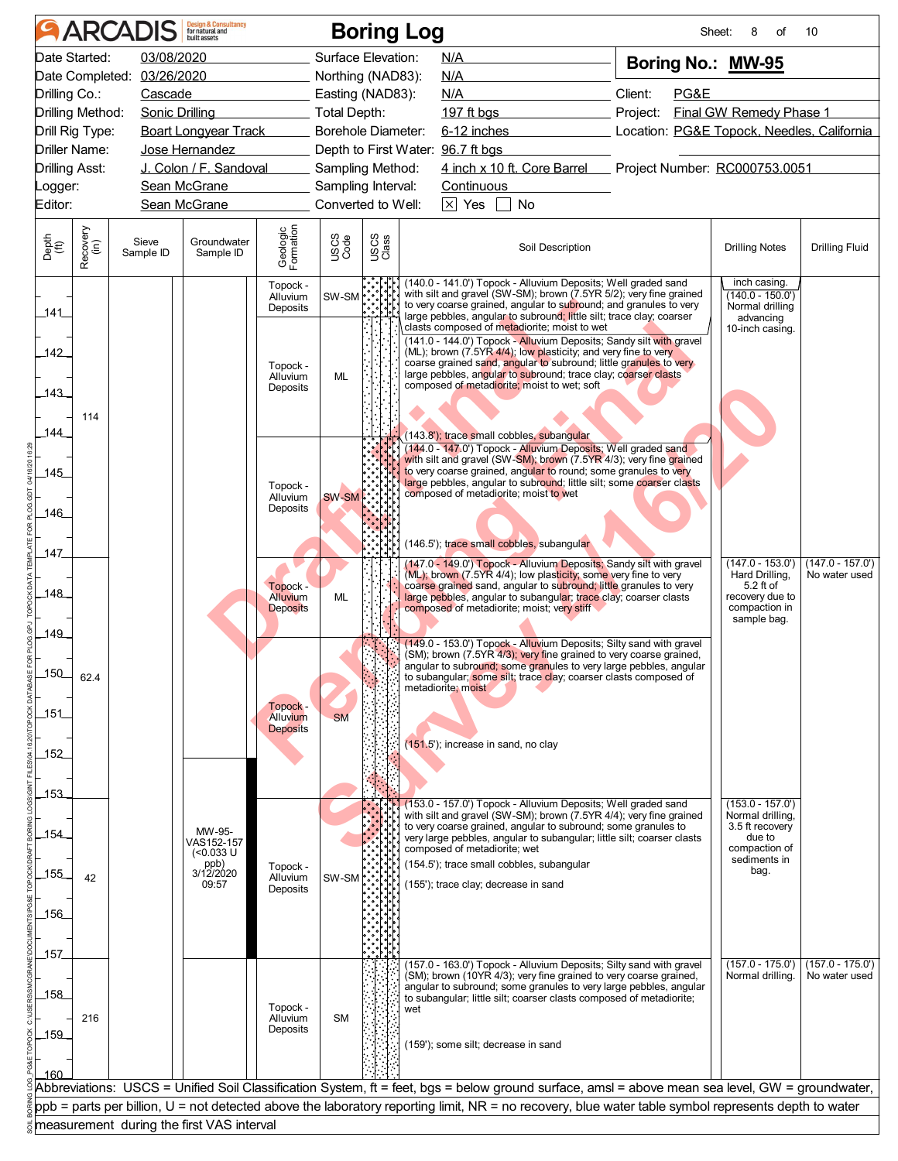|               |                       | <b>ARCADIS</b>             | <b>Design &amp; Consultancy</b><br>for natural and |                                  |                    |               | <b>Boring Log</b> |                                                                                                                                                                                                                                                                                  |                  |          |      | Sheet:<br>8<br>of                                                  | 10                                  |
|---------------|-----------------------|----------------------------|----------------------------------------------------|----------------------------------|--------------------|---------------|-------------------|----------------------------------------------------------------------------------------------------------------------------------------------------------------------------------------------------------------------------------------------------------------------------------|------------------|----------|------|--------------------------------------------------------------------|-------------------------------------|
|               | Date Started:         | 03/08/2020                 |                                                    |                                  | Surface Elevation: |               |                   | N/A                                                                                                                                                                                                                                                                              |                  |          |      | Boring No.: MW-95                                                  |                                     |
|               |                       | Date Completed: 03/26/2020 |                                                    |                                  | Northing (NAD83):  |               |                   | N/A                                                                                                                                                                                                                                                                              |                  |          |      |                                                                    |                                     |
| Drilling Co.: |                       | Cascade                    |                                                    |                                  | Easting (NAD83):   |               |                   | N/A                                                                                                                                                                                                                                                                              |                  | Client:  | PG&E |                                                                    |                                     |
|               | Drilling Method:      |                            | Sonic Drilling                                     |                                  | _ Total Depth:     |               |                   | $197$ ft bgs                                                                                                                                                                                                                                                                     |                  | Project: |      | Final GW Remedy Phase 1                                            |                                     |
|               | Drill Rig Type:       |                            | <b>Boart Longyear Track</b>                        |                                  | Borehole Diameter: |               |                   | 6-12 inches                                                                                                                                                                                                                                                                      |                  |          |      | Location: PG&E Topock, Needles, California                         |                                     |
|               | Driller Name:         |                            | Jose Hernandez                                     |                                  |                    |               |                   | Depth to First Water: 96.7 ft bgs                                                                                                                                                                                                                                                |                  |          |      |                                                                    |                                     |
|               | <b>Drilling Asst:</b> |                            | J. Colon / F. Sandoval                             |                                  | Sampling Method:   |               |                   | 4 inch x 10 ft. Core Barrel Project Number: RC000753.0051                                                                                                                                                                                                                        |                  |          |      |                                                                    |                                     |
| Logger:       |                       |                            | Sean McGrane                                       |                                  | Sampling Interval: |               |                   | <b>Continuous</b>                                                                                                                                                                                                                                                                |                  |          |      |                                                                    |                                     |
| Editor:       |                       |                            | Sean McGrane                                       |                                  | Converted to Well: |               |                   | $\times$ Yes                                                                                                                                                                                                                                                                     | No               |          |      |                                                                    |                                     |
| Depth<br>(ft) | Recovery<br>(in)      | Sieve<br>Sample ID         | Groundwater<br>Sample ID                           | Geologic<br>Formation            | USCS<br>Code       | USCS<br>Class |                   |                                                                                                                                                                                                                                                                                  | Soil Description |          |      | <b>Drilling Notes</b>                                              | <b>Drilling Fluid</b>               |
| _141_         |                       |                            |                                                    | Topock -<br>Alluvium<br>Deposits | SW-SM              |               |                   | (140.0 - 141.0') Topock - Alluvium Deposits; Well graded sand<br>with silt and gravel (SW-SM); brown (7.5YR 5/2); very fine grained<br>to very coarse grained, angular to subround; and granules to very<br>large pebbles, angular to subround; little silt; trace clay; coarser |                  |          |      | inch casing.<br>$(140.0 - 150.0')$<br>Normal drilling<br>advancing |                                     |
|               |                       |                            |                                                    |                                  |                    |               |                   | clasts composed of metadiorite; moist to wet<br>(141.0 - 144.0') Topock - Alluvium Deposits; Sandy silt with gravel                                                                                                                                                              |                  |          |      | 10-inch casing.                                                    |                                     |
| 142           |                       |                            |                                                    |                                  |                    |               |                   | (ML); brown (7.5YR 4/4); low plasticity; and very fine to very<br>coarse grained sand, angular to subround; little granules to very                                                                                                                                              |                  |          |      |                                                                    |                                     |
|               |                       |                            |                                                    | Topock -<br>Alluvium             | <b>ML</b>          |               |                   | large pebbles, angular to subround; trace clay; coarser clasts                                                                                                                                                                                                                   |                  |          |      |                                                                    |                                     |
| $-143$        |                       |                            |                                                    | Deposits                         |                    |               |                   | composed of metadiorite; moist to wet; soft                                                                                                                                                                                                                                      |                  |          |      |                                                                    |                                     |
|               | 114                   |                            |                                                    |                                  |                    |               |                   |                                                                                                                                                                                                                                                                                  |                  |          |      |                                                                    |                                     |
| 144           |                       |                            |                                                    |                                  |                    |               |                   | (143.8'); trace small cobbles, subangular                                                                                                                                                                                                                                        |                  |          |      |                                                                    |                                     |
|               |                       |                            |                                                    |                                  |                    |               |                   | (144.0 - 147.0') Topock - Alluvium Deposits; Well graded sand<br>with silt and gravel (SW-SM); brown (7.5YR 4/3); very fine grained                                                                                                                                              |                  |          |      |                                                                    |                                     |
| .145          |                       |                            |                                                    |                                  |                    |               |                   | to very coarse grained, angular to round; some granules to very<br>large pebbles, angular to subround; little silt; some coarser clasts                                                                                                                                          |                  |          |      |                                                                    |                                     |
|               |                       |                            |                                                    | Topock -<br>Alluvium             | SW-SM              |               |                   | composed of metadiorite; moist to wet                                                                                                                                                                                                                                            |                  |          |      |                                                                    |                                     |
| 146           |                       |                            |                                                    | Deposits                         |                    |               |                   |                                                                                                                                                                                                                                                                                  |                  |          |      |                                                                    |                                     |
|               |                       |                            |                                                    |                                  |                    |               |                   |                                                                                                                                                                                                                                                                                  |                  |          |      |                                                                    |                                     |
| 147           |                       |                            |                                                    |                                  |                    |               |                   | (146.5'); trace small cobbles, subangular                                                                                                                                                                                                                                        |                  |          |      |                                                                    |                                     |
|               |                       |                            |                                                    |                                  |                    |               |                   | (147.0 - 149.0') Topock - Alluvium Deposits; Sandy silt with gravel<br>(ML); brown (7.5YR 4/4); low plasticity; some very fine to very                                                                                                                                           |                  |          |      | $(147.0 - 153.0')$<br>Hard Drilling,                               | $(147.0 - 157.0')$<br>No water used |
| .148          |                       |                            |                                                    | Topock -<br>Alluvium             | ML                 |               |                   | coarse grained sand, angular to subround; little granules to very<br>large pebbles, angular to subangular; trace clay; coarser clasts                                                                                                                                            |                  |          |      | $5.2$ ft of<br>recovery due to                                     |                                     |
|               |                       |                            |                                                    | <b>Deposits</b>                  |                    |               |                   | composed of metadiorite; moist; very stiff                                                                                                                                                                                                                                       |                  |          |      | compaction in                                                      |                                     |
| 149           |                       |                            |                                                    |                                  |                    |               |                   |                                                                                                                                                                                                                                                                                  |                  |          |      | sample bag.                                                        |                                     |
|               |                       |                            |                                                    |                                  |                    |               |                   | (149.0 - 153.0') Topock - Alluvium Deposits; Silty sand with gravel<br>(SM); brown (7.5YR 4/3); very fine grained to very coarse grained,                                                                                                                                        |                  |          |      |                                                                    |                                     |
| $-150$        |                       |                            |                                                    |                                  |                    |               |                   | angular to subround; some granules to very large pebbles, angular                                                                                                                                                                                                                |                  |          |      |                                                                    |                                     |
|               | 62.4                  |                            |                                                    |                                  |                    |               |                   | to subangular; some silt; trace clay; coarser clasts composed of<br>metadiorite; moist                                                                                                                                                                                           |                  |          |      |                                                                    |                                     |
|               |                       |                            |                                                    | Topock -                         |                    |               |                   |                                                                                                                                                                                                                                                                                  |                  |          |      |                                                                    |                                     |
| 151           |                       |                            |                                                    | Alluvium<br><b>Deposits</b>      | <b>SM</b>          |               |                   |                                                                                                                                                                                                                                                                                  |                  |          |      |                                                                    |                                     |
|               |                       |                            |                                                    |                                  |                    |               |                   | (151.5'); increase in sand, no clay                                                                                                                                                                                                                                              |                  |          |      |                                                                    |                                     |
| _152_         |                       |                            |                                                    |                                  |                    |               |                   |                                                                                                                                                                                                                                                                                  |                  |          |      |                                                                    |                                     |
|               |                       |                            |                                                    |                                  |                    |               |                   |                                                                                                                                                                                                                                                                                  |                  |          |      |                                                                    |                                     |
| 153           |                       |                            |                                                    |                                  |                    |               |                   | (153.0 - 157.0') Topock - Alluvium Deposits; Well graded sand                                                                                                                                                                                                                    |                  |          |      | $(153.0 - 157.0')$                                                 |                                     |
|               |                       |                            |                                                    |                                  |                    |               |                   | with silt and gravel (SW-SM); brown (7.5YR 4/4); very fine grained<br>to very coarse grained, angular to subround; some granules to                                                                                                                                              |                  |          |      | Normal drilling,<br>3.5 ft recovery                                |                                     |
| 154           |                       |                            | MW-95-<br>VAS152-157                               |                                  |                    |               |                   | very large pebbles, angular to subangular; little silt; coarser clasts                                                                                                                                                                                                           |                  |          |      | due to                                                             |                                     |
|               |                       |                            | $(0.033 \text{ U}$<br>ppb)                         | Topock -                         |                    |               |                   | composed of metadiorite; wet<br>(154.5'); trace small cobbles, subangular                                                                                                                                                                                                        |                  |          |      | compaction of<br>sediments in                                      |                                     |
| 155           | 42                    |                            | 3/12/2020<br>09:57                                 | Alluvium                         | SW-SM <sup></sup>  |               |                   | (155'); trace clay; decrease in sand                                                                                                                                                                                                                                             |                  |          |      | bag.                                                               |                                     |
|               |                       |                            |                                                    | Deposits                         |                    |               |                   |                                                                                                                                                                                                                                                                                  |                  |          |      |                                                                    |                                     |
| 156           |                       |                            |                                                    |                                  |                    |               |                   |                                                                                                                                                                                                                                                                                  |                  |          |      |                                                                    |                                     |
|               |                       |                            |                                                    |                                  |                    |               |                   |                                                                                                                                                                                                                                                                                  |                  |          |      |                                                                    |                                     |
| _157_         |                       |                            |                                                    |                                  |                    |               |                   |                                                                                                                                                                                                                                                                                  |                  |          |      |                                                                    |                                     |
|               |                       |                            |                                                    |                                  |                    |               |                   | (157.0 - 163.0') Topock - Alluvium Deposits; Silty sand with gravel<br>(SM); brown (10YR 4/3); very fine grained to very coarse grained,                                                                                                                                         |                  |          |      | $(157.0 - 175.0')$<br>Normal drilling.                             | $(157.0 - 175.0')$<br>No water used |
| 158           |                       |                            |                                                    |                                  |                    |               |                   | angular to subround; some granules to very large pebbles, angular<br>to subangular; little silt; coarser clasts composed of metadiorite;                                                                                                                                         |                  |          |      |                                                                    |                                     |
|               | 216                   |                            |                                                    | Topock -<br>Alluvium             | <b>SM</b>          |               | wet               |                                                                                                                                                                                                                                                                                  |                  |          |      |                                                                    |                                     |
| $-159$        |                       |                            |                                                    | Deposits                         |                    |               |                   |                                                                                                                                                                                                                                                                                  |                  |          |      |                                                                    |                                     |
|               |                       |                            |                                                    |                                  |                    |               |                   | (159'); some silt; decrease in sand                                                                                                                                                                                                                                              |                  |          |      |                                                                    |                                     |
| 160           |                       |                            |                                                    |                                  |                    |               |                   |                                                                                                                                                                                                                                                                                  |                  |          |      |                                                                    |                                     |
|               |                       |                            |                                                    |                                  |                    |               |                   | Abbreviations: USCS = Unified Soil Classification System, ft = feet, bgs = below ground surface, amsl = above mean sea level, GW = groundwater,                                                                                                                                  |                  |          |      |                                                                    |                                     |
|               |                       |                            |                                                    |                                  |                    |               |                   | ppb = parts per billion, U = not detected above the laboratory reporting limit, NR = no recovery, blue water table symbol represents depth to water                                                                                                                              |                  |          |      |                                                                    |                                     |
|               |                       |                            | measurement during the first VAS interval          |                                  |                    |               |                   |                                                                                                                                                                                                                                                                                  |                  |          |      |                                                                    |                                     |
|               |                       |                            |                                                    |                                  |                    |               |                   |                                                                                                                                                                                                                                                                                  |                  |          |      |                                                                    |                                     |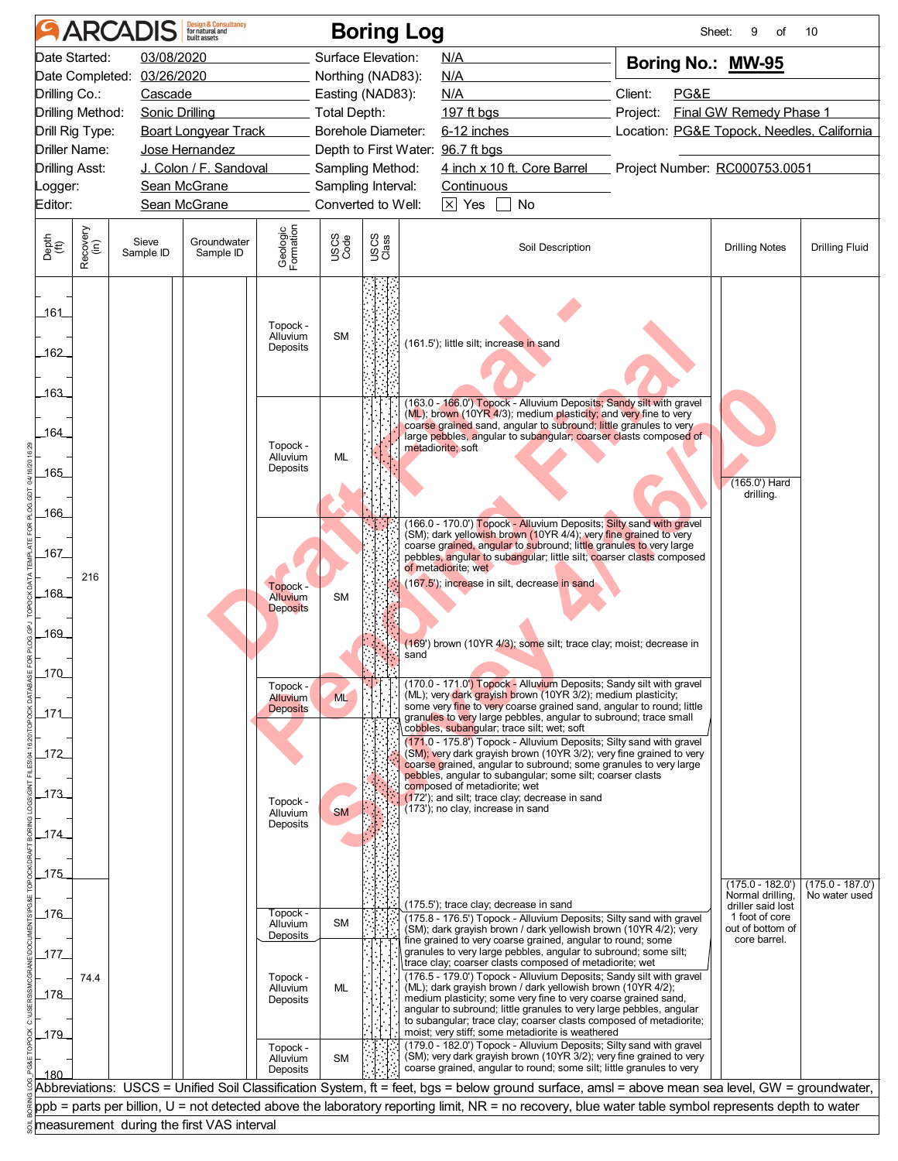|                             |                  | <b>ARCADIS</b>             | <b>Design &amp; Consultancy</b><br>for natural and |                                         |                     | <b>Boring Log</b>  |                                                                                                                                                                                                                                                                                                                                                                                                                                            |                  |      | Sheet:<br>9<br>οf                          | 10                                  |
|-----------------------------|------------------|----------------------------|----------------------------------------------------|-----------------------------------------|---------------------|--------------------|--------------------------------------------------------------------------------------------------------------------------------------------------------------------------------------------------------------------------------------------------------------------------------------------------------------------------------------------------------------------------------------------------------------------------------------------|------------------|------|--------------------------------------------|-------------------------------------|
| Date Started:               |                  | 03/08/2020                 |                                                    |                                         |                     | Surface Elevation: | N/A                                                                                                                                                                                                                                                                                                                                                                                                                                        |                  |      | Boring No.: MW-95                          |                                     |
|                             |                  | Date Completed: 03/26/2020 |                                                    |                                         |                     | Northing (NAD83):  | N/A                                                                                                                                                                                                                                                                                                                                                                                                                                        |                  |      |                                            |                                     |
| Drilling Co.:               |                  | Cascade                    |                                                    |                                         |                     | Easting (NAD83):   | N/A                                                                                                                                                                                                                                                                                                                                                                                                                                        | Client:          | PG&E |                                            |                                     |
| Drilling Method:            |                  | Sonic Drilling             |                                                    |                                         | <b>Total Depth:</b> |                    | 197 $ft$ <sub>bgs</sub>                                                                                                                                                                                                                                                                                                                                                                                                                    | Project:         |      | Final GW Remedy Phase 1                    |                                     |
| Drill Rig Type:             |                  |                            | <b>Boart Longyear Track</b>                        |                                         |                     | Borehole Diameter: | $6-12$ inches                                                                                                                                                                                                                                                                                                                                                                                                                              |                  |      | Location: PG&E Topock, Needles, California |                                     |
| Driller Name:               |                  |                            | Jose Hernandez                                     |                                         |                     |                    | Depth to First Water: 96.7 ft bgs                                                                                                                                                                                                                                                                                                                                                                                                          |                  |      |                                            |                                     |
| <b>Drilling Asst:</b>       |                  |                            | J. Colon / F. Sandoval                             |                                         |                     | Sampling Method:   | 4 inch x 10 ft. Core Barrel Project Number: RC000753.0051                                                                                                                                                                                                                                                                                                                                                                                  |                  |      |                                            |                                     |
| _ogger:                     |                  |                            | Sean McGrane                                       |                                         |                     | Sampling Interval: | Continuous                                                                                                                                                                                                                                                                                                                                                                                                                                 |                  |      |                                            |                                     |
| Editor:                     |                  |                            | Sean McGrane                                       |                                         |                     | Converted to Well: | $\times$ Yes<br><b>No</b>                                                                                                                                                                                                                                                                                                                                                                                                                  |                  |      |                                            |                                     |
| Depth<br>$\widetilde{f(t)}$ | Recovery<br>(in) | Sieve<br>Sample ID         | Groundwater<br>Sample ID                           | Geologic<br>Formation                   | USCS<br>Code        | USCS<br>Class      |                                                                                                                                                                                                                                                                                                                                                                                                                                            | Soil Description |      | <b>Drilling Notes</b>                      | <b>Drilling Fluid</b>               |
| 161_<br>162                 |                  |                            |                                                    | Topock -<br>Alluvium<br>Deposits        | <b>SM</b>           |                    | (161.5'); little silt; increase in sand                                                                                                                                                                                                                                                                                                                                                                                                    |                  |      |                                            |                                     |
| 163<br>164<br>.165<br>.166  |                  |                            |                                                    | Topock -<br>Alluvium<br>Deposits        | ML                  |                    | (163.0 - 166.0') Topock - Alluvium Deposits; Sandy silt with gravel<br>(ML); brown (10YR 4/3); medium plasticity; and very fine to very<br>coarse grained sand, angular to subround; little granules to very<br>large pebbles, angular to subangular; coarser clasts composed of<br>metadiorite; soft                                                                                                                                      |                  |      | (165.0') Hard<br>drilling.                 |                                     |
| 167<br>_168_<br>169         | 216              |                            |                                                    | Topock -<br>Alluvium<br><b>Deposits</b> | <b>SM</b>           |                    | (166.0 - 170.0') Topock - Alluvium Deposits; Silty sand with gravel<br>(SM); dark yellowish brown (10YR 4/4); very fine grained to very<br>coarse grained, angular to subround; little granules to very large<br>pebbles, angular to subangular; little silt; coarser clasts composed<br>of metadiorite; wet<br>(167.5'); increase in silt, decrease in sand<br>(169') brown (10YR 4/3); some silt; trace clay; moist; decrease in<br>sand |                  |      |                                            |                                     |
| $170$<br>171                |                  |                            |                                                    | Topock -<br>Alluvium<br><b>Deposits</b> | <b>ML</b>           |                    | (170.0 - 171.0') Topock - Alluvium Deposits; Sandy silt with gravel<br>(ML); very dark grayish brown (10YR 3/2); medium plasticity;<br>some very fine to very coarse grained sand, angular to round; little<br>granules to very large pebbles, angular to subround; trace small<br>cobbles, subangular; trace silt; wet; soft<br>(171.0 - 175.8') Topock - Alluvium Deposits; Silty sand with gravel                                       |                  |      |                                            |                                     |
| _172_<br>173<br>174         |                  |                            |                                                    | Topock -<br>Alluvium<br>Deposits        | <b>SM</b>           |                    | (SM); very dark grayish brown (10YR 3/2); very fine grained to very<br>coarse grained, angular to subround; some granules to very large<br>pebbles, angular to subangular; some silt; coarser clasts<br>composed of metadiorite; wet<br>(172'); and silt; trace clay; decrease in sand<br>(173'); no clay, increase in sand                                                                                                                |                  |      |                                            |                                     |
| 175                         |                  |                            |                                                    |                                         |                     |                    |                                                                                                                                                                                                                                                                                                                                                                                                                                            |                  |      |                                            |                                     |
|                             |                  |                            |                                                    |                                         |                     |                    |                                                                                                                                                                                                                                                                                                                                                                                                                                            |                  |      | $(175.0 - 182.0')$<br>Normal drilling,     | $(175.0 - 187.0')$<br>No water used |
| _176_                       |                  |                            |                                                    | Topock -                                |                     |                    | (175.5'); trace clay; decrease in sand                                                                                                                                                                                                                                                                                                                                                                                                     |                  |      | driller said lost                          |                                     |
|                             |                  |                            |                                                    | Alluvium                                | <b>SM</b>           |                    | (175.8 - 176.5') Topock - Alluvium Deposits; Silty sand with gravel<br>(SM); dark grayish brown / dark yellowish brown (10YR 4/2); very                                                                                                                                                                                                                                                                                                    |                  |      | 1 foot of core<br>out of bottom of         |                                     |
|                             |                  |                            |                                                    | Deposits                                |                     |                    | fine grained to very coarse grained, angular to round; some<br>granules to very large pebbles, angular to subround; some silt;                                                                                                                                                                                                                                                                                                             |                  |      | core barrel.                               |                                     |
| _177_                       |                  |                            |                                                    |                                         |                     |                    | trace clay; coarser clasts composed of metadiorite; wet                                                                                                                                                                                                                                                                                                                                                                                    |                  |      |                                            |                                     |
| $178$<br>179                | 74.4             |                            |                                                    | Topock -<br>Alluvium<br>Deposits        | ML                  |                    | (176.5 - 179.0') Topock - Alluvium Deposits; Sandy silt with gravel<br>(ML); dark grayish brown / dark yellowish brown (10YR 4/2);<br>medium plasticity; some very fine to very coarse grained sand,<br>angular to subround; little granules to very large pebbles, angular<br>to subangular; trace clay; coarser clasts composed of metadiorite;<br>moist; very stiff; some metadiorite is weathered                                      |                  |      |                                            |                                     |
|                             |                  |                            |                                                    | Topock -                                |                     |                    | (179.0 - 182.0') Topock - Alluvium Deposits; Silty sand with gravel<br>(SM); very dark grayish brown (10YR 3/2); very fine grained to very                                                                                                                                                                                                                                                                                                 |                  |      |                                            |                                     |
| 180                         |                  |                            |                                                    | Alluvium<br>Deposits                    | <b>SM</b>           |                    | coarse grained, angular to round; some silt; little granules to very                                                                                                                                                                                                                                                                                                                                                                       |                  |      |                                            |                                     |
|                             |                  |                            |                                                    |                                         |                     |                    | Abbreviations: USCS = Unified Soil Classification System, ft = feet, bgs = below ground surface, amsl = above mean sea level, GW = groundwater,                                                                                                                                                                                                                                                                                            |                  |      |                                            |                                     |
|                             |                  |                            |                                                    |                                         |                     |                    | ppb = parts per billion, U = not detected above the laboratory reporting limit, NR = no recovery, blue water table symbol represents depth to water                                                                                                                                                                                                                                                                                        |                  |      |                                            |                                     |
|                             |                  |                            | measurement during the first VAS interval          |                                         |                     |                    |                                                                                                                                                                                                                                                                                                                                                                                                                                            |                  |      |                                            |                                     |
|                             |                  |                            |                                                    |                                         |                     |                    |                                                                                                                                                                                                                                                                                                                                                                                                                                            |                  |      |                                            |                                     |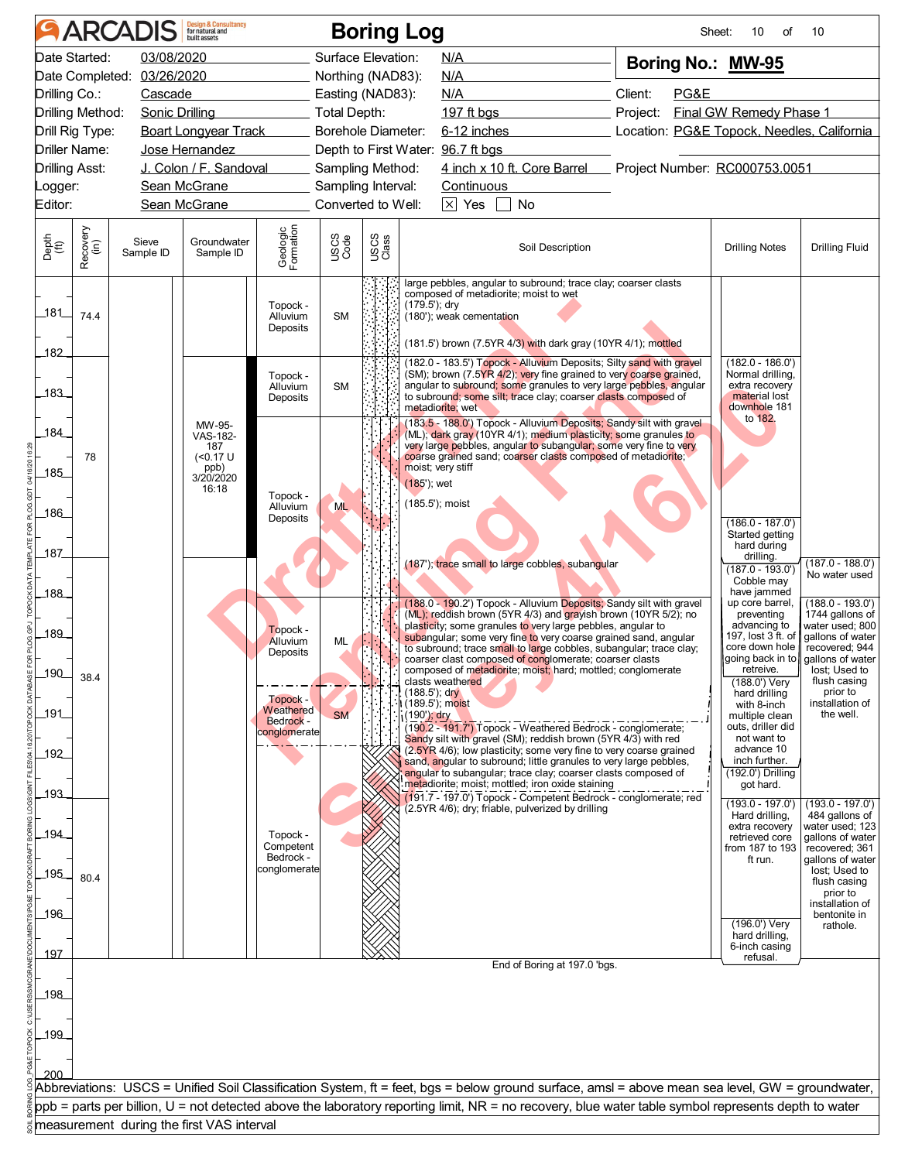| Date Started:<br>03/08/2020<br>Surface Elevation:<br>N/A<br>Boring No.: MW-95<br>Date Completed: 03/26/2020<br>Northing (NAD83):<br><b>N/A</b><br>Client:<br>Drilling Co.:<br>PG&E<br>Cascade<br>Easting (NAD83):<br>N/A<br>Drilling Method:<br>Total Depth:<br>Project:<br>Final GW Remedy Phase 1<br>Sonic Drilling<br>197 $ft$ bgs<br>Drill Rig Type:<br><b>Boart Longyear Track</b><br><b>Borehole Diameter:</b><br>6-12 inches<br>Location: PG&E Topock, Needles, California<br>Driller Name:<br>Depth to First Water: 96.7 ft bgs<br>Jose Hernandez<br>J. Colon / F. Sandoval<br>4 inch x 10 ft. Core Barrel Project Number: RC000753.0051<br><b>Drilling Asst:</b><br>Sampling Method:<br>Sean McGrane<br>Sampling Interval:<br><b>Continuous</b><br>_ogger:<br>$\times$ Yes<br>Converted to Well:<br>No<br>Editor:<br>Sean McGrane<br>Geologic<br>Formation<br>Recovery<br>(in)<br>USCS<br>Class<br>Depth<br>(ft)<br>USCS<br>Code<br>Groundwater<br>Sieve<br><b>Drilling Fluid</b><br>Soil Description<br><b>Drilling Notes</b><br>Sample ID<br>Sample ID<br>large pebbles, angular to subround; trace clay; coarser clasts<br>composed of metadiorite; moist to wet<br>(179.5'); dry<br>Topock -<br>181<br>74.4<br>Alluvium<br><b>SM</b><br>(180'); weak cementation<br>Deposits<br>(181.5') brown (7.5YR 4/3) with dark gray (10YR 4/1); mottled<br>182<br>(182.0 - 183.5') Topock - Alluvium Deposits; Silty sand with gravel<br>$(182.0 - 186.0')$<br>(SM); brown (7.5YR 4/2); very fine grained to very coarse grained,<br>Normal drilling,<br>Topock -<br>extra recovery<br>angular to subround; some granules to very large pebbles, angular<br><b>SM</b><br>Alluvium<br>183<br>to subround; some silt; trace clay; coarser clasts composed of<br>material lost<br>Deposits<br>downhole 181<br>metadiorite; wet<br>to 182.<br>(183.5 - 188.0') Topock - Alluvium Deposits; Sandy silt with gravel<br>MW-95-<br>184<br>(ML); dark gray (10YR 4/1); medium plasticity; some granules to<br>VAS-182-<br>very large pebbles, angular to subangular; some very fine to very<br>187<br>coarse grained sand; coarser clasts composed of metadiorite;<br>78<br>(<0.17 U<br>moist; very stiff<br>ppb)<br>185<br>3/20/2020<br>(185'); wet<br>16:18<br>Topock -<br>(185.5'); moist<br>Alluvium<br><b>ML</b><br>186<br>Deposits<br>$(186.0 - 187.0')$<br>Started getting<br>hard during<br>187<br>drilling.<br>(187'); trace small to large cobbles, subangular<br>$(187.0 - 193.0)$<br>Cobble may<br>have jammed<br>188<br>up core barrel,<br>(188.0 - 190.2') Topock - Alluvium Deposits; Sandy silt with gravel<br>(ML); reddish brown (5YR 4/3) and grayish brown (10YR 5/2); no<br>preventing<br>plasticity; some granules to very large pebbles, angular to<br>advancing to<br>Topock -<br>189<br>197, lost 3 ft. of<br>gallons of water<br>subangular; some very fine to very coarse grained sand, angular<br>Alluvium<br>ML<br>core down hole<br>to subround; trace small to large cobbles, subangular; trace clay;<br>Deposits<br>going back in to<br>coarser clast composed of conglomerate; coarser clasts<br>lost; Used to<br>composed of metadiorite; moist; hard; mottled; conglomerate<br>_190_<br>retreive.<br>38.4<br>flush casing<br>clasts weathered<br>(188.0') Very<br>$(188.5)$ ; dry<br>prior to<br>hard drilling<br>Topock -<br>with 8-inch<br>Weathered<br>191<br><b>SM</b><br>the well.<br>(190'); dry<br>multiple clean<br><b>Bedrock -</b><br>outs, driller did<br>(190.2 - 191.7') Topock - Weathered Bedrock - conglomerate;<br>conglomerate<br>Sandy silt with gravel (SM); reddish brown (5YR 4/3) with red<br>not want to<br>advance 10<br>(2.5YR 4/6); low plasticity; some very fine to very coarse grained<br>192<br>sand, angular to subround; little granules to very large pebbles,<br>inch further.<br>angular to subangular; trace clay; coarser clasts composed of<br>(192.0') Drilling<br>metadiorite; moist; mottled; iron oxide staining<br>got hard.<br>193<br>(191.7 - 197.0') Topock - Competent Bedrock - conglomerate; red<br>(193.0 - 197.0')<br>(2.5YR 4/6); dry; friable, pulverized by drilling<br>Hard drilling,<br>extra recovery<br>194<br>Topock -<br>retrieved core<br>Competent<br>from 187 to 193<br>Bedrock -<br>ft run.<br>conglomerate<br>lost; Used to<br>195<br>80.4<br>flush casing<br>prior to<br>196<br>bentonite in<br>$(196.0')$ Very<br>rathole.<br>hard drilling,<br>6-inch casing<br><u> 197</u><br>refusal.<br>End of Boring at 197.0 'bgs.<br>198<br>199<br>200<br>Abbreviations: USCS = Unified Soil Classification System, ft = feet, bgs = below ground surface, amsl = above mean sea level, GW = groundwater,<br>ppb = parts per billion, U = not detected above the laboratory reporting limit, NR = no recovery, blue water table symbol represents depth to water<br>measurement during the first VAS interval |  | <b>ARCADIS</b> | <b>Design &amp; Consultancy</b><br>for natural and |  | <b>Boring Log</b> |  | Sheet: | 10<br>οf | 10                                                                                            |
|-------------------------------------------------------------------------------------------------------------------------------------------------------------------------------------------------------------------------------------------------------------------------------------------------------------------------------------------------------------------------------------------------------------------------------------------------------------------------------------------------------------------------------------------------------------------------------------------------------------------------------------------------------------------------------------------------------------------------------------------------------------------------------------------------------------------------------------------------------------------------------------------------------------------------------------------------------------------------------------------------------------------------------------------------------------------------------------------------------------------------------------------------------------------------------------------------------------------------------------------------------------------------------------------------------------------------------------------------------------------------------------------------------------------------------------------------------------------------------------------------------------------------------------------------------------------------------------------------------------------------------------------------------------------------------------------------------------------------------------------------------------------------------------------------------------------------------------------------------------------------------------------------------------------------------------------------------------------------------------------------------------------------------------------------------------------------------------------------------------------------------------------------------------------------------------------------------------------------------------------------------------------------------------------------------------------------------------------------------------------------------------------------------------------------------------------------------------------------------------------------------------------------------------------------------------------------------------------------------------------------------------------------------------------------------------------------------------------------------------------------------------------------------------------------------------------------------------------------------------------------------------------------------------------------------------------------------------------------------------------------------------------------------------------------------------------------------------------------------------------------------------------------------------------------------------------------------------------------------------------------------------------------------------------------------------------------------------------------------------------------------------------------------------------------------------------------------------------------------------------------------------------------------------------------------------------------------------------------------------------------------------------------------------------------------------------------------------------------------------------------------------------------------------------------------------------------------------------------------------------------------------------------------------------------------------------------------------------------------------------------------------------------------------------------------------------------------------------------------------------------------------------------------------------------------------------------------------------------------------------------------------------------------------------------------------------------------------------------------------------------------------------------------------------------------------------------------------------------------------------------------------------------------------------------------------------------------------------------------------------------------------------------------------------------------------------------------------------------------------------------------------------------------------------------------------------------------------------------------------------------------------------------------|--|----------------|----------------------------------------------------|--|-------------------|--|--------|----------|-----------------------------------------------------------------------------------------------|
|                                                                                                                                                                                                                                                                                                                                                                                                                                                                                                                                                                                                                                                                                                                                                                                                                                                                                                                                                                                                                                                                                                                                                                                                                                                                                                                                                                                                                                                                                                                                                                                                                                                                                                                                                                                                                                                                                                                                                                                                                                                                                                                                                                                                                                                                                                                                                                                                                                                                                                                                                                                                                                                                                                                                                                                                                                                                                                                                                                                                                                                                                                                                                                                                                                                                                                                                                                                                                                                                                                                                                                                                                                                                                                                                                                                                                                                                                                                                                                                                                                                                                                                                                                                                                                                                                                                                                                                                                                                                                                                                                                                                                                                                                                                                                                                                                                                                                                       |  |                |                                                    |  |                   |  |        |          |                                                                                               |
|                                                                                                                                                                                                                                                                                                                                                                                                                                                                                                                                                                                                                                                                                                                                                                                                                                                                                                                                                                                                                                                                                                                                                                                                                                                                                                                                                                                                                                                                                                                                                                                                                                                                                                                                                                                                                                                                                                                                                                                                                                                                                                                                                                                                                                                                                                                                                                                                                                                                                                                                                                                                                                                                                                                                                                                                                                                                                                                                                                                                                                                                                                                                                                                                                                                                                                                                                                                                                                                                                                                                                                                                                                                                                                                                                                                                                                                                                                                                                                                                                                                                                                                                                                                                                                                                                                                                                                                                                                                                                                                                                                                                                                                                                                                                                                                                                                                                                                       |  |                |                                                    |  |                   |  |        |          |                                                                                               |
|                                                                                                                                                                                                                                                                                                                                                                                                                                                                                                                                                                                                                                                                                                                                                                                                                                                                                                                                                                                                                                                                                                                                                                                                                                                                                                                                                                                                                                                                                                                                                                                                                                                                                                                                                                                                                                                                                                                                                                                                                                                                                                                                                                                                                                                                                                                                                                                                                                                                                                                                                                                                                                                                                                                                                                                                                                                                                                                                                                                                                                                                                                                                                                                                                                                                                                                                                                                                                                                                                                                                                                                                                                                                                                                                                                                                                                                                                                                                                                                                                                                                                                                                                                                                                                                                                                                                                                                                                                                                                                                                                                                                                                                                                                                                                                                                                                                                                                       |  |                |                                                    |  |                   |  |        |          |                                                                                               |
|                                                                                                                                                                                                                                                                                                                                                                                                                                                                                                                                                                                                                                                                                                                                                                                                                                                                                                                                                                                                                                                                                                                                                                                                                                                                                                                                                                                                                                                                                                                                                                                                                                                                                                                                                                                                                                                                                                                                                                                                                                                                                                                                                                                                                                                                                                                                                                                                                                                                                                                                                                                                                                                                                                                                                                                                                                                                                                                                                                                                                                                                                                                                                                                                                                                                                                                                                                                                                                                                                                                                                                                                                                                                                                                                                                                                                                                                                                                                                                                                                                                                                                                                                                                                                                                                                                                                                                                                                                                                                                                                                                                                                                                                                                                                                                                                                                                                                                       |  |                |                                                    |  |                   |  |        |          |                                                                                               |
|                                                                                                                                                                                                                                                                                                                                                                                                                                                                                                                                                                                                                                                                                                                                                                                                                                                                                                                                                                                                                                                                                                                                                                                                                                                                                                                                                                                                                                                                                                                                                                                                                                                                                                                                                                                                                                                                                                                                                                                                                                                                                                                                                                                                                                                                                                                                                                                                                                                                                                                                                                                                                                                                                                                                                                                                                                                                                                                                                                                                                                                                                                                                                                                                                                                                                                                                                                                                                                                                                                                                                                                                                                                                                                                                                                                                                                                                                                                                                                                                                                                                                                                                                                                                                                                                                                                                                                                                                                                                                                                                                                                                                                                                                                                                                                                                                                                                                                       |  |                |                                                    |  |                   |  |        |          |                                                                                               |
|                                                                                                                                                                                                                                                                                                                                                                                                                                                                                                                                                                                                                                                                                                                                                                                                                                                                                                                                                                                                                                                                                                                                                                                                                                                                                                                                                                                                                                                                                                                                                                                                                                                                                                                                                                                                                                                                                                                                                                                                                                                                                                                                                                                                                                                                                                                                                                                                                                                                                                                                                                                                                                                                                                                                                                                                                                                                                                                                                                                                                                                                                                                                                                                                                                                                                                                                                                                                                                                                                                                                                                                                                                                                                                                                                                                                                                                                                                                                                                                                                                                                                                                                                                                                                                                                                                                                                                                                                                                                                                                                                                                                                                                                                                                                                                                                                                                                                                       |  |                |                                                    |  |                   |  |        |          |                                                                                               |
|                                                                                                                                                                                                                                                                                                                                                                                                                                                                                                                                                                                                                                                                                                                                                                                                                                                                                                                                                                                                                                                                                                                                                                                                                                                                                                                                                                                                                                                                                                                                                                                                                                                                                                                                                                                                                                                                                                                                                                                                                                                                                                                                                                                                                                                                                                                                                                                                                                                                                                                                                                                                                                                                                                                                                                                                                                                                                                                                                                                                                                                                                                                                                                                                                                                                                                                                                                                                                                                                                                                                                                                                                                                                                                                                                                                                                                                                                                                                                                                                                                                                                                                                                                                                                                                                                                                                                                                                                                                                                                                                                                                                                                                                                                                                                                                                                                                                                                       |  |                |                                                    |  |                   |  |        |          |                                                                                               |
|                                                                                                                                                                                                                                                                                                                                                                                                                                                                                                                                                                                                                                                                                                                                                                                                                                                                                                                                                                                                                                                                                                                                                                                                                                                                                                                                                                                                                                                                                                                                                                                                                                                                                                                                                                                                                                                                                                                                                                                                                                                                                                                                                                                                                                                                                                                                                                                                                                                                                                                                                                                                                                                                                                                                                                                                                                                                                                                                                                                                                                                                                                                                                                                                                                                                                                                                                                                                                                                                                                                                                                                                                                                                                                                                                                                                                                                                                                                                                                                                                                                                                                                                                                                                                                                                                                                                                                                                                                                                                                                                                                                                                                                                                                                                                                                                                                                                                                       |  |                |                                                    |  |                   |  |        |          |                                                                                               |
|                                                                                                                                                                                                                                                                                                                                                                                                                                                                                                                                                                                                                                                                                                                                                                                                                                                                                                                                                                                                                                                                                                                                                                                                                                                                                                                                                                                                                                                                                                                                                                                                                                                                                                                                                                                                                                                                                                                                                                                                                                                                                                                                                                                                                                                                                                                                                                                                                                                                                                                                                                                                                                                                                                                                                                                                                                                                                                                                                                                                                                                                                                                                                                                                                                                                                                                                                                                                                                                                                                                                                                                                                                                                                                                                                                                                                                                                                                                                                                                                                                                                                                                                                                                                                                                                                                                                                                                                                                                                                                                                                                                                                                                                                                                                                                                                                                                                                                       |  |                |                                                    |  |                   |  |        |          |                                                                                               |
|                                                                                                                                                                                                                                                                                                                                                                                                                                                                                                                                                                                                                                                                                                                                                                                                                                                                                                                                                                                                                                                                                                                                                                                                                                                                                                                                                                                                                                                                                                                                                                                                                                                                                                                                                                                                                                                                                                                                                                                                                                                                                                                                                                                                                                                                                                                                                                                                                                                                                                                                                                                                                                                                                                                                                                                                                                                                                                                                                                                                                                                                                                                                                                                                                                                                                                                                                                                                                                                                                                                                                                                                                                                                                                                                                                                                                                                                                                                                                                                                                                                                                                                                                                                                                                                                                                                                                                                                                                                                                                                                                                                                                                                                                                                                                                                                                                                                                                       |  |                |                                                    |  |                   |  |        |          |                                                                                               |
|                                                                                                                                                                                                                                                                                                                                                                                                                                                                                                                                                                                                                                                                                                                                                                                                                                                                                                                                                                                                                                                                                                                                                                                                                                                                                                                                                                                                                                                                                                                                                                                                                                                                                                                                                                                                                                                                                                                                                                                                                                                                                                                                                                                                                                                                                                                                                                                                                                                                                                                                                                                                                                                                                                                                                                                                                                                                                                                                                                                                                                                                                                                                                                                                                                                                                                                                                                                                                                                                                                                                                                                                                                                                                                                                                                                                                                                                                                                                                                                                                                                                                                                                                                                                                                                                                                                                                                                                                                                                                                                                                                                                                                                                                                                                                                                                                                                                                                       |  |                |                                                    |  |                   |  |        |          |                                                                                               |
|                                                                                                                                                                                                                                                                                                                                                                                                                                                                                                                                                                                                                                                                                                                                                                                                                                                                                                                                                                                                                                                                                                                                                                                                                                                                                                                                                                                                                                                                                                                                                                                                                                                                                                                                                                                                                                                                                                                                                                                                                                                                                                                                                                                                                                                                                                                                                                                                                                                                                                                                                                                                                                                                                                                                                                                                                                                                                                                                                                                                                                                                                                                                                                                                                                                                                                                                                                                                                                                                                                                                                                                                                                                                                                                                                                                                                                                                                                                                                                                                                                                                                                                                                                                                                                                                                                                                                                                                                                                                                                                                                                                                                                                                                                                                                                                                                                                                                                       |  |                |                                                    |  |                   |  |        |          |                                                                                               |
|                                                                                                                                                                                                                                                                                                                                                                                                                                                                                                                                                                                                                                                                                                                                                                                                                                                                                                                                                                                                                                                                                                                                                                                                                                                                                                                                                                                                                                                                                                                                                                                                                                                                                                                                                                                                                                                                                                                                                                                                                                                                                                                                                                                                                                                                                                                                                                                                                                                                                                                                                                                                                                                                                                                                                                                                                                                                                                                                                                                                                                                                                                                                                                                                                                                                                                                                                                                                                                                                                                                                                                                                                                                                                                                                                                                                                                                                                                                                                                                                                                                                                                                                                                                                                                                                                                                                                                                                                                                                                                                                                                                                                                                                                                                                                                                                                                                                                                       |  |                |                                                    |  |                   |  |        |          |                                                                                               |
|                                                                                                                                                                                                                                                                                                                                                                                                                                                                                                                                                                                                                                                                                                                                                                                                                                                                                                                                                                                                                                                                                                                                                                                                                                                                                                                                                                                                                                                                                                                                                                                                                                                                                                                                                                                                                                                                                                                                                                                                                                                                                                                                                                                                                                                                                                                                                                                                                                                                                                                                                                                                                                                                                                                                                                                                                                                                                                                                                                                                                                                                                                                                                                                                                                                                                                                                                                                                                                                                                                                                                                                                                                                                                                                                                                                                                                                                                                                                                                                                                                                                                                                                                                                                                                                                                                                                                                                                                                                                                                                                                                                                                                                                                                                                                                                                                                                                                                       |  |                |                                                    |  |                   |  |        |          |                                                                                               |
|                                                                                                                                                                                                                                                                                                                                                                                                                                                                                                                                                                                                                                                                                                                                                                                                                                                                                                                                                                                                                                                                                                                                                                                                                                                                                                                                                                                                                                                                                                                                                                                                                                                                                                                                                                                                                                                                                                                                                                                                                                                                                                                                                                                                                                                                                                                                                                                                                                                                                                                                                                                                                                                                                                                                                                                                                                                                                                                                                                                                                                                                                                                                                                                                                                                                                                                                                                                                                                                                                                                                                                                                                                                                                                                                                                                                                                                                                                                                                                                                                                                                                                                                                                                                                                                                                                                                                                                                                                                                                                                                                                                                                                                                                                                                                                                                                                                                                                       |  |                |                                                    |  |                   |  |        |          | $(187.0 - 188.0')$<br>No water used                                                           |
|                                                                                                                                                                                                                                                                                                                                                                                                                                                                                                                                                                                                                                                                                                                                                                                                                                                                                                                                                                                                                                                                                                                                                                                                                                                                                                                                                                                                                                                                                                                                                                                                                                                                                                                                                                                                                                                                                                                                                                                                                                                                                                                                                                                                                                                                                                                                                                                                                                                                                                                                                                                                                                                                                                                                                                                                                                                                                                                                                                                                                                                                                                                                                                                                                                                                                                                                                                                                                                                                                                                                                                                                                                                                                                                                                                                                                                                                                                                                                                                                                                                                                                                                                                                                                                                                                                                                                                                                                                                                                                                                                                                                                                                                                                                                                                                                                                                                                                       |  |                |                                                    |  |                   |  |        |          | $(188.0 - 193.0')$<br>1744 gallons of<br>water used; 800                                      |
|                                                                                                                                                                                                                                                                                                                                                                                                                                                                                                                                                                                                                                                                                                                                                                                                                                                                                                                                                                                                                                                                                                                                                                                                                                                                                                                                                                                                                                                                                                                                                                                                                                                                                                                                                                                                                                                                                                                                                                                                                                                                                                                                                                                                                                                                                                                                                                                                                                                                                                                                                                                                                                                                                                                                                                                                                                                                                                                                                                                                                                                                                                                                                                                                                                                                                                                                                                                                                                                                                                                                                                                                                                                                                                                                                                                                                                                                                                                                                                                                                                                                                                                                                                                                                                                                                                                                                                                                                                                                                                                                                                                                                                                                                                                                                                                                                                                                                                       |  |                |                                                    |  |                   |  |        |          | recovered; 944<br>gallons of water                                                            |
|                                                                                                                                                                                                                                                                                                                                                                                                                                                                                                                                                                                                                                                                                                                                                                                                                                                                                                                                                                                                                                                                                                                                                                                                                                                                                                                                                                                                                                                                                                                                                                                                                                                                                                                                                                                                                                                                                                                                                                                                                                                                                                                                                                                                                                                                                                                                                                                                                                                                                                                                                                                                                                                                                                                                                                                                                                                                                                                                                                                                                                                                                                                                                                                                                                                                                                                                                                                                                                                                                                                                                                                                                                                                                                                                                                                                                                                                                                                                                                                                                                                                                                                                                                                                                                                                                                                                                                                                                                                                                                                                                                                                                                                                                                                                                                                                                                                                                                       |  |                |                                                    |  |                   |  |        |          | installation of                                                                               |
|                                                                                                                                                                                                                                                                                                                                                                                                                                                                                                                                                                                                                                                                                                                                                                                                                                                                                                                                                                                                                                                                                                                                                                                                                                                                                                                                                                                                                                                                                                                                                                                                                                                                                                                                                                                                                                                                                                                                                                                                                                                                                                                                                                                                                                                                                                                                                                                                                                                                                                                                                                                                                                                                                                                                                                                                                                                                                                                                                                                                                                                                                                                                                                                                                                                                                                                                                                                                                                                                                                                                                                                                                                                                                                                                                                                                                                                                                                                                                                                                                                                                                                                                                                                                                                                                                                                                                                                                                                                                                                                                                                                                                                                                                                                                                                                                                                                                                                       |  |                |                                                    |  |                   |  |        |          |                                                                                               |
|                                                                                                                                                                                                                                                                                                                                                                                                                                                                                                                                                                                                                                                                                                                                                                                                                                                                                                                                                                                                                                                                                                                                                                                                                                                                                                                                                                                                                                                                                                                                                                                                                                                                                                                                                                                                                                                                                                                                                                                                                                                                                                                                                                                                                                                                                                                                                                                                                                                                                                                                                                                                                                                                                                                                                                                                                                                                                                                                                                                                                                                                                                                                                                                                                                                                                                                                                                                                                                                                                                                                                                                                                                                                                                                                                                                                                                                                                                                                                                                                                                                                                                                                                                                                                                                                                                                                                                                                                                                                                                                                                                                                                                                                                                                                                                                                                                                                                                       |  |                |                                                    |  |                   |  |        |          | $(193.0 - 197.0')$<br>484 gallons of<br>water used; 123<br>gallons of water<br>recovered; 361 |
|                                                                                                                                                                                                                                                                                                                                                                                                                                                                                                                                                                                                                                                                                                                                                                                                                                                                                                                                                                                                                                                                                                                                                                                                                                                                                                                                                                                                                                                                                                                                                                                                                                                                                                                                                                                                                                                                                                                                                                                                                                                                                                                                                                                                                                                                                                                                                                                                                                                                                                                                                                                                                                                                                                                                                                                                                                                                                                                                                                                                                                                                                                                                                                                                                                                                                                                                                                                                                                                                                                                                                                                                                                                                                                                                                                                                                                                                                                                                                                                                                                                                                                                                                                                                                                                                                                                                                                                                                                                                                                                                                                                                                                                                                                                                                                                                                                                                                                       |  |                |                                                    |  |                   |  |        |          | gallons of water<br>installation of                                                           |
|                                                                                                                                                                                                                                                                                                                                                                                                                                                                                                                                                                                                                                                                                                                                                                                                                                                                                                                                                                                                                                                                                                                                                                                                                                                                                                                                                                                                                                                                                                                                                                                                                                                                                                                                                                                                                                                                                                                                                                                                                                                                                                                                                                                                                                                                                                                                                                                                                                                                                                                                                                                                                                                                                                                                                                                                                                                                                                                                                                                                                                                                                                                                                                                                                                                                                                                                                                                                                                                                                                                                                                                                                                                                                                                                                                                                                                                                                                                                                                                                                                                                                                                                                                                                                                                                                                                                                                                                                                                                                                                                                                                                                                                                                                                                                                                                                                                                                                       |  |                |                                                    |  |                   |  |        |          |                                                                                               |
|                                                                                                                                                                                                                                                                                                                                                                                                                                                                                                                                                                                                                                                                                                                                                                                                                                                                                                                                                                                                                                                                                                                                                                                                                                                                                                                                                                                                                                                                                                                                                                                                                                                                                                                                                                                                                                                                                                                                                                                                                                                                                                                                                                                                                                                                                                                                                                                                                                                                                                                                                                                                                                                                                                                                                                                                                                                                                                                                                                                                                                                                                                                                                                                                                                                                                                                                                                                                                                                                                                                                                                                                                                                                                                                                                                                                                                                                                                                                                                                                                                                                                                                                                                                                                                                                                                                                                                                                                                                                                                                                                                                                                                                                                                                                                                                                                                                                                                       |  |                |                                                    |  |                   |  |        |          |                                                                                               |
|                                                                                                                                                                                                                                                                                                                                                                                                                                                                                                                                                                                                                                                                                                                                                                                                                                                                                                                                                                                                                                                                                                                                                                                                                                                                                                                                                                                                                                                                                                                                                                                                                                                                                                                                                                                                                                                                                                                                                                                                                                                                                                                                                                                                                                                                                                                                                                                                                                                                                                                                                                                                                                                                                                                                                                                                                                                                                                                                                                                                                                                                                                                                                                                                                                                                                                                                                                                                                                                                                                                                                                                                                                                                                                                                                                                                                                                                                                                                                                                                                                                                                                                                                                                                                                                                                                                                                                                                                                                                                                                                                                                                                                                                                                                                                                                                                                                                                                       |  |                |                                                    |  |                   |  |        |          |                                                                                               |
|                                                                                                                                                                                                                                                                                                                                                                                                                                                                                                                                                                                                                                                                                                                                                                                                                                                                                                                                                                                                                                                                                                                                                                                                                                                                                                                                                                                                                                                                                                                                                                                                                                                                                                                                                                                                                                                                                                                                                                                                                                                                                                                                                                                                                                                                                                                                                                                                                                                                                                                                                                                                                                                                                                                                                                                                                                                                                                                                                                                                                                                                                                                                                                                                                                                                                                                                                                                                                                                                                                                                                                                                                                                                                                                                                                                                                                                                                                                                                                                                                                                                                                                                                                                                                                                                                                                                                                                                                                                                                                                                                                                                                                                                                                                                                                                                                                                                                                       |  |                |                                                    |  |                   |  |        |          |                                                                                               |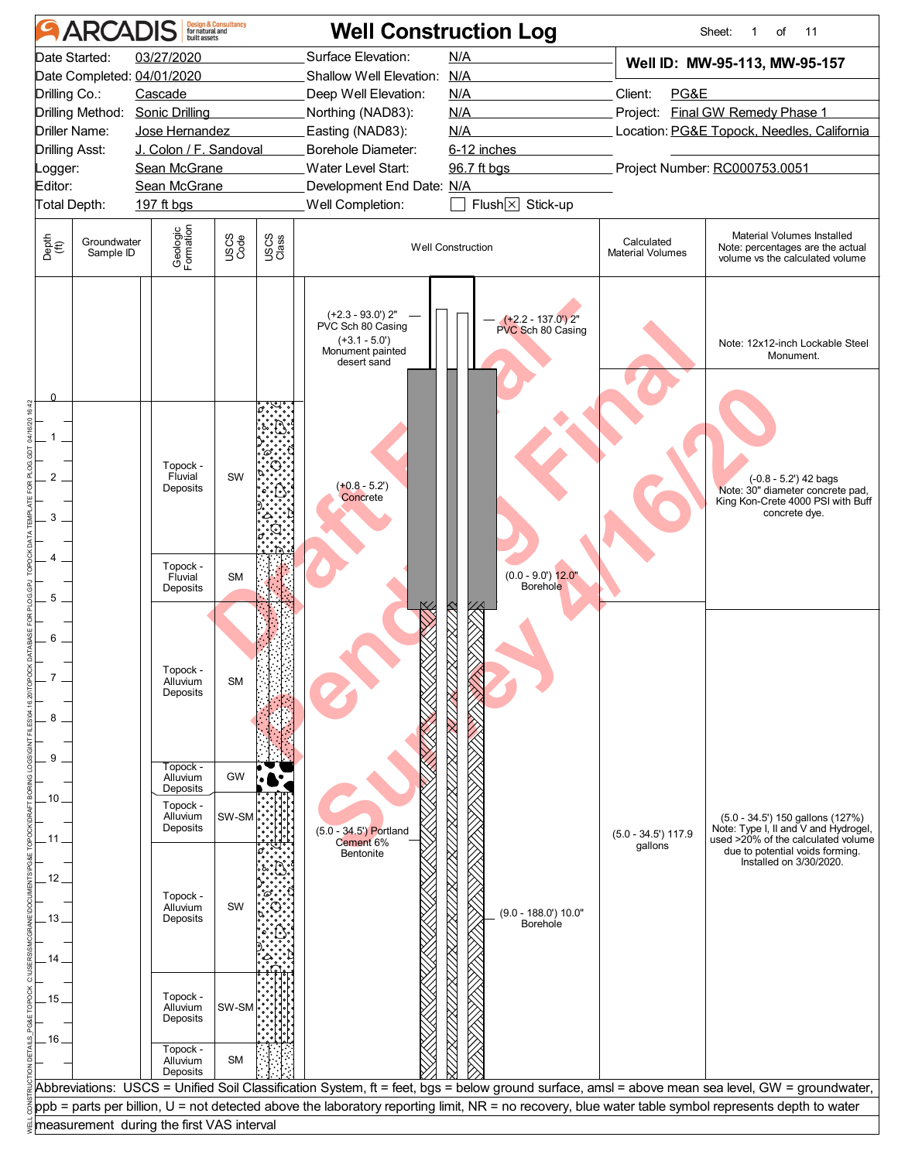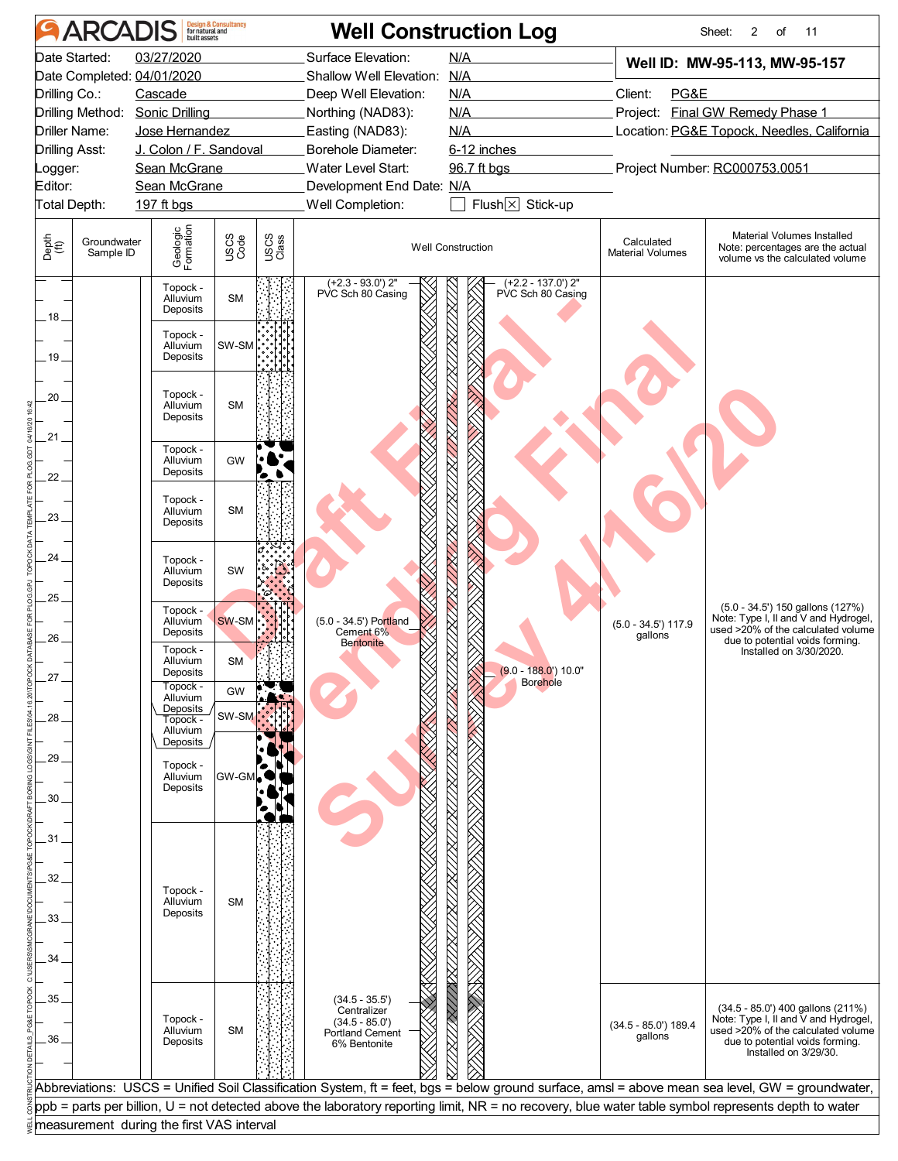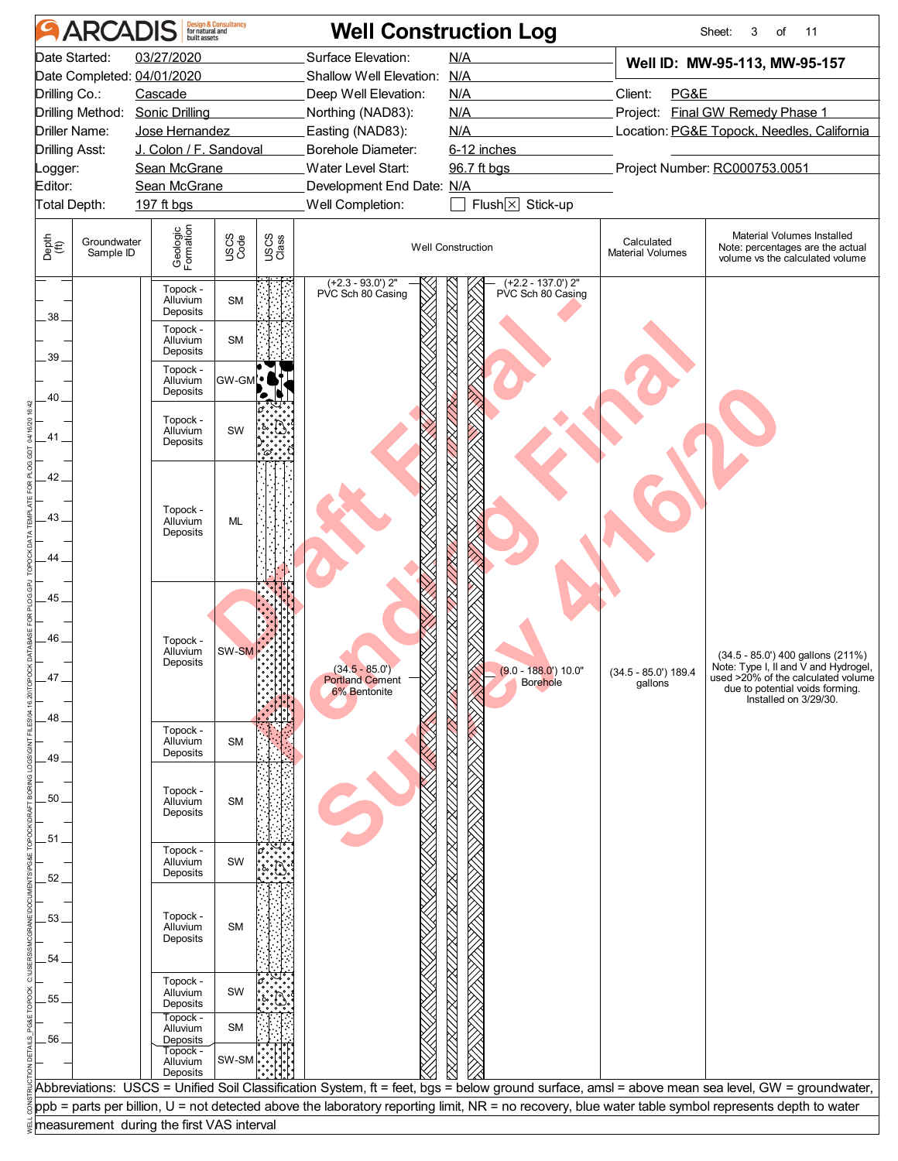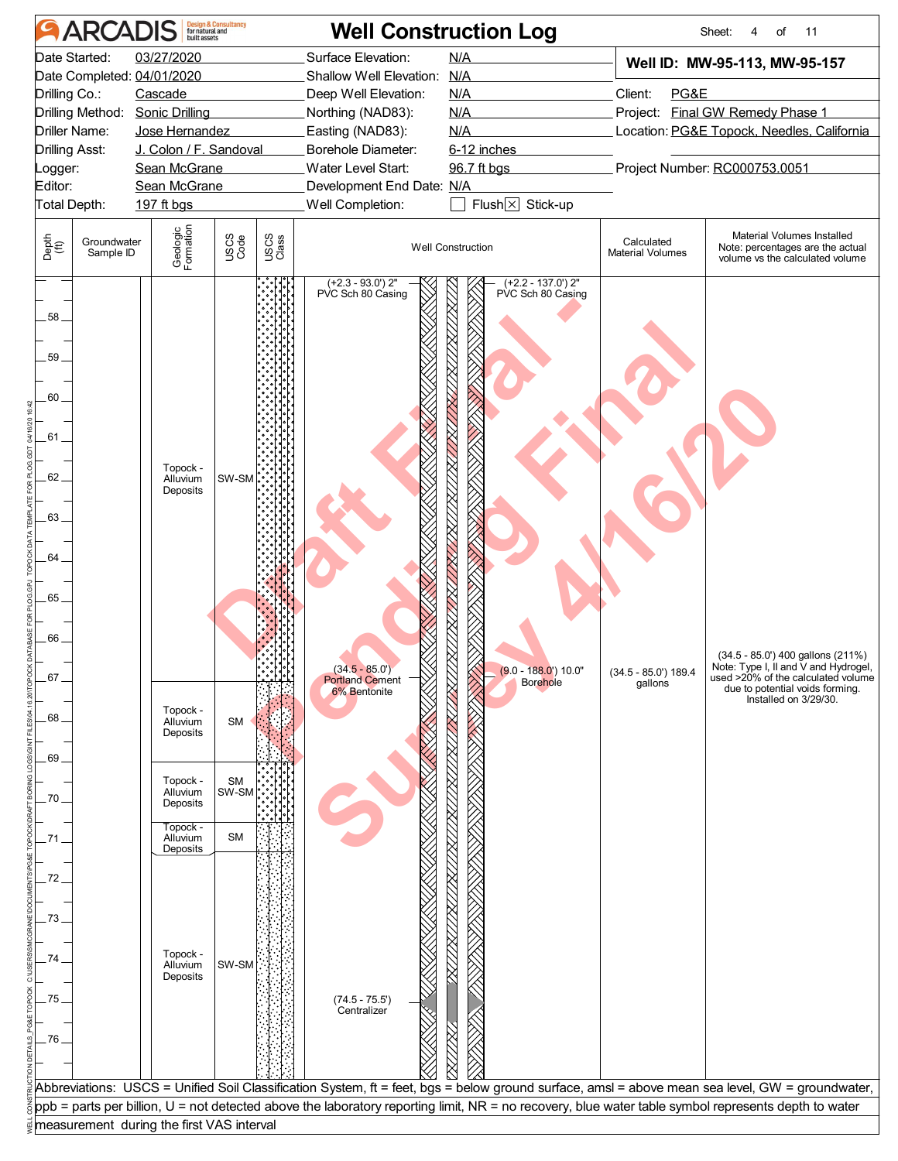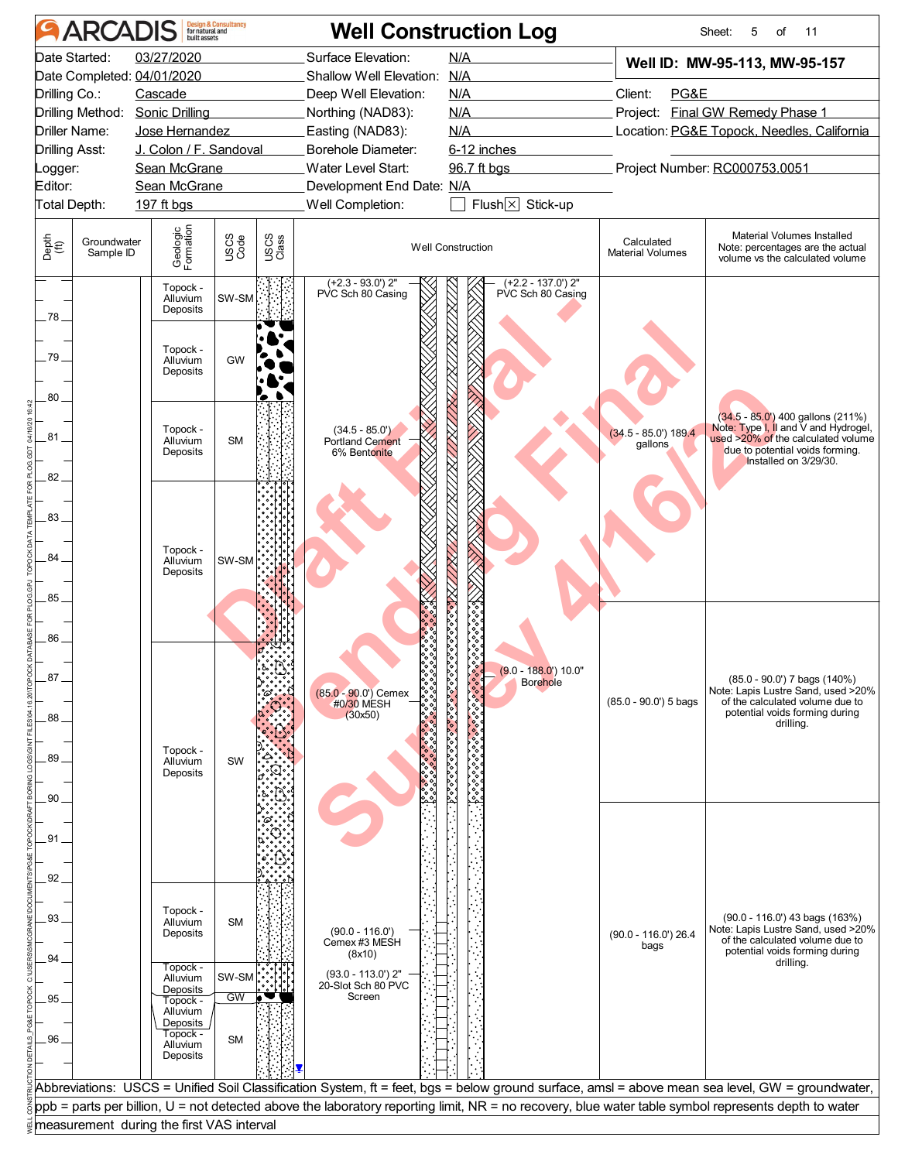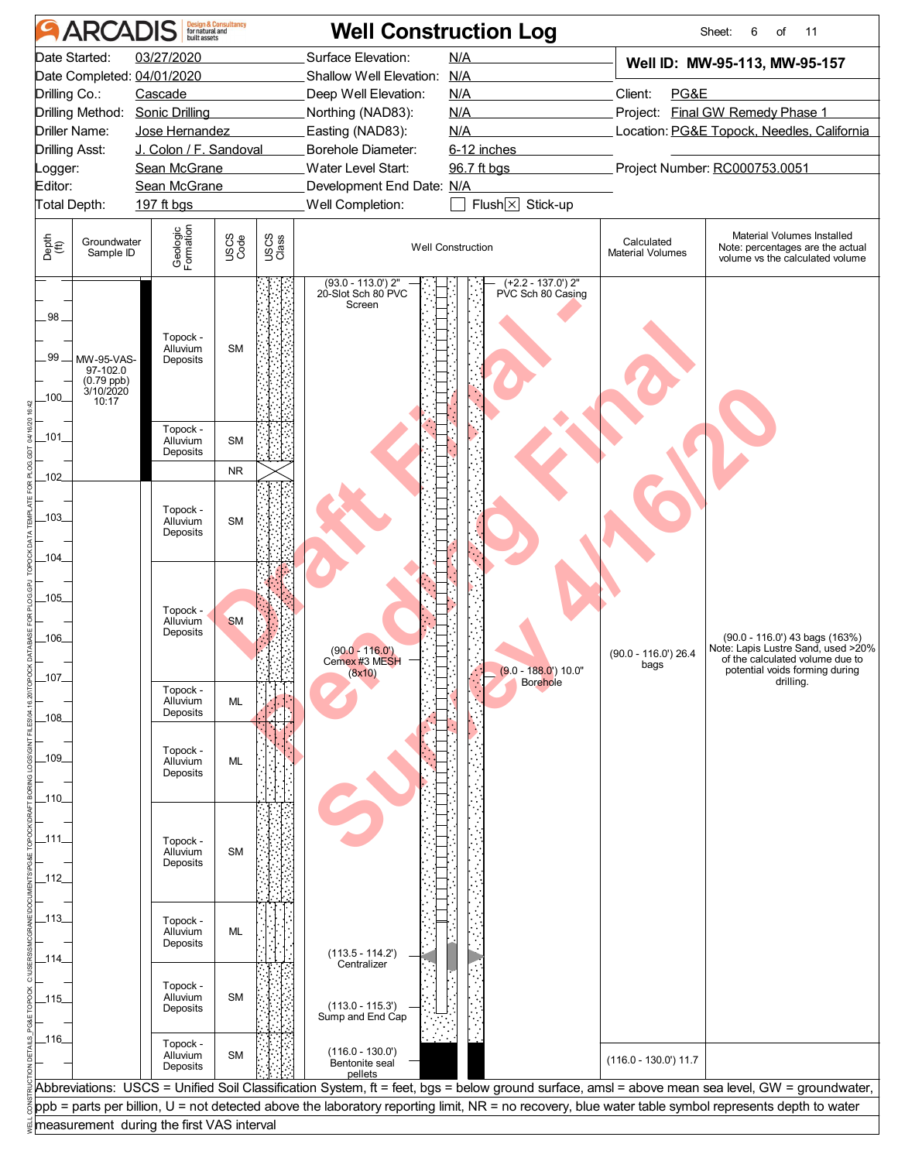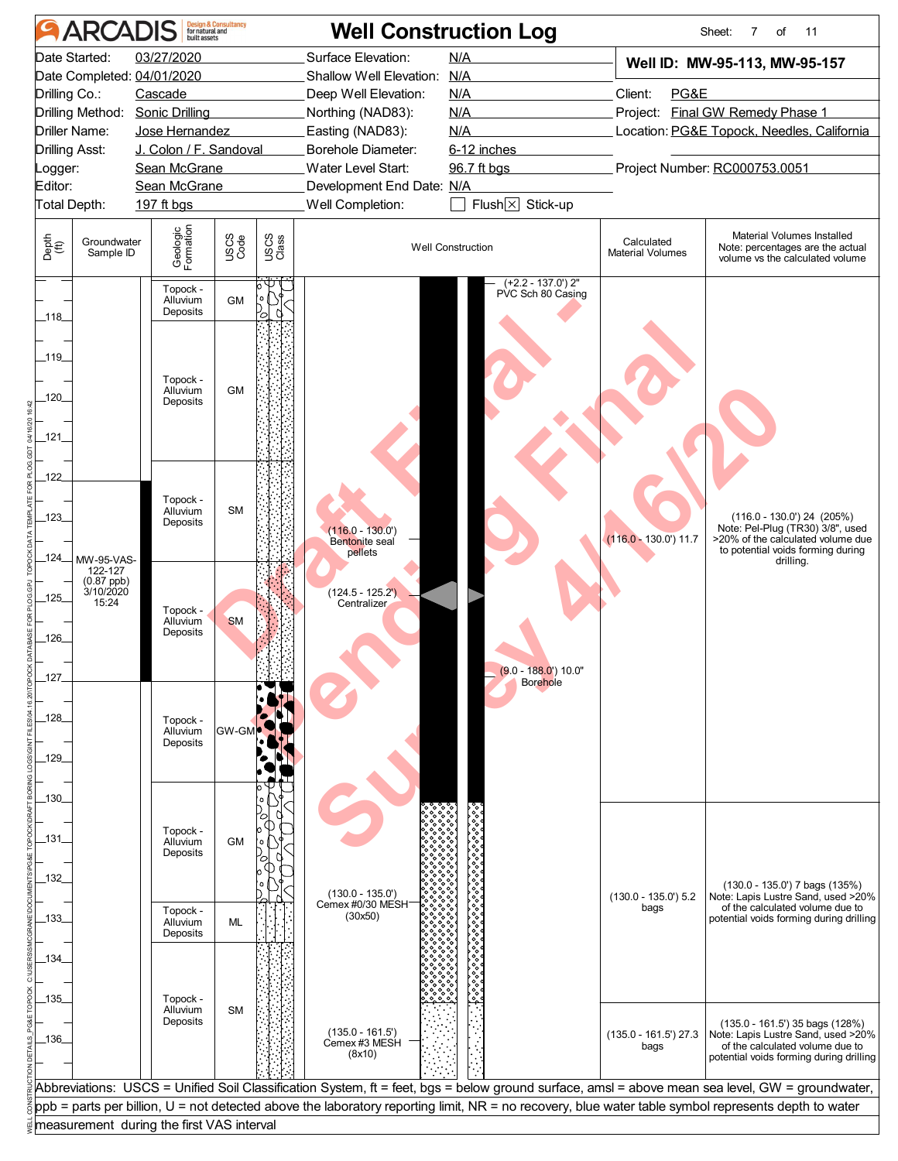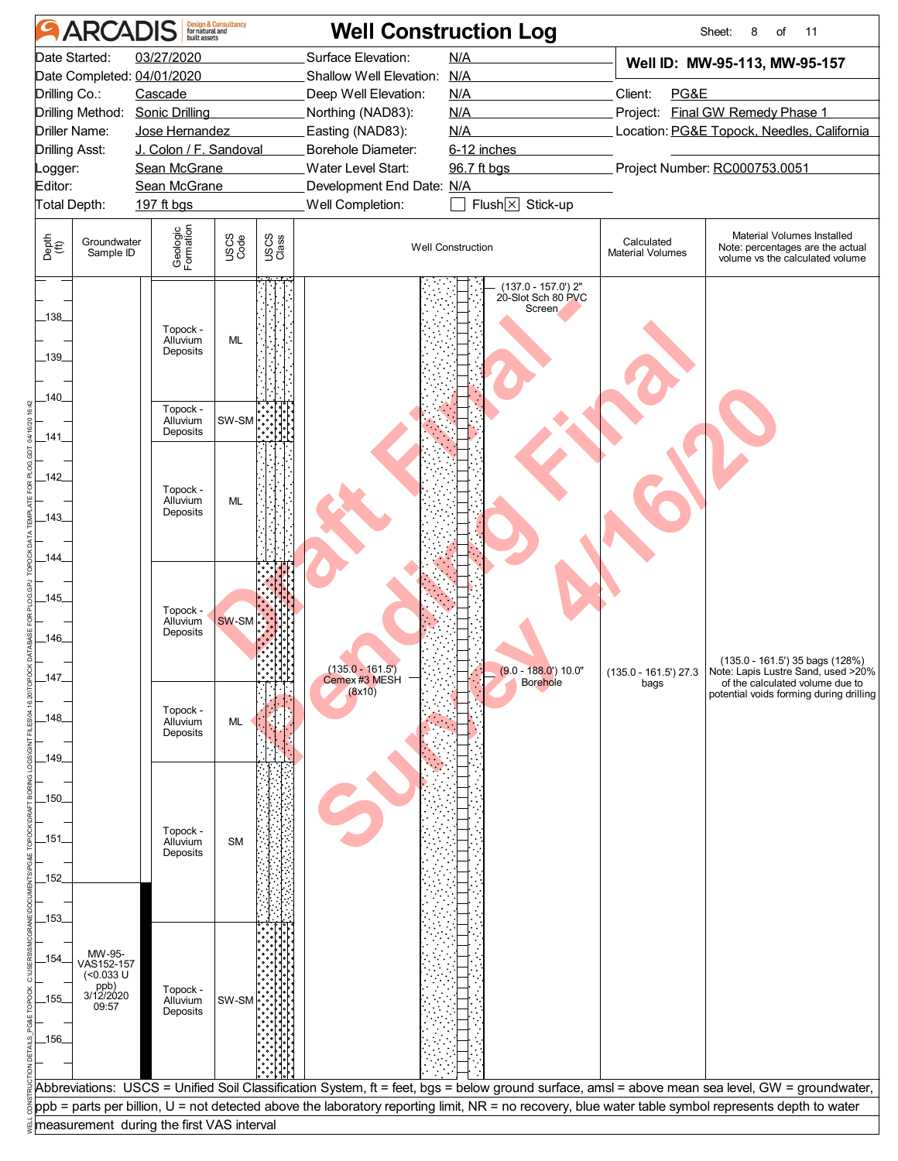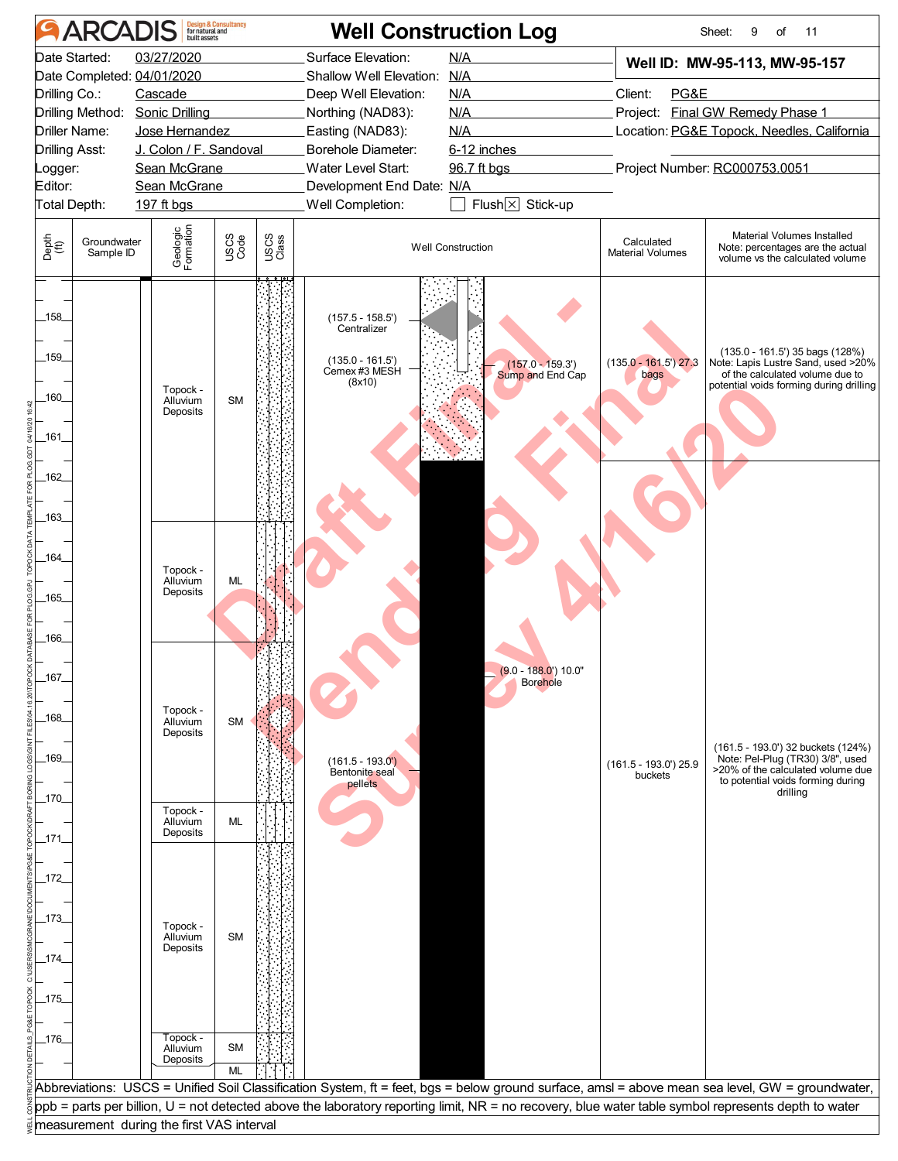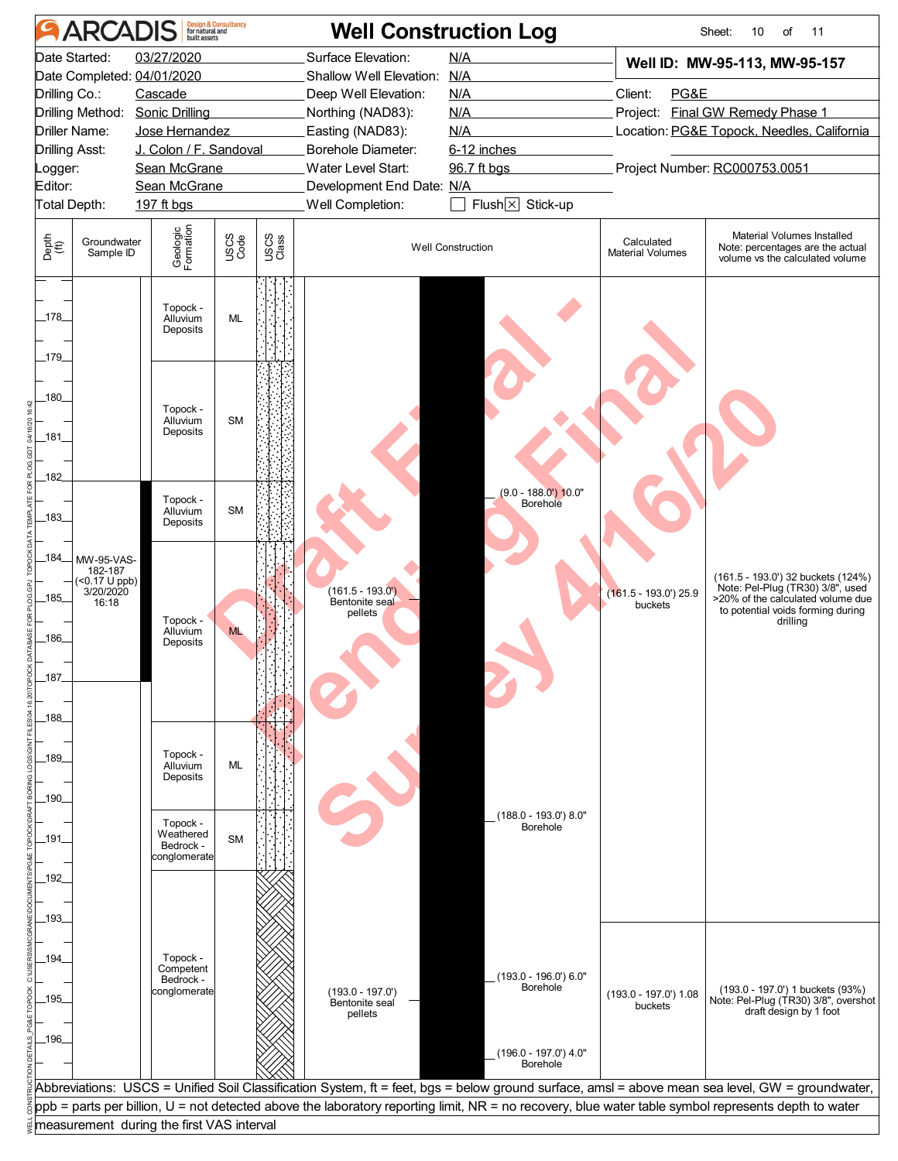